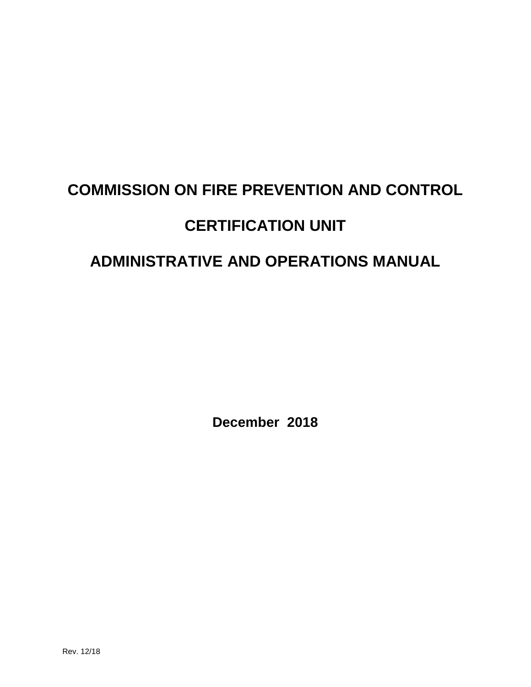# **COMMISSION ON FIRE PREVENTION AND CONTROL CERTIFICATION UNIT**

## **ADMINISTRATIVE AND OPERATIONS MANUAL**

**December 2018**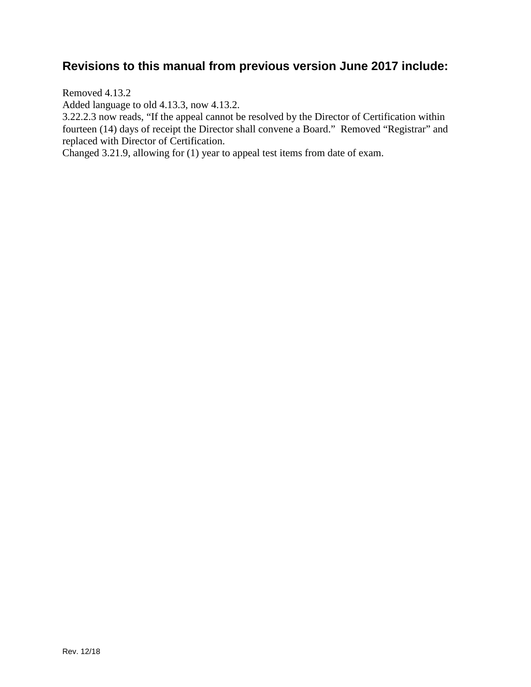## **Revisions to this manual from previous version June 2017 include:**

Removed 4.13.2

Added language to old 4.13.3, now 4.13.2.

3.22.2.3 now reads, "If the appeal cannot be resolved by the Director of Certification within fourteen (14) days of receipt the Director shall convene a Board." Removed "Registrar" and replaced with Director of Certification.

Changed 3.21.9, allowing for (1) year to appeal test items from date of exam.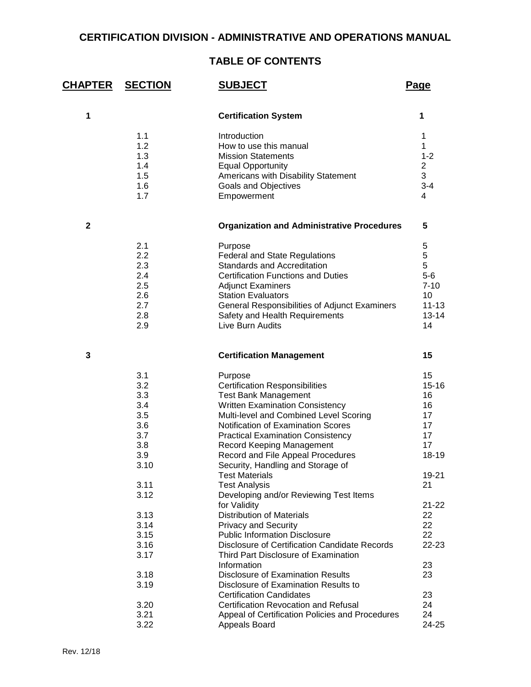## **CERTIFICATION DIVISION - ADMINISTRATIVE AND OPERATIONS MANUAL**

## **TABLE OF CONTENTS**

| CHAPTER      | <b>SECTION</b> | <b>SUBJECT</b>                                    | Page           |
|--------------|----------------|---------------------------------------------------|----------------|
| $\mathbf 1$  |                | <b>Certification System</b>                       | 1              |
|              | 1.1            | Introduction                                      | 1              |
|              | 1.2            | How to use this manual                            | 1              |
|              | 1.3            | <b>Mission Statements</b>                         | $1 - 2$        |
|              | 1.4            | <b>Equal Opportunity</b>                          | $\overline{2}$ |
|              | 1.5            | Americans with Disability Statement               | 3              |
|              | 1.6            | Goals and Objectives                              | $3 - 4$        |
|              | 1.7            | Empowerment                                       | $\overline{4}$ |
| $\mathbf{2}$ |                | <b>Organization and Administrative Procedures</b> | 5              |
|              | 2.1            | Purpose                                           | 5              |
|              | 2.2            | <b>Federal and State Regulations</b>              | 5              |
|              | 2.3            | Standards and Accreditation                       | 5              |
|              | 2.4            | <b>Certification Functions and Duties</b>         | $5-6$          |
|              | 2.5            | <b>Adjunct Examiners</b>                          | $7 - 10$       |
|              | 2.6            | <b>Station Evaluators</b>                         | 10             |
|              | 2.7            | General Responsibilities of Adjunct Examiners     | $11 - 13$      |
|              | 2.8            | Safety and Health Requirements                    | $13 - 14$      |
|              | 2.9            | Live Burn Audits                                  | 14             |
| 3            |                | <b>Certification Management</b>                   | 15             |
|              | 3.1            | Purpose                                           | 15             |
|              | 3.2            | <b>Certification Responsibilities</b>             | $15 - 16$      |
|              | 3.3            | <b>Test Bank Management</b>                       | 16             |
|              | 3.4            | <b>Written Examination Consistency</b>            | 16             |
|              | 3.5            | Multi-level and Combined Level Scoring            | 17             |
|              | 3.6            | Notification of Examination Scores                | 17             |
|              | 3.7            | <b>Practical Examination Consistency</b>          | 17             |
|              | 3.8            | Record Keeping Management                         | 17             |
|              | 3.9            | Record and File Appeal Procedures                 | 18-19          |
|              | 3.10           | Security, Handling and Storage of                 |                |
|              |                | <b>Test Materials</b>                             | 19-21          |
|              | 3.11           | <b>Test Analysis</b>                              | 21             |
|              | 3.12           | Developing and/or Reviewing Test Items            |                |
|              |                | for Validity                                      | $21 - 22$      |
|              | 3.13           | <b>Distribution of Materials</b>                  | 22             |
|              | 3.14           | <b>Privacy and Security</b>                       | 22             |
|              | 3.15           | <b>Public Information Disclosure</b>              | 22             |
|              | 3.16           | Disclosure of Certification Candidate Records     | 22-23          |
|              | 3.17           | Third Part Disclosure of Examination              |                |
|              |                | Information                                       | 23             |
|              | 3.18           | <b>Disclosure of Examination Results</b>          | 23             |
|              | 3.19           | Disclosure of Examination Results to              |                |
|              |                | <b>Certification Candidates</b>                   | 23             |
|              | 3.20           | Certification Revocation and Refusal              | 24             |
|              | 3.21           | Appeal of Certification Policies and Procedures   | 24             |
|              | 3.22           | Appeals Board                                     | 24-25          |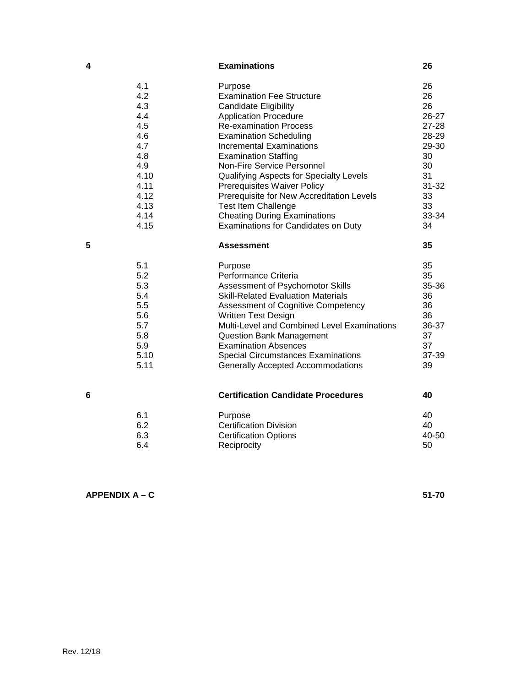| 4 |      | <b>Examinations</b>                         | 26        |
|---|------|---------------------------------------------|-----------|
|   | 4.1  | Purpose                                     | 26        |
|   | 4.2  | <b>Examination Fee Structure</b>            | 26        |
|   | 4.3  | <b>Candidate Eligibility</b>                | 26        |
|   | 4.4  | <b>Application Procedure</b>                | 26-27     |
|   | 4.5  | <b>Re-examination Process</b>               | 27-28     |
|   | 4.6  | <b>Examination Scheduling</b>               | 28-29     |
|   | 4.7  | Incremental Examinations                    | 29-30     |
|   | 4.8  | <b>Examination Staffing</b>                 | 30        |
|   | 4.9  | Non-Fire Service Personnel                  | 30        |
|   | 4.10 | Qualifying Aspects for Specialty Levels     | 31        |
|   | 4.11 | <b>Prerequisites Waiver Policy</b>          | $31 - 32$ |
|   | 4.12 | Prerequisite for New Accreditation Levels   | 33        |
|   | 4.13 | <b>Test Item Challenge</b>                  | 33        |
|   | 4.14 | <b>Cheating During Examinations</b>         | 33-34     |
|   | 4.15 | Examinations for Candidates on Duty         | 34        |
| 5 |      | <b>Assessment</b>                           | 35        |
|   | 5.1  | Purpose                                     | 35        |
|   | 5.2  | Performance Criteria                        | 35        |
|   | 5.3  | Assessment of Psychomotor Skills            | 35-36     |
|   | 5.4  | <b>Skill-Related Evaluation Materials</b>   | 36        |
|   | 5.5  | <b>Assessment of Cognitive Competency</b>   | 36        |
|   | 5.6  | <b>Written Test Design</b>                  | 36        |
|   | 5.7  | Multi-Level and Combined Level Examinations | 36-37     |
|   | 5.8  | <b>Question Bank Management</b>             | 37        |
|   | 5.9  | <b>Examination Absences</b>                 | 37        |
|   | 5.10 | <b>Special Circumstances Examinations</b>   | 37-39     |
|   | 5.11 | <b>Generally Accepted Accommodations</b>    | 39        |
|   |      |                                             |           |
| 6 |      | <b>Certification Candidate Procedures</b>   | 40        |
|   | 6.1  | Purpose                                     | 40        |
|   | 6.2  | <b>Certification Division</b>               | 40        |
|   | 6.3  | <b>Certification Options</b>                | 40-50     |
|   | 6.4  | Reciprocity                                 | 50        |
|   |      |                                             |           |

**APPENDIX A – C 51-70**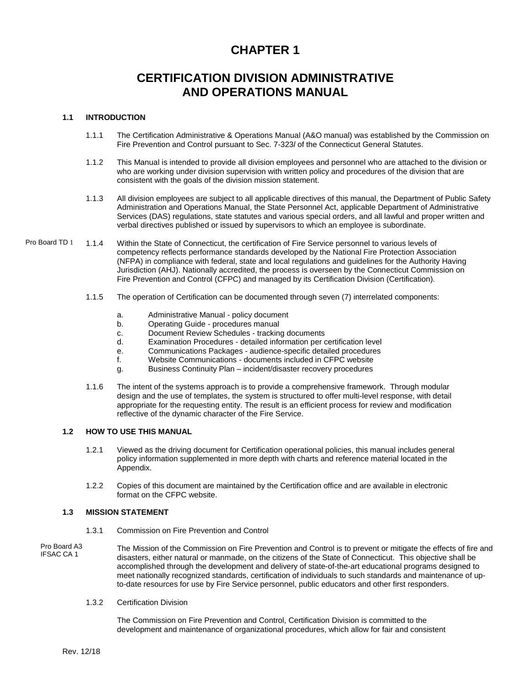## **CHAPTER 1**

## **CERTIFICATION DIVISION ADMINISTRATIVE AND OPERATIONS MANUAL**

#### **1.1 INTRODUCTION**

- 1.1.1 The Certification Administrative & Operations Manual (A&O manual) was established by the Commission on Fire Prevention and Control pursuant to Sec. 7-323*l* of the Connecticut General Statutes.
- 1.1.2 This Manual is intended to provide all division employees and personnel who are attached to the division or who are working under division supervision with written policy and procedures of the division that are consistent with the goals of the division mission statement.
- 1.1.3 All division employees are subject to all applicable directives of this manual, the Department of Public Safety Administration and Operations Manual, the State Personnel Act, applicable Department of Administrative Services (DAS) regulations, state statutes and various special orders, and all lawful and proper written and verbal directives published or issued by supervisors to which an employee is subordinate.
- 1.1.4 Within the State of Connecticut, the certification of Fire Service personnel to various levels of competency reflects performance standards developed by the National Fire Protection Association (NFPA) in compliance with federal, state and local regulations and guidelines for the Authority Having Jurisdiction (AHJ). Nationally accredited, the process is overseen by the Connecticut Commission on Fire Prevention and Control (CFPC) and managed by its Certification Division (Certification). Pro Board TD 1
	- 1.1.5 The operation of Certification can be documented through seven (7) interrelated components:
		- a. Administrative Manual policy document<br>b Conerating Guide procedures manual
		- b. Operating Guide procedures manual<br>C. Document Review Schedules tracking
		- c. Document Review Schedules tracking documents<br>d. Fxamination Procedures detailed information per o
		- Examination Procedures detailed information per certification level
		- e. Communications Packages audience-specific detailed procedures
		- f. Website Communications documents included in CFPC website
		- g. Business Continuity Plan incident/disaster recovery procedures
	- 1.1.6 The intent of the systems approach is to provide a comprehensive framework. Through modular design and the use of templates, the system is structured to offer multi-level response, with detail appropriate for the requesting entity. The result is an efficient process for review and modification reflective of the dynamic character of the Fire Service.

#### **1.2 HOW TO USE THIS MANUAL**

- 1.2.1 Viewed as the driving document for Certification operational policies, this manual includes general policy information supplemented in more depth with charts and reference material located in the Appendix.
- 1.2.2 Copies of this document are maintained by the Certification office and are available in electronic format on the CFPC website.

#### **1.3 MISSION STATEMENT**

- 1.3.1 Commission on Fire Prevention and Control
- The Mission of the Commission on Fire Prevention and Control is to prevent or mitigate the effects of fire and disasters, either natural or manmade, on the citizens of the State of Connecticut. This objective shall be accomplished through the development and delivery of state-of-the-art educational programs designed to meet nationally recognized standards, certification of individuals to such standards and maintenance of upto-date resources for use by Fire Service personnel, public educators and other first responders. Pro Board A3 IFSAC CA 1
	- 1.3.2 Certification Division

The Commission on Fire Prevention and Control, Certification Division is committed to the development and maintenance of organizational procedures, which allow for fair and consistent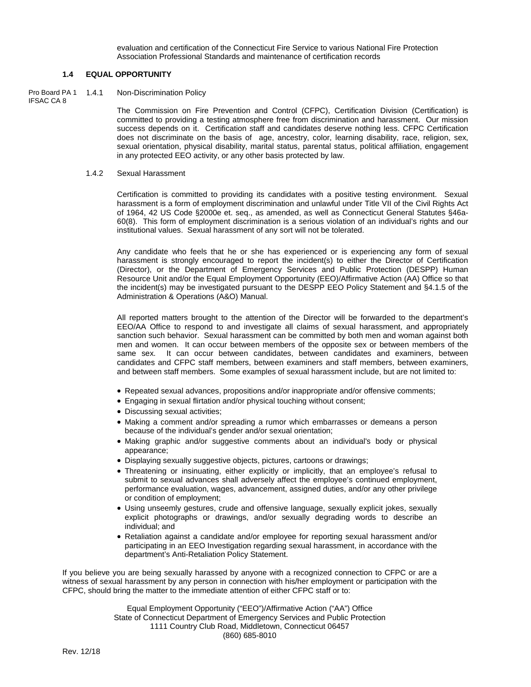evaluation and certification of the Connecticut Fire Service to various National Fire Protection Association Professional Standards and maintenance of certification records

#### **1.4 EQUAL OPPORTUNITY**

#### Non-Discrimination Policy Pro Board PA 1 1.4.1 IFSAC CA 8

The Commission on Fire Prevention and Control (CFPC), Certification Division (Certification) is committed to providing a testing atmosphere free from discrimination and harassment. Our mission success depends on it. Certification staff and candidates deserve nothing less. CFPC Certification does not discriminate on the basis of age, ancestry, color, learning disability, race, religion, sex, sexual orientation, physical disability, marital status, parental status, political affiliation, engagement in any protected EEO activity, or any other basis protected by law.

#### 1.4.2 Sexual Harassment

Certification is committed to providing its candidates with a positive testing environment. Sexual harassment is a form of employment discrimination and unlawful under Title VII of the Civil Rights Act of 1964, 42 US Code §2000e et. seq., as amended, as well as Connecticut General Statutes §46a-60(8). This form of employment discrimination is a serious violation of an individual's rights and our institutional values. Sexual harassment of any sort will not be tolerated.

Any candidate who feels that he or she has experienced or is experiencing any form of sexual harassment is strongly encouraged to report the incident(s) to either the Director of Certification (Director), or the Department of Emergency Services and Public Protection (DESPP) Human Resource Unit and/or the Equal Employment Opportunity (EEO)/Affirmative Action (AA) Office so that the incident(s) may be investigated pursuant to the DESPP EEO Policy Statement and §4.1.5 of the Administration & Operations (A&O) Manual.

All reported matters brought to the attention of the Director will be forwarded to the department's EEO/AA Office to respond to and investigate all claims of sexual harassment, and appropriately sanction such behavior. Sexual harassment can be committed by both men and woman against both men and women. It can occur between members of the opposite sex or between members of the same sex. It can occur between candidates, between candidates and examiners, between candidates and CFPC staff members, between examiners and staff members, between examiners, and between staff members. Some examples of sexual harassment include, but are not limited to:

- Repeated sexual advances, propositions and/or inappropriate and/or offensive comments;
- Engaging in sexual flirtation and/or physical touching without consent;
- Discussing sexual activities;
- Making a comment and/or spreading a rumor which embarrasses or demeans a person because of the individual's gender and/or sexual orientation;
- Making graphic and/or suggestive comments about an individual's body or physical appearance;
- Displaying sexually suggestive objects, pictures, cartoons or drawings;
- Threatening or insinuating, either explicitly or implicitly, that an employee's refusal to submit to sexual advances shall adversely affect the employee's continued employment, performance evaluation, wages, advancement, assigned duties, and/or any other privilege or condition of employment;
- Using unseemly gestures, crude and offensive language, sexually explicit jokes, sexually explicit photographs or drawings, and/or sexually degrading words to describe an individual; and
- Retaliation against a candidate and/or employee for reporting sexual harassment and/or participating in an EEO Investigation regarding sexual harassment, in accordance with the department's Anti-Retaliation Policy Statement.

If you believe you are being sexually harassed by anyone with a recognized connection to CFPC or are a witness of sexual harassment by any person in connection with his/her employment or participation with the CFPC, should bring the matter to the immediate attention of either CFPC staff or to:

> Equal Employment Opportunity ("EEO")/Affirmative Action ("AA") Office State of Connecticut Department of Emergency Services and Public Protection 1111 Country Club Road, Middletown, Connecticut 06457 (860) 685-8010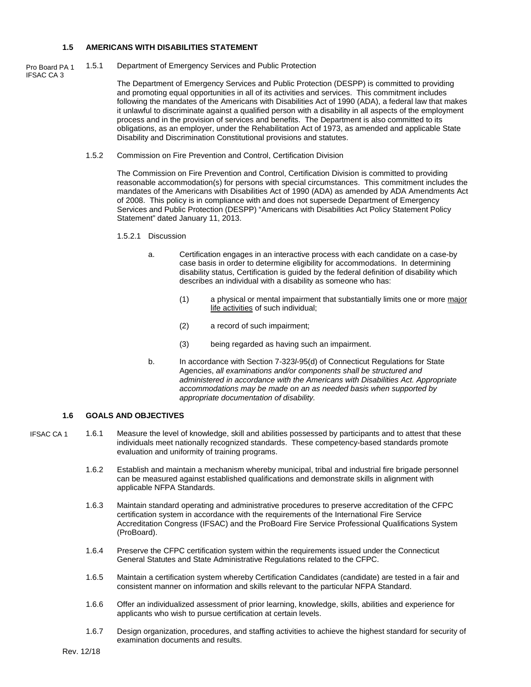#### **1.5 AMERICANS WITH DISABILITIES STATEMENT**

Pro Board PA 1

IFSAC CA 3

1.5.1 Department of Emergency Services and Public Protection

The Department of Emergency Services and Public Protection (DESPP) is committed to providing and promoting equal opportunities in all of its activities and services. This commitment includes following the mandates of the Americans with Disabilities Act of 1990 (ADA), a federal law that makes it unlawful to discriminate against a qualified person with a disability in all aspects of the employment process and in the provision of services and benefits. The Department is also committed to its obligations, as an employer, under the Rehabilitation Act of 1973, as amended and applicable State Disability and Discrimination Constitutional provisions and statutes.

1.5.2 Commission on Fire Prevention and Control, Certification Division

The Commission on Fire Prevention and Control, Certification Division is committed to providing reasonable accommodation(s) for persons with special circumstances. This commitment includes the mandates of the Americans with Disabilities Act of 1990 (ADA) as amended by ADA Amendments Act of 2008. This policy is in compliance with and does not supersede Department of Emergency Services and Public Protection (DESPP) "Americans with Disabilities Act Policy Statement Policy Statement" dated January 11, 2013.

#### 1.5.2.1 Discussion

- a. Certification engages in an interactive process with each candidate on a case-by case basis in order to determine eligibility for accommodations. In determining disability status, Certification is guided by the federal definition of disability which describes an individual with a disability as someone who has:
	- (1) a physical or mental impairment that substantially limits one or more major life activities of such individual;
	- (2) a record of such impairment;
	- (3) being regarded as having such an impairment.
- b. In accordance with Section 7-323*l*-95(d) of Connecticut Regulations for State Agencies, *all examinations and/or components shall be structured and administered in accordance with the Americans with Disabilities Act. Appropriate accommodations may be made on an as needed basis when supported by appropriate documentation of disability.*

#### **1.6 GOALS AND OBJECTIVES**

- 1.6.1 Measure the level of knowledge, skill and abilities possessed by participants and to attest that these individuals meet nationally recognized standards. These competency-based standards promote evaluation and uniformity of training programs. IFSAC CA 1
	- 1.6.2 Establish and maintain a mechanism whereby municipal, tribal and industrial fire brigade personnel can be measured against established qualifications and demonstrate skills in alignment with applicable NFPA Standards.
	- 1.6.3 Maintain standard operating and administrative procedures to preserve accreditation of the CFPC certification system in accordance with the requirements of the International Fire Service Accreditation Congress (IFSAC) and the ProBoard Fire Service Professional Qualifications System (ProBoard).
	- 1.6.4 Preserve the CFPC certification system within the requirements issued under the Connecticut General Statutes and State Administrative Regulations related to the CFPC.
	- 1.6.5 Maintain a certification system whereby Certification Candidates (candidate) are tested in a fair and consistent manner on information and skills relevant to the particular NFPA Standard.
	- 1.6.6 Offer an individualized assessment of prior learning, knowledge, skills, abilities and experience for applicants who wish to pursue certification at certain levels.
	- 1.6.7 Design organization, procedures, and staffing activities to achieve the highest standard for security of examination documents and results.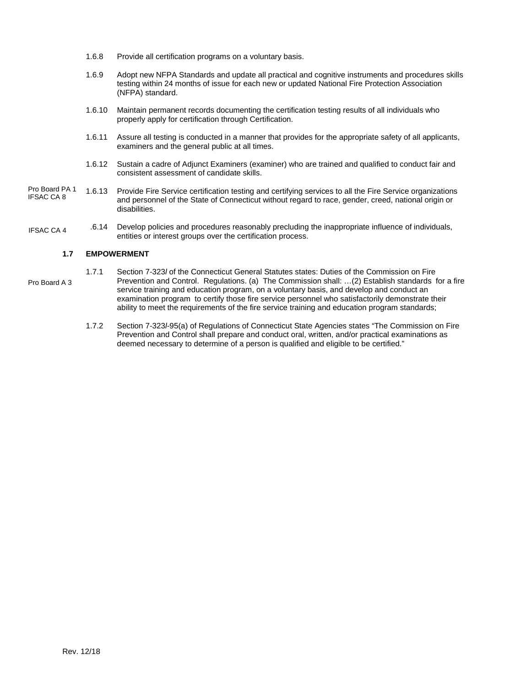- 1.6.8 Provide all certification programs on a voluntary basis.
- 1.6.9 Adopt new NFPA Standards and update all practical and cognitive instruments and procedures skills testing within 24 months of issue for each new or updated National Fire Protection Association (NFPA) standard.
- 1.6.10 Maintain permanent records documenting the certification testing results of all individuals who properly apply for certification through Certification.
- 1.6.11 Assure all testing is conducted in a manner that provides for the appropriate safety of all applicants, examiners and the general public at all times.
- 1.6.12 Sustain a cadre of Adjunct Examiners (examiner) who are trained and qualified to conduct fair and consistent assessment of candidate skills.
- 1.6.13 Provide Fire Service certification testing and certifying services to all the Fire Service organizations and personnel of the State of Connecticut without regard to race, gender, creed, national origin or disabilities. Pro Board PA 1 IFSAC CA 8
- 1.6.14 Develop policies and procedures reasonably precluding the inappropriate influence of individuals, entities or interest groups over the certification process. IFSAC CA 4

#### **1.7 EMPOWERMENT**

- 1.7.1 Section 7-323*l* of the Connecticut General Statutes states: Duties of the Commission on Fire Prevention and Control. Regulations. (a) The Commission shall: …(2) Establish standards for a fire service training and education program, on a voluntary basis, and develop and conduct an examination program to certify those fire service personnel who satisfactorily demonstrate their ability to meet the requirements of the fire service training and education program standards; Pro Board A 3
	- 1.7.2 Section 7-323*l*-95(a) of Regulations of Connecticut State Agencies states "The Commission on Fire Prevention and Control shall prepare and conduct oral, written, and/or practical examinations as deemed necessary to determine of a person is qualified and eligible to be certified."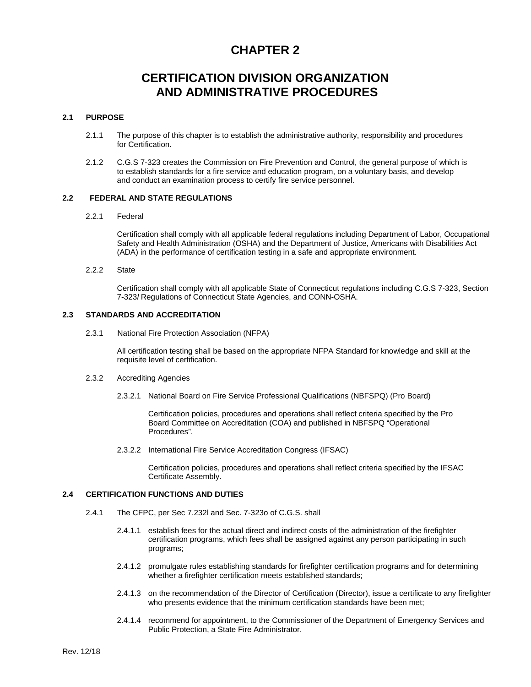## **CHAPTER 2**

## **CERTIFICATION DIVISION ORGANIZATION AND ADMINISTRATIVE PROCEDURES**

#### **2.1 PURPOSE**

- 2.1.1 The purpose of this chapter is to establish the administrative authority, responsibility and procedures for Certification.
- 2.1.2 C.G.S 7-323 creates the Commission on Fire Prevention and Control, the general purpose of which is to establish standards for a fire service and education program, on a voluntary basis, and develop and conduct an examination process to certify fire service personnel.

#### **2.2 FEDERAL AND STATE REGULATIONS**

#### 2.2.1 Federal

Certification shall comply with all applicable federal regulations including Department of Labor, Occupational Safety and Health Administration (OSHA) and the Department of Justice, Americans with Disabilities Act (ADA) in the performance of certification testing in a safe and appropriate environment.

2.2.2 State

Certification shall comply with all applicable State of Connecticut regulations including C.G.S 7-323, Section 7-323*l* Regulations of Connecticut State Agencies, and CONN-OSHA.

#### **2.3 STANDARDS AND ACCREDITATION**

2.3.1 National Fire Protection Association (NFPA)

All certification testing shall be based on the appropriate NFPA Standard for knowledge and skill at the requisite level of certification.

#### 2.3.2 Accrediting Agencies

2.3.2.1 National Board on Fire Service Professional Qualifications (NBFSPQ) (Pro Board)

Certification policies, procedures and operations shall reflect criteria specified by the Pro Board Committee on Accreditation (COA) and published in NBFSPQ "Operational Procedures".

2.3.2.2 International Fire Service Accreditation Congress (IFSAC)

Certification policies, procedures and operations shall reflect criteria specified by the IFSAC Certificate Assembly.

#### **2.4 CERTIFICATION FUNCTIONS AND DUTIES**

- 2.4.1 The CFPC, per Sec 7.232l and Sec. 7-323o of C.G.S. shall
	- 2.4.1.1 establish fees for the actual direct and indirect costs of the administration of the firefighter certification programs, which fees shall be assigned against any person participating in such programs;
	- 2.4.1.2 promulgate rules establishing standards for firefighter certification programs and for determining whether a firefighter certification meets established standards;
	- 2.4.1.3 on the recommendation of the Director of Certification (Director), issue a certificate to any firefighter who presents evidence that the minimum certification standards have been met;
	- 2.4.1.4 recommend for appointment, to the Commissioner of the Department of Emergency Services and Public Protection, a State Fire Administrator.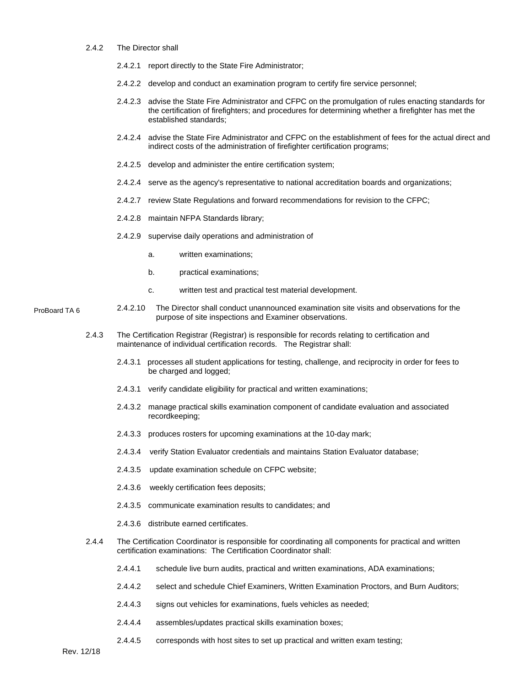#### 2.4.2 The Director shall

- 2.4.2.1 report directly to the State Fire Administrator;
- 2.4.2.2 develop and conduct an examination program to certify fire service personnel;
- 2.4.2.3 advise the State Fire Administrator and CFPC on the promulgation of rules enacting standards for the certification of firefighters; and procedures for determining whether a firefighter has met the established standards;
- 2.4.2.4 advise the State Fire Administrator and CFPC on the establishment of fees for the actual direct and indirect costs of the administration of firefighter certification programs;
- 2.4.2.5 develop and administer the entire certification system;
- 2.4.2.4 serve as the agency's representative to national accreditation boards and organizations;
- 2.4.2.7 review State Regulations and forward recommendations for revision to the CFPC;
- 2.4.2.8 maintain NFPA Standards library;
- 2.4.2.9 supervise daily operations and administration of
	- a. written examinations;
	- b. practical examinations;
	- c. written test and practical test material development.
- 2.4.2.10 The Director shall conduct unannounced examination site visits and observations for the purpose of site inspections and Examiner observations. ProBoard TA 6
	- 2.4.3 The Certification Registrar (Registrar) is responsible for records relating to certification and maintenance of individual certification records. The Registrar shall:
		- 2.4.3.1 processes all student applications for testing, challenge, and reciprocity in order for fees to be charged and logged;
		- 2.4.3.1 verify candidate eligibility for practical and written examinations;
		- 2.4.3.2 manage practical skills examination component of candidate evaluation and associated recordkeeping;
		- 2.4.3.3 produces rosters for upcoming examinations at the 10-day mark;
		- 2.4.3.4 verify Station Evaluator credentials and maintains Station Evaluator database;
		- 2.4.3.5 update examination schedule on CFPC website;
		- 2.4.3.6 weekly certification fees deposits;
		- 2.4.3.5 communicate examination results to candidates; and
		- 2.4.3.6 distribute earned certificates.
	- 2.4.4 The Certification Coordinator is responsible for coordinating all components for practical and written certification examinations: The Certification Coordinator shall:
		- 2.4.4.1 schedule live burn audits, practical and written examinations, ADA examinations;
		- 2.4.4.2 select and schedule Chief Examiners, Written Examination Proctors, and Burn Auditors;
		- 2.4.4.3 signs out vehicles for examinations, fuels vehicles as needed;
		- 2.4.4.4 assembles/updates practical skills examination boxes;
		- 2.4.4.5 corresponds with host sites to set up practical and written exam testing;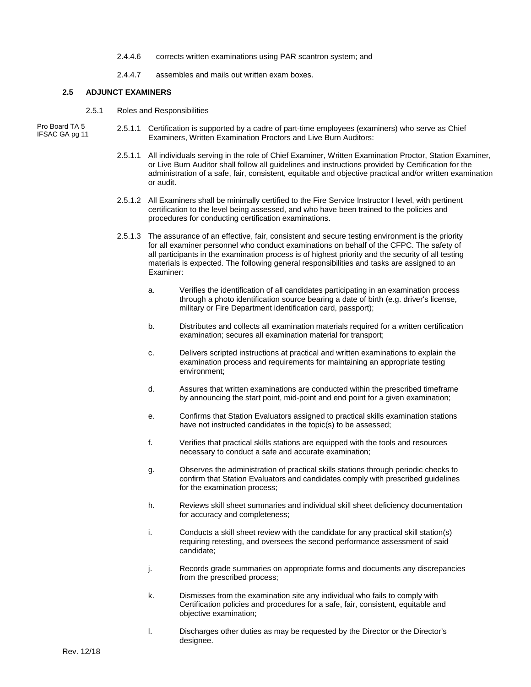- 2.4.4.6 corrects written examinations using PAR scantron system; and
- 2.4.4.7 assembles and mails out written exam boxes.

#### **2.5 ADJUNCT EXAMINERS**

2.5.1 Roles and Responsibilities

Pro Board TA 5 IFSAC GA pg 11

- 2.5.1.1 Certification is supported by a cadre of part-time employees (examiners) who serve as Chief Examiners, Written Examination Proctors and Live Burn Auditors:
	- 2.5.1.1 All individuals serving in the role of Chief Examiner, Written Examination Proctor, Station Examiner, or Live Burn Auditor shall follow all guidelines and instructions provided by Certification for the administration of a safe, fair, consistent, equitable and objective practical and/or written examination or audit.
	- 2.5.1.2 All Examiners shall be minimally certified to the Fire Service Instructor I level, with pertinent certification to the level being assessed, and who have been trained to the policies and procedures for conducting certification examinations.
	- 2.5.1.3 The assurance of an effective, fair, consistent and secure testing environment is the priority for all examiner personnel who conduct examinations on behalf of the CFPC. The safety of all participants in the examination process is of highest priority and the security of all testing materials is expected. The following general responsibilities and tasks are assigned to an Examiner:
		- a. Verifies the identification of all candidates participating in an examination process through a photo identification source bearing a date of birth (e.g. driver's license, military or Fire Department identification card, passport);
		- b. Distributes and collects all examination materials required for a written certification examination; secures all examination material for transport;
		- c. Delivers scripted instructions at practical and written examinations to explain the examination process and requirements for maintaining an appropriate testing environment;
		- d. Assures that written examinations are conducted within the prescribed timeframe by announcing the start point, mid-point and end point for a given examination;
		- e. Confirms that Station Evaluators assigned to practical skills examination stations have not instructed candidates in the topic(s) to be assessed;
		- f. Verifies that practical skills stations are equipped with the tools and resources necessary to conduct a safe and accurate examination;
		- g. Observes the administration of practical skills stations through periodic checks to confirm that Station Evaluators and candidates comply with prescribed guidelines for the examination process;
		- h. Reviews skill sheet summaries and individual skill sheet deficiency documentation for accuracy and completeness;
		- i. Conducts a skill sheet review with the candidate for any practical skill station(s) requiring retesting, and oversees the second performance assessment of said candidate;
		- j. Records grade summaries on appropriate forms and documents any discrepancies from the prescribed process;
		- k. Dismisses from the examination site any individual who fails to comply with Certification policies and procedures for a safe, fair, consistent, equitable and objective examination;
		- l. Discharges other duties as may be requested by the Director or the Director's designee.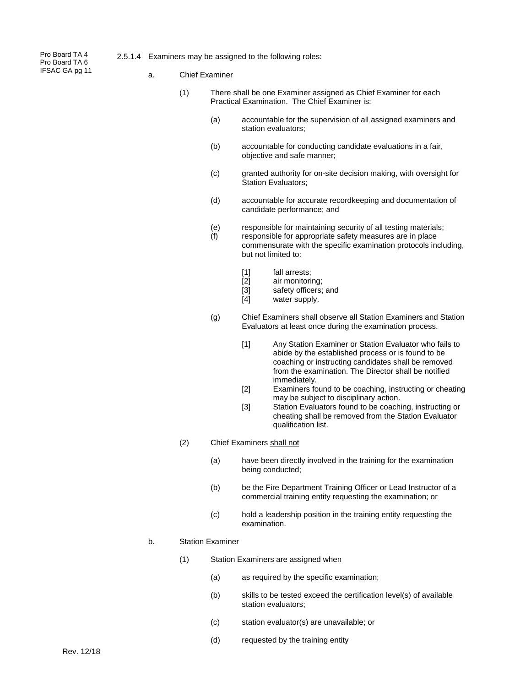Pro Board TA 4 Pro Board TA 6 IFSAC GA pg 11

- 2.5.1.4 Examiners may be assigned to the following roles:
	- a. Chief Examiner
		- (1) There shall be one Examiner assigned as Chief Examiner for each Practical Examination. The Chief Examiner is:
			- (a) accountable for the supervision of all assigned examiners and station evaluators;
			- (b) accountable for conducting candidate evaluations in a fair, objective and safe manner;
			- (c) granted authority for on-site decision making, with oversight for Station Evaluators;
			- (d) accountable for accurate recordkeeping and documentation of candidate performance; and
			- (e) responsible for maintaining security of all testing materials;
			- (f) responsible for appropriate safety measures are in place commensurate with the specific examination protocols including, but not limited to:
				- [1] fall arrests;<br>[2] air monitori
				- [2] air monitoring;<br>[3] safety officers;
				- [3] safety officers; and<br>[4] water supply.
				- water supply.
			- (g) Chief Examiners shall observe all Station Examiners and Station Evaluators at least once during the examination process.
				- [1] Any Station Examiner or Station Evaluator who fails to abide by the established process or is found to be coaching or instructing candidates shall be removed from the examination. The Director shall be notified immediately.
				- [2] Examiners found to be coaching, instructing or cheating may be subject to disciplinary action.
				- [3] Station Evaluators found to be coaching, instructing or cheating shall be removed from the Station Evaluator qualification list.
		- (2) Chief Examiners shall not
			- (a) have been directly involved in the training for the examination being conducted;
			- (b) be the Fire Department Training Officer or Lead Instructor of a commercial training entity requesting the examination; or
			- (c) hold a leadership position in the training entity requesting the examination.

#### b. Station Examiner

- (1) Station Examiners are assigned when
	- (a) as required by the specific examination;
	- (b) skills to be tested exceed the certification level(s) of available station evaluators;
	- (c) station evaluator(s) are unavailable; or
	- (d) requested by the training entity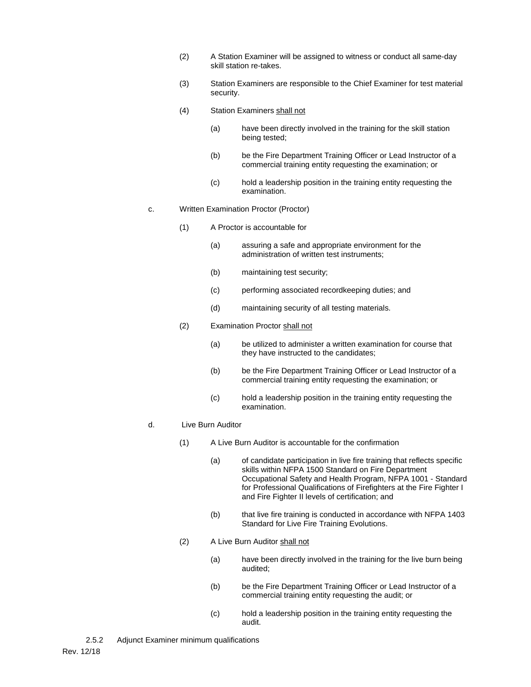- (2) A Station Examiner will be assigned to witness or conduct all same-day skill station re-takes.
- (3) Station Examiners are responsible to the Chief Examiner for test material security.
- (4) Station Examiners shall not
	- (a) have been directly involved in the training for the skill station being tested;
	- (b) be the Fire Department Training Officer or Lead Instructor of a commercial training entity requesting the examination; or
	- (c) hold a leadership position in the training entity requesting the examination.
- c. Written Examination Proctor (Proctor)
	- (1) A Proctor is accountable for
		- (a) assuring a safe and appropriate environment for the administration of written test instruments;
		- (b) maintaining test security;
		- (c) performing associated recordkeeping duties; and
		- (d) maintaining security of all testing materials.
	- (2) Examination Proctor shall not
		- (a) be utilized to administer a written examination for course that they have instructed to the candidates;
		- (b) be the Fire Department Training Officer or Lead Instructor of a commercial training entity requesting the examination; or
		- (c) hold a leadership position in the training entity requesting the examination.

#### d. Live Burn Auditor

- (1) A Live Burn Auditor is accountable for the confirmation
	- (a) of candidate participation in live fire training that reflects specific skills within NFPA 1500 Standard on Fire Department Occupational Safety and Health Program, NFPA 1001 - Standard for Professional Qualifications of Firefighters at the Fire Fighter I and Fire Fighter II levels of certification; and
	- (b) that live fire training is conducted in accordance with NFPA 1403 Standard for Live Fire Training Evolutions.
- (2) A Live Burn Auditor shall not
	- (a) have been directly involved in the training for the live burn being audited;
	- (b) be the Fire Department Training Officer or Lead Instructor of a commercial training entity requesting the audit; or
	- (c) hold a leadership position in the training entity requesting the audit.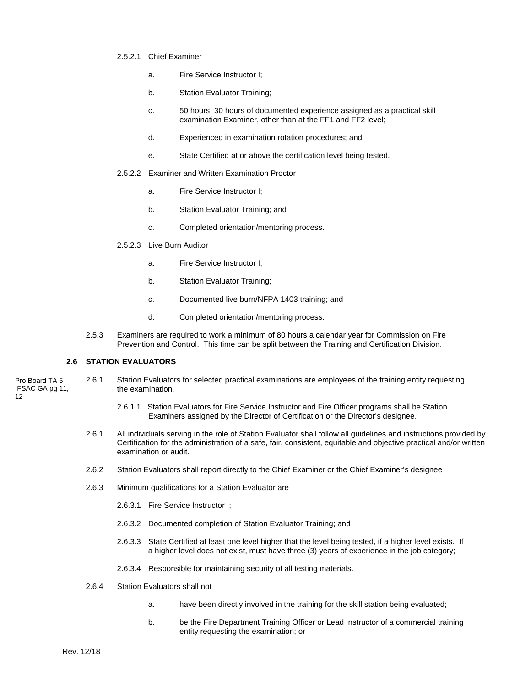- 2.5.2.1 Chief Examiner
	- a. Fire Service Instructor I;
	- b. Station Evaluator Training;
	- c. 50 hours, 30 hours of documented experience assigned as a practical skill examination Examiner, other than at the FF1 and FF2 level;
	- d. Experienced in examination rotation procedures; and
	- e. State Certified at or above the certification level being tested.
- 2.5.2.2 Examiner and Written Examination Proctor
	- a. Fire Service Instructor I;
	- b. Station Evaluator Training; and
	- c. Completed orientation/mentoring process.
- 2.5.2.3 Live Burn Auditor
	- a. Fire Service Instructor I;
	- b. Station Evaluator Training;
	- c. Documented live burn/NFPA 1403 training; and
	- d. Completed orientation/mentoring process.
- 2.5.3 Examiners are required to work a minimum of 80 hours a calendar year for Commission on Fire Prevention and Control. This time can be split between the Training and Certification Division.

#### **2.6 STATION EVALUATORS**

- 2.6.1 Station Evaluators for selected practical examinations are employees of the training entity requesting the examination. Pro Board TA 5 IFSAC GA pg 11, 12
	- 2.6.1.1 Station Evaluators for Fire Service Instructor and Fire Officer programs shall be Station Examiners assigned by the Director of Certification or the Director's designee.
	- 2.6.1 All individuals serving in the role of Station Evaluator shall follow all guidelines and instructions provided by Certification for the administration of a safe, fair, consistent, equitable and objective practical and/or written examination or audit.
	- 2.6.2 Station Evaluators shall report directly to the Chief Examiner or the Chief Examiner's designee
	- 2.6.3 Minimum qualifications for a Station Evaluator are
		- 2.6.3.1 Fire Service Instructor I;
		- 2.6.3.2 Documented completion of Station Evaluator Training; and
		- 2.6.3.3 State Certified at least one level higher that the level being tested, if a higher level exists. If a higher level does not exist, must have three (3) years of experience in the job category;
		- 2.6.3.4 Responsible for maintaining security of all testing materials.
	- 2.6.4 Station Evaluators shall not
		- a. have been directly involved in the training for the skill station being evaluated;
		- b. be the Fire Department Training Officer or Lead Instructor of a commercial training entity requesting the examination; or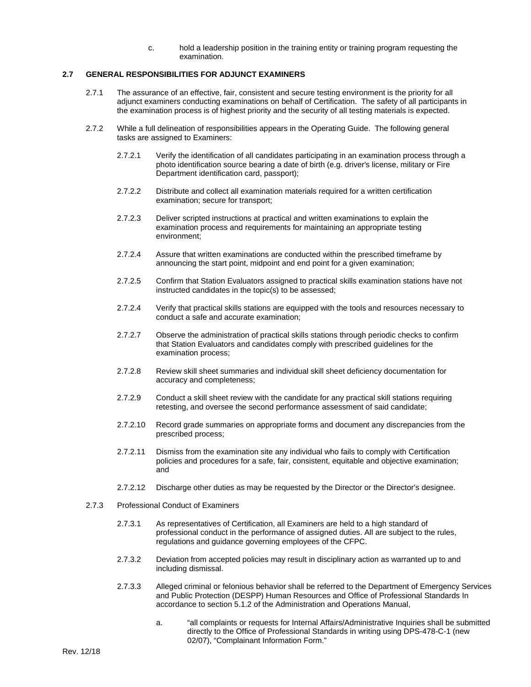c. hold a leadership position in the training entity or training program requesting the examination.

#### **2.7 GENERAL RESPONSIBILITIES FOR ADJUNCT EXAMINERS**

- 2.7.1 The assurance of an effective, fair, consistent and secure testing environment is the priority for all adjunct examiners conducting examinations on behalf of Certification. The safety of all participants in the examination process is of highest priority and the security of all testing materials is expected.
- 2.7.2 While a full delineation of responsibilities appears in the Operating Guide. The following general tasks are assigned to Examiners:
	- 2.7.2.1 Verify the identification of all candidates participating in an examination process through a photo identification source bearing a date of birth (e.g. driver's license, military or Fire Department identification card, passport);
	- 2.7.2.2 Distribute and collect all examination materials required for a written certification examination; secure for transport;
	- 2.7.2.3 Deliver scripted instructions at practical and written examinations to explain the examination process and requirements for maintaining an appropriate testing environment;
	- 2.7.2.4 Assure that written examinations are conducted within the prescribed timeframe by announcing the start point, midpoint and end point for a given examination;
	- 2.7.2.5 Confirm that Station Evaluators assigned to practical skills examination stations have not instructed candidates in the topic(s) to be assessed;
	- 2.7.2.4 Verify that practical skills stations are equipped with the tools and resources necessary to conduct a safe and accurate examination;
	- 2.7.2.7 Observe the administration of practical skills stations through periodic checks to confirm that Station Evaluators and candidates comply with prescribed guidelines for the examination process;
	- 2.7.2.8 Review skill sheet summaries and individual skill sheet deficiency documentation for accuracy and completeness;
	- 2.7.2.9 Conduct a skill sheet review with the candidate for any practical skill stations requiring retesting, and oversee the second performance assessment of said candidate;
	- 2.7.2.10 Record grade summaries on appropriate forms and document any discrepancies from the prescribed process;
	- 2.7.2.11 Dismiss from the examination site any individual who fails to comply with Certification policies and procedures for a safe, fair, consistent, equitable and objective examination; and
	- 2.7.2.12 Discharge other duties as may be requested by the Director or the Director's designee.
- 2.7.3 Professional Conduct of Examiners
	- 2.7.3.1 As representatives of Certification, all Examiners are held to a high standard of professional conduct in the performance of assigned duties. All are subject to the rules, regulations and guidance governing employees of the CFPC.
	- 2.7.3.2 Deviation from accepted policies may result in disciplinary action as warranted up to and including dismissal.
	- 2.7.3.3 Alleged criminal or felonious behavior shall be referred to the Department of Emergency Services and Public Protection (DESPP) Human Resources and Office of Professional Standards In accordance to section 5.1.2 of the Administration and Operations Manual,
		- a. "all complaints or requests for Internal Affairs/Administrative Inquiries shall be submitted directly to the Office of Professional Standards in writing using DPS-478-C-1 (new 02/07), "Complainant Information Form."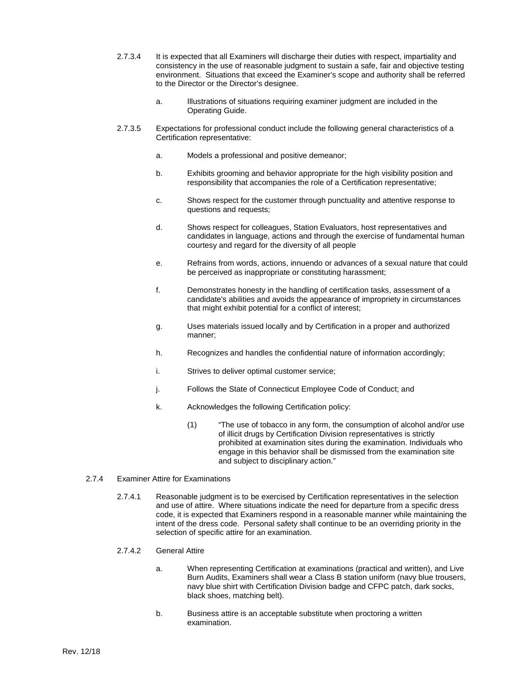- 2.7.3.4 It is expected that all Examiners will discharge their duties with respect, impartiality and consistency in the use of reasonable judgment to sustain a safe, fair and objective testing environment. Situations that exceed the Examiner's scope and authority shall be referred to the Director or the Director's designee.
	- a. Illustrations of situations requiring examiner judgment are included in the Operating Guide.
- 2.7.3.5 Expectations for professional conduct include the following general characteristics of a Certification representative:
	- a. Models a professional and positive demeanor;
	- b. Exhibits grooming and behavior appropriate for the high visibility position and responsibility that accompanies the role of a Certification representative;
	- c. Shows respect for the customer through punctuality and attentive response to questions and requests;
	- d. Shows respect for colleagues, Station Evaluators, host representatives and candidates in language, actions and through the exercise of fundamental human courtesy and regard for the diversity of all people
	- e. Refrains from words, actions, innuendo or advances of a sexual nature that could be perceived as inappropriate or constituting harassment;
	- f. Demonstrates honesty in the handling of certification tasks, assessment of a candidate's abilities and avoids the appearance of impropriety in circumstances that might exhibit potential for a conflict of interest;
	- g. Uses materials issued locally and by Certification in a proper and authorized manner;
	- h. Recognizes and handles the confidential nature of information accordingly;
	- i. Strives to deliver optimal customer service;
	- j. Follows the State of Connecticut Employee Code of Conduct; and
	- k. Acknowledges the following Certification policy:
		- (1) "The use of tobacco in any form, the consumption of alcohol and/or use of illicit drugs by Certification Division representatives is strictly prohibited at examination sites during the examination. Individuals who engage in this behavior shall be dismissed from the examination site and subject to disciplinary action."
- 2.7.4 Examiner Attire for Examinations
	- 2.7.4.1 Reasonable judgment is to be exercised by Certification representatives in the selection and use of attire. Where situations indicate the need for departure from a specific dress code, it is expected that Examiners respond in a reasonable manner while maintaining the intent of the dress code. Personal safety shall continue to be an overriding priority in the selection of specific attire for an examination.
	- 2.7.4.2 General Attire
		- a. When representing Certification at examinations (practical and written), and Live Burn Audits, Examiners shall wear a Class B station uniform (navy blue trousers, navy blue shirt with Certification Division badge and CFPC patch, dark socks, black shoes, matching belt).
		- b. Business attire is an acceptable substitute when proctoring a written examination.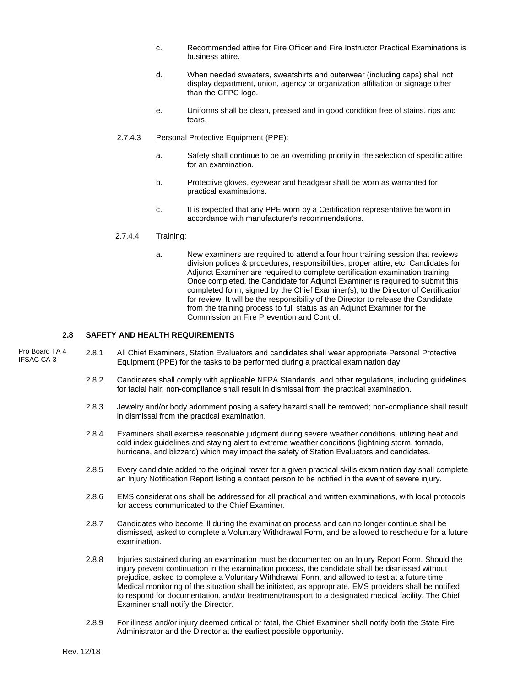- c. Recommended attire for Fire Officer and Fire Instructor Practical Examinations is business attire.
- d. When needed sweaters, sweatshirts and outerwear (including caps) shall not display department, union, agency or organization affiliation or signage other than the CFPC logo.
- e. Uniforms shall be clean, pressed and in good condition free of stains, rips and tears.
- 2.7.4.3 Personal Protective Equipment (PPE):
	- a. Safety shall continue to be an overriding priority in the selection of specific attire for an examination.
	- b. Protective gloves, eyewear and headgear shall be worn as warranted for practical examinations.
	- c. It is expected that any PPE worn by a Certification representative be worn in accordance with manufacturer's recommendations.

#### 2.7.4.4 Training:

a. New examiners are required to attend a four hour training session that reviews division polices & procedures, responsibilities, proper attire, etc. Candidates for Adjunct Examiner are required to complete certification examination training. Once completed, the Candidate for Adjunct Examiner is required to submit this completed form, signed by the Chief Examiner(s), to the Director of Certification for review. It will be the responsibility of the Director to release the Candidate from the training process to full status as an Adjunct Examiner for the Commission on Fire Prevention and Control.

#### **2.8 SAFETY AND HEALTH REQUIREMENTS**

- 2.8.1 All Chief Examiners, Station Evaluators and candidates shall wear appropriate Personal Protective Equipment (PPE) for the tasks to be performed during a practical examination day. Pro Board TA 4 IFSAC CA 3
	- 2.8.2 Candidates shall comply with applicable NFPA Standards, and other regulations, including guidelines for facial hair; non-compliance shall result in dismissal from the practical examination.
	- 2.8.3 Jewelry and/or body adornment posing a safety hazard shall be removed; non-compliance shall result in dismissal from the practical examination.
	- 2.8.4 Examiners shall exercise reasonable judgment during severe weather conditions, utilizing heat and cold index guidelines and staying alert to extreme weather conditions (lightning storm, tornado, hurricane, and blizzard) which may impact the safety of Station Evaluators and candidates.
	- 2.8.5 Every candidate added to the original roster for a given practical skills examination day shall complete an Injury Notification Report listing a contact person to be notified in the event of severe injury.
	- 2.8.6 EMS considerations shall be addressed for all practical and written examinations, with local protocols for access communicated to the Chief Examiner.
	- 2.8.7 Candidates who become ill during the examination process and can no longer continue shall be dismissed, asked to complete a Voluntary Withdrawal Form, and be allowed to reschedule for a future examination.
	- 2.8.8 Injuries sustained during an examination must be documented on an Injury Report Form. Should the injury prevent continuation in the examination process, the candidate shall be dismissed without prejudice, asked to complete a Voluntary Withdrawal Form, and allowed to test at a future time. Medical monitoring of the situation shall be initiated, as appropriate. EMS providers shall be notified to respond for documentation, and/or treatment/transport to a designated medical facility. The Chief Examiner shall notify the Director.
	- 2.8.9 For illness and/or injury deemed critical or fatal, the Chief Examiner shall notify both the State Fire Administrator and the Director at the earliest possible opportunity.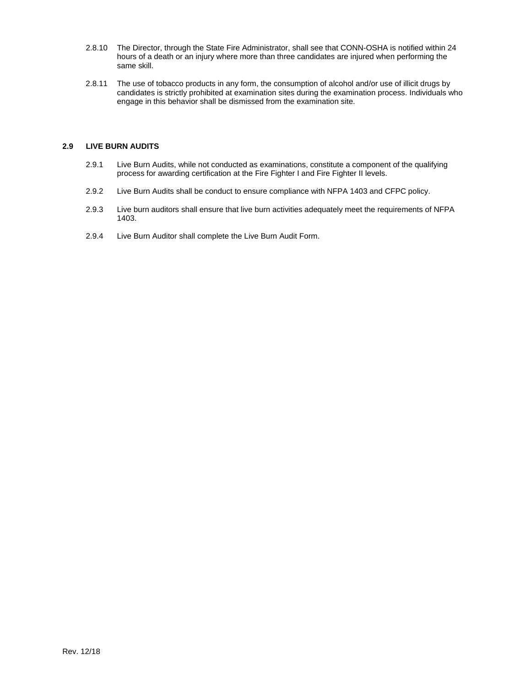- 2.8.10 The Director, through the State Fire Administrator, shall see that CONN-OSHA is notified within 24 hours of a death or an injury where more than three candidates are injured when performing the same skill.
- 2.8.11 The use of tobacco products in any form, the consumption of alcohol and/or use of illicit drugs by candidates is strictly prohibited at examination sites during the examination process. Individuals who engage in this behavior shall be dismissed from the examination site.

#### **2.9 LIVE BURN AUDITS**

- 2.9.1 Live Burn Audits, while not conducted as examinations, constitute a component of the qualifying process for awarding certification at the Fire Fighter I and Fire Fighter II levels.
- 2.9.2 Live Burn Audits shall be conduct to ensure compliance with NFPA 1403 and CFPC policy.
- 2.9.3 Live burn auditors shall ensure that live burn activities adequately meet the requirements of NFPA 1403.
- 2.9.4 Live Burn Auditor shall complete the Live Burn Audit Form.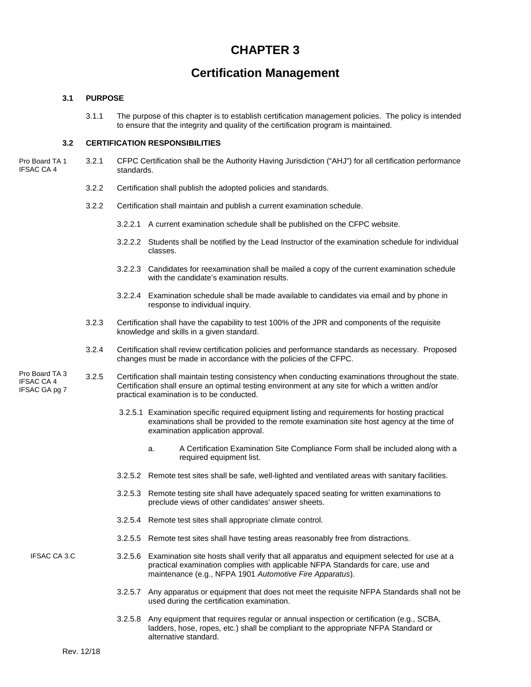## **CHAPTER 3**

## **Certification Management**

#### **3.1 PURPOSE**

3.1.1 The purpose of this chapter is to establish certification management policies. The policy is intended to ensure that the integrity and quality of the certification program is maintained.

#### **3.2 CERTIFICATION RESPONSIBILITIES**

- 3.2.1 CFPC Certification shall be the Authority Having Jurisdiction ("AHJ") for all certification performance standards. Pro Board TA 1 IFSAC CA 4
	- 3.2.2 Certification shall publish the adopted policies and standards.
	- 3.2.2 Certification shall maintain and publish a current examination schedule.
		- 3.2.2.1 A current examination schedule shall be published on the CFPC website.
		- 3.2.2.2 Students shall be notified by the Lead Instructor of the examination schedule for individual classes.
		- 3.2.2.3 Candidates for reexamination shall be mailed a copy of the current examination schedule with the candidate's examination results.
		- 3.2.2.4 Examination schedule shall be made available to candidates via email and by phone in response to individual inquiry.
	- 3.2.3 Certification shall have the capability to test 100% of the JPR and components of the requisite knowledge and skills in a given standard.
	- 3.2.4 Certification shall review certification policies and performance standards as necessary. Proposed changes must be made in accordance with the policies of the CFPC.
- 3.2.5 Certification shall maintain testing consistency when conducting examinations throughout the state. Certification shall ensure an optimal testing environment at any site for which a written and/or practical examination is to be conducted. Pro Board TA 3 IFSAC CA 4 IFSAC GA pg 7
	- 3.2.5.1 Examination specific required equipment listing and requirements for hosting practical examinations shall be provided to the remote examination site host agency at the time of examination application approval.
		- a. A Certification Examination Site Compliance Form shall be included along with a required equipment list.
	- 3.2.5.2 Remote test sites shall be safe, well-lighted and ventilated areas with sanitary facilities.
	- 3.2.5.3 Remote testing site shall have adequately spaced seating for written examinations to preclude views of other candidates' answer sheets.
	- 3.2.5.4 Remote test sites shall appropriate climate control.
	- 3.2.5.5 Remote test sites shall have testing areas reasonably free from distractions.
	- 3.2.5.6 Examination site hosts shall verify that all apparatus and equipment selected for use at a practical examination complies with applicable NFPA Standards for care, use and maintenance (e.g., NFPA 1901 *Automotive Fire Apparatus*). IFSAC CA 3.C
		- 3.2.5.7 Any apparatus or equipment that does not meet the requisite NFPA Standards shall not be used during the certification examination.
		- 3.2.5.8 Any equipment that requires regular or annual inspection or certification (e.g., SCBA, ladders, hose, ropes, etc.) shall be compliant to the appropriate NFPA Standard or alternative standard.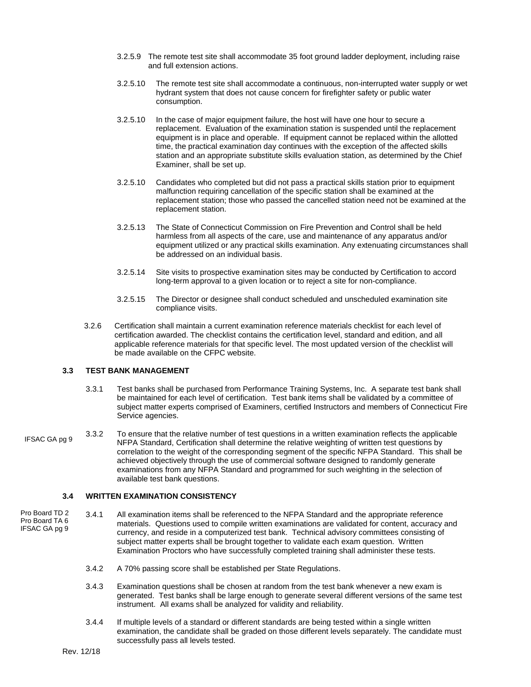- 3.2.5.9 The remote test site shall accommodate 35 foot ground ladder deployment, including raise and full extension actions.
- 3.2.5.10 The remote test site shall accommodate a continuous, non-interrupted water supply or wet hydrant system that does not cause concern for firefighter safety or public water consumption.
- 3.2.5.10 In the case of major equipment failure, the host will have one hour to secure a replacement. Evaluation of the examination station is suspended until the replacement equipment is in place and operable. If equipment cannot be replaced within the allotted time, the practical examination day continues with the exception of the affected skills station and an appropriate substitute skills evaluation station, as determined by the Chief Examiner, shall be set up.
- 3.2.5.10 Candidates who completed but did not pass a practical skills station prior to equipment malfunction requiring cancellation of the specific station shall be examined at the replacement station; those who passed the cancelled station need not be examined at the replacement station.
- 3.2.5.13 The State of Connecticut Commission on Fire Prevention and Control shall be held harmless from all aspects of the care, use and maintenance of any apparatus and/or equipment utilized or any practical skills examination. Any extenuating circumstances shall be addressed on an individual basis.
- 3.2.5.14 Site visits to prospective examination sites may be conducted by Certification to accord long-term approval to a given location or to reject a site for non-compliance.
- 3.2.5.15 The Director or designee shall conduct scheduled and unscheduled examination site compliance visits.
- 3.2.6 Certification shall maintain a current examination reference materials checklist for each level of certification awarded. The checklist contains the certification level, standard and edition, and all applicable reference materials for that specific level. The most updated version of the checklist will be made available on the CFPC website.

#### **3.3 TEST BANK MANAGEMENT**

- 3.3.1 Test banks shall be purchased from Performance Training Systems, Inc. A separate test bank shall be maintained for each level of certification. Test bank items shall be validated by a committee of subject matter experts comprised of Examiners, certified Instructors and members of Connecticut Fire Service agencies.
- 3.3.2 To ensure that the relative number of test questions in a written examination reflects the applicable NFPA Standard, Certification shall determine the relative weighting of written test questions by correlation to the weight of the corresponding segment of the specific NFPA Standard. This shall be achieved objectively through the use of commercial software designed to randomly generate examinations from any NFPA Standard and programmed for such weighting in the selection of available test bank questions. IFSAC GA pg 9

#### **3.4 WRITTEN EXAMINATION CONSISTENCY**

- 3.4.1 All examination items shall be referenced to the NFPA Standard and the appropriate reference materials. Questions used to compile written examinations are validated for content, accuracy and currency, and reside in a computerized test bank. Technical advisory committees consisting of subject matter experts shall be brought together to validate each exam question. Written Examination Proctors who have successfully completed training shall administer these tests. Pro Board TD 2 Pro Board TA 6 IFSAC GA pg 9
	- 3.4.2 A 70% passing score shall be established per State Regulations.
	- 3.4.3 Examination questions shall be chosen at random from the test bank whenever a new exam is generated. Test banks shall be large enough to generate several different versions of the same test instrument. All exams shall be analyzed for validity and reliability.
	- 3.4.4 If multiple levels of a standard or different standards are being tested within a single written examination, the candidate shall be graded on those different levels separately. The candidate must successfully pass all levels tested.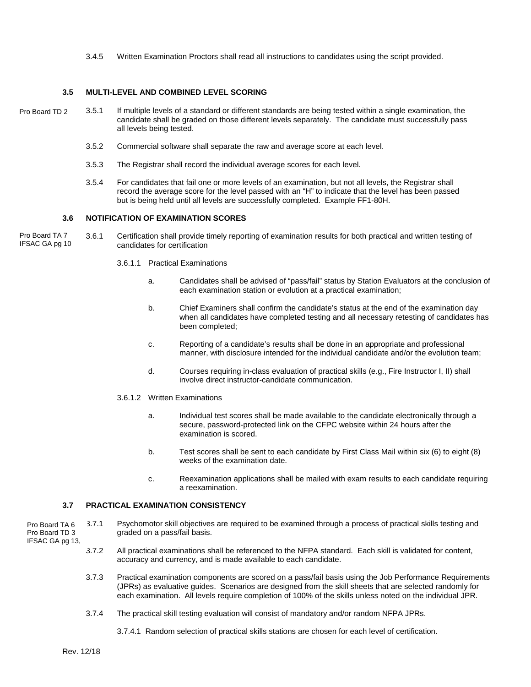3.4.5 Written Examination Proctors shall read all instructions to candidates using the script provided.

#### **3.5 MULTI-LEVEL AND COMBINED LEVEL SCORING**

- 3.5.1 If multiple levels of a standard or different standards are being tested within a single examination, the candidate shall be graded on those different levels separately. The candidate must successfully pass all levels being tested. Pro Board TD 2
	- 3.5.2 Commercial software shall separate the raw and average score at each level.
	- 3.5.3 The Registrar shall record the individual average scores for each level.
	- 3.5.4 For candidates that fail one or more levels of an examination, but not all levels, the Registrar shall record the average score for the level passed with an "H" to indicate that the level has been passed but is being held until all levels are successfully completed. Example FF1-80H.

#### **3.6 NOTIFICATION OF EXAMINATION SCORES**

- 3.6.1 Certification shall provide timely reporting of examination results for both practical and written testing of candidates for certification Pro Board TA 7 IFSAC GA pg 10
	- 3.6.1.1 Practical Examinations
		- a. Candidates shall be advised of "pass/fail" status by Station Evaluators at the conclusion of each examination station or evolution at a practical examination;
		- b. Chief Examiners shall confirm the candidate's status at the end of the examination day when all candidates have completed testing and all necessary retesting of candidates has been completed;
		- c. Reporting of a candidate's results shall be done in an appropriate and professional manner, with disclosure intended for the individual candidate and/or the evolution team;
		- d. Courses requiring in-class evaluation of practical skills (e.g., Fire Instructor I, II) shall involve direct instructor-candidate communication.
	- 3.6.1.2 Written Examinations
		- a. Individual test scores shall be made available to the candidate electronically through a secure, password-protected link on the CFPC website within 24 hours after the examination is scored.
		- b. Test scores shall be sent to each candidate by First Class Mail within six (6) to eight (8) weeks of the examination date.
		- c. Reexamination applications shall be mailed with exam results to each candidate requiring a reexamination.

#### **3.7 PRACTICAL EXAMINATION CONSISTENCY**

3.7.1 Psychomotor skill objectives are required to be examined through a process of practical skills testing and graded on a pass/fail basis. Pro Board TA 6 Pro Board TD 3

- IFSAC GA pg 13,
	- 3.7.2 All practical examinations shall be referenced to the NFPA standard. Each skill is validated for content, accuracy and currency, and is made available to each candidate.
	- 3.7.3 Practical examination components are scored on a pass/fail basis using the Job Performance Requirements (JPRs) as evaluative guides. Scenarios are designed from the skill sheets that are selected randomly for each examination. All levels require completion of 100% of the skills unless noted on the individual JPR.
	- 3.7.4 The practical skill testing evaluation will consist of mandatory and/or random NFPA JPRs.
		- 3.7.4.1 Random selection of practical skills stations are chosen for each level of certification.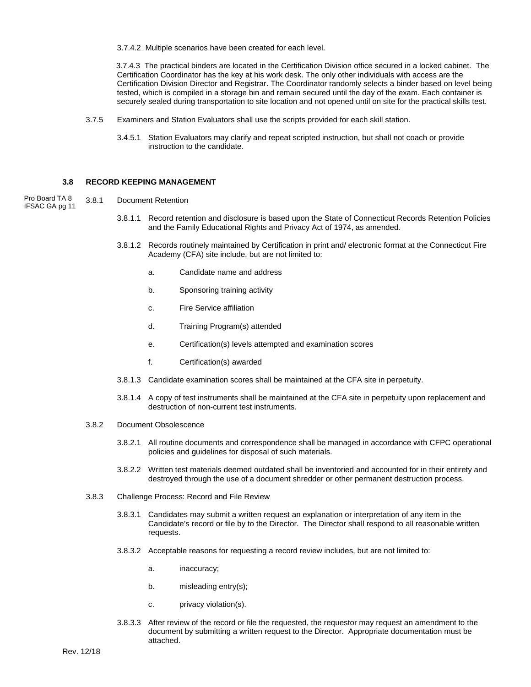3.7.4.2 Multiple scenarios have been created for each level.

 3.7.4.3 The practical binders are located in the Certification Division office secured in a locked cabinet. The Certification Coordinator has the key at his work desk. The only other individuals with access are the Certification Division Director and Registrar. The Coordinator randomly selects a binder based on level being tested, which is compiled in a storage bin and remain secured until the day of the exam. Each container is securely sealed during transportation to site location and not opened until on site for the practical skills test.

- 3.7.5 Examiners and Station Evaluators shall use the scripts provided for each skill station.
	- 3.4.5.1 Station Evaluators may clarify and repeat scripted instruction, but shall not coach or provide instruction to the candidate.

#### **3.8 RECORD KEEPING MANAGEMENT**

- 3.8.1 Document Retention Pro Board TA 8 IFSAC GA pg 11
	- 3.8.1.1 Record retention and disclosure is based upon the State of Connecticut Records Retention Policies and the Family Educational Rights and Privacy Act of 1974, as amended.
	- 3.8.1.2 Records routinely maintained by Certification in print and/ electronic format at the Connecticut Fire Academy (CFA) site include, but are not limited to:
		- a. Candidate name and address
		- b. Sponsoring training activity
		- c. Fire Service affiliation
		- d. Training Program(s) attended
		- e. Certification(s) levels attempted and examination scores
		- f. Certification(s) awarded
	- 3.8.1.3 Candidate examination scores shall be maintained at the CFA site in perpetuity.
	- 3.8.1.4 A copy of test instruments shall be maintained at the CFA site in perpetuity upon replacement and destruction of non-current test instruments.
	- 3.8.2 Document Obsolescence
		- 3.8.2.1 All routine documents and correspondence shall be managed in accordance with CFPC operational policies and guidelines for disposal of such materials.
		- 3.8.2.2 Written test materials deemed outdated shall be inventoried and accounted for in their entirety and destroyed through the use of a document shredder or other permanent destruction process.
	- 3.8.3 Challenge Process: Record and File Review
		- 3.8.3.1 Candidates may submit a written request an explanation or interpretation of any item in the Candidate's record or file by to the Director. The Director shall respond to all reasonable written requests.
		- 3.8.3.2 Acceptable reasons for requesting a record review includes, but are not limited to:
			- a. inaccuracy;
			- b. misleading entry(s);
			- c. privacy violation(s).
		- 3.8.3.3 After review of the record or file the requested, the requestor may request an amendment to the document by submitting a written request to the Director. Appropriate documentation must be attached.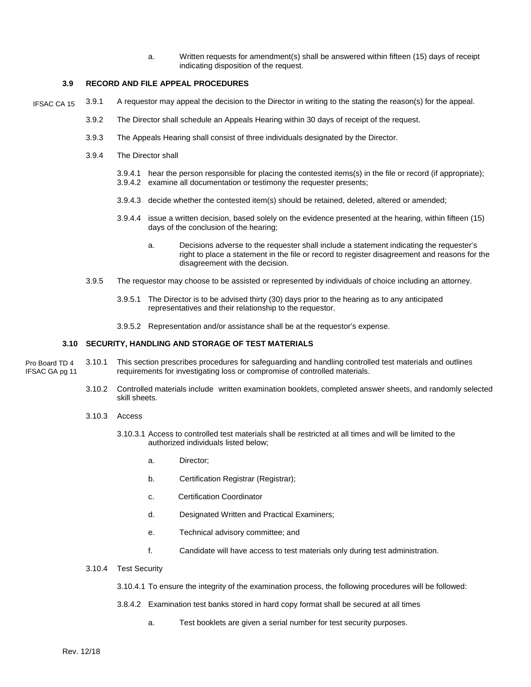a. Written requests for amendment(s) shall be answered within fifteen (15) days of receipt indicating disposition of the request.

#### **3.9 RECORD AND FILE APPEAL PROCEDURES**

- 3.9.1 A requestor may appeal the decision to the Director in writing to the stating the reason(s) for the appeal. IFSAC CA 15
	- 3.9.2 The Director shall schedule an Appeals Hearing within 30 days of receipt of the request.
	- 3.9.3 The Appeals Hearing shall consist of three individuals designated by the Director.
	- 3.9.4 The Director shall
		- 3.9.4.1 hear the person responsible for placing the contested items(s) in the file or record (if appropriate); 3.9.4.2 examine all documentation or testimony the requester presents;
		- 3.9.4.3 decide whether the contested item(s) should be retained, deleted, altered or amended;
		- 3.9.4.4 issue a written decision, based solely on the evidence presented at the hearing, within fifteen (15) days of the conclusion of the hearing;
			- a. Decisions adverse to the requester shall include a statement indicating the requester's right to place a statement in the file or record to register disagreement and reasons for the disagreement with the decision.
	- 3.9.5 The requestor may choose to be assisted or represented by individuals of choice including an attorney.
		- 3.9.5.1 The Director is to be advised thirty (30) days prior to the hearing as to any anticipated representatives and their relationship to the requestor.
		- 3.9.5.2 Representation and/or assistance shall be at the requestor's expense.

#### **3.10 SECURITY, HANDLING AND STORAGE OF TEST MATERIALS**

- 3.10.1 This section prescribes procedures for safeguarding and handling controlled test materials and outlines requirements for investigating loss or compromise of controlled materials. Pro Board TD 4 IFSAC GA pg 11
	- 3.10.2 Controlled materials include written examination booklets, completed answer sheets, and randomly selected skill sheets.
	- 3.10.3 Access
		- 3.10.3.1 Access to controlled test materials shall be restricted at all times and will be limited to the authorized individuals listed below;
			- a. Director;
			- b. Certification Registrar (Registrar);
			- c. Certification Coordinator
			- d. Designated Written and Practical Examiners;
			- e. Technical advisory committee; and
			- f. Candidate will have access to test materials only during test administration.
	- 3.10.4 Test Security
		- 3.10.4.1 To ensure the integrity of the examination process, the following procedures will be followed:
		- 3.8.4.2 Examination test banks stored in hard copy format shall be secured at all times
			- a. Test booklets are given a serial number for test security purposes.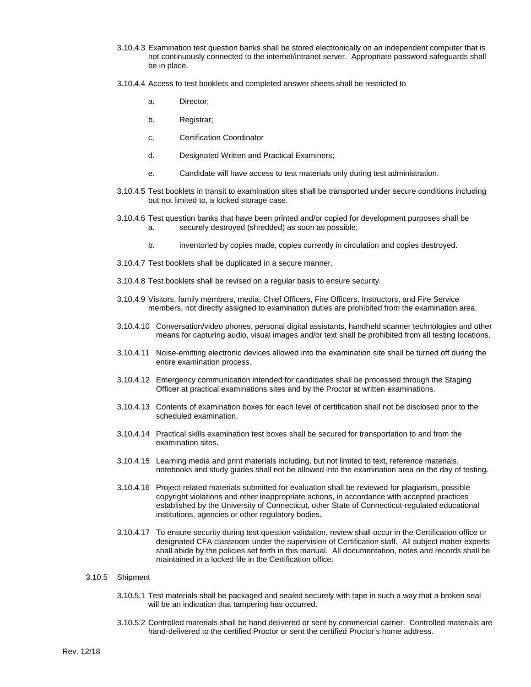- 3.10.4.3 Examination test question banks shall be stored electronically on an independent computer that is not continuously connected to the internet/intranet server. Appropriate password safeguards shall be in place.
- 3.10.4.4 Access to test booklets and completed answer sheets shall be restricted to
	- a. Director;
	- b. Registrar;
	- c. Certification Coordinator
	- d. Designated Written and Practical Examiners;
	- e. Candidate will have access to test materials only during test administration.
- 3.10.4.5 Test booklets in transit to examination sites shall be transported under secure conditions including but not limited to, a locked storage case.
- 3.10.4.6 Test question banks that have been printed and/or copied for development purposes shall be a. securely destroyed (shredded) as soon as possible;
	- b. inventoried by copies made, copies currently in circulation and copies destroyed.
- 3.10.4.7 Test booklets shall be duplicated in a secure manner.
- 3.10.4.8 Test booklets shall be revised on a regular basis to ensure security.
- 3.10.4.9 Visitors, family members, media, Chief Officers, Fire Officers, Instructors, and Fire Service members, not directly assigned to examination duties are prohibited from the examination area.
- 3.10.4.10 Conversation/video phones, personal digital assistants, handheld scanner technologies and other means for capturing audio, visual images and/or text shall be prohibited from all testing locations.
- 3.10.4.11 Noise-emitting electronic devices allowed into the examination site shall be turned off during the entire examination process.
- 3.10.4.12 Emergency communication intended for candidates shall be processed through the Staging Officer at practical examinations sites and by the Proctor at written examinations.
- 3.10.4.13 Contents of examination boxes for each level of certification shall not be disclosed prior to the scheduled examination.
- 3.10.4.14 Practical skills examination test boxes shall be secured for transportation to and from the examination sites.
- 3.10.4.15 Learning media and print materials including, but not limited to text, reference materials, notebooks and study guides shall not be allowed into the examination area on the day of testing.
- 3.10.4.16 Project-related materials submitted for evaluation shall be reviewed for plagiarism, possible copyright violations and other inappropriate actions, in accordance with accepted practices established by the University of Connecticut, other State of Connecticut-regulated educational institutions, agencies or other regulatory bodies.
- 3.10.4.17 To ensure security during test question validation, review shall occur in the Certification office or designated CFA classroom under the supervision of Certification staff. All subject matter experts shall abide by the policies set forth in this manual. All documentation, notes and records shall be maintained in a locked file in the Certification office.

#### 3.10.5 Shipment

- 3.10.5.1 Test materials shall be packaged and sealed securely with tape in such a way that a broken seal will be an indication that tampering has occurred.
- 3.10.5.2 Controlled materials shall be hand delivered or sent by commercial carrier. Controlled materials are hand-delivered to the certified Proctor or sent the certified Proctor's home address.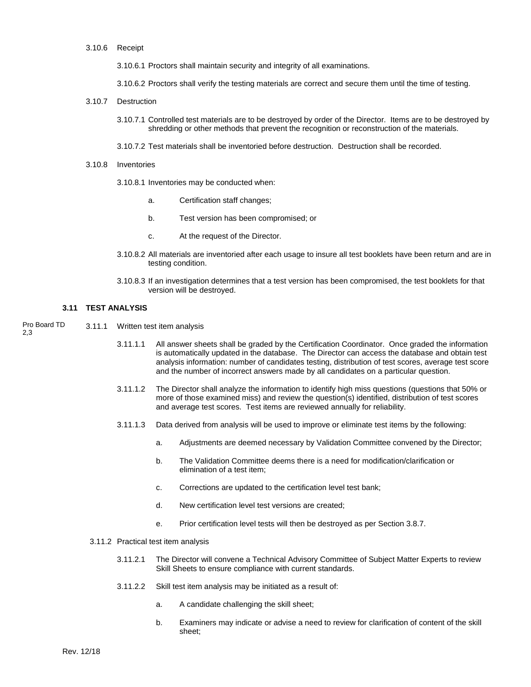3.10.6 Receipt

3.10.6.1 Proctors shall maintain security and integrity of all examinations.

3.10.6.2 Proctors shall verify the testing materials are correct and secure them until the time of testing.

- 3.10.7 Destruction
	- 3.10.7.1 Controlled test materials are to be destroyed by order of the Director. Items are to be destroyed by shredding or other methods that prevent the recognition or reconstruction of the materials.

3.10.7.2 Test materials shall be inventoried before destruction. Destruction shall be recorded.

- 3.10.8 Inventories
	- 3.10.8.1 Inventories may be conducted when:
		- a. Certification staff changes;
		- b. Test version has been compromised; or
		- c. At the request of the Director.
	- 3.10.8.2 All materials are inventoried after each usage to insure all test booklets have been return and are in testing condition.
	- 3.10.8.3 If an investigation determines that a test version has been compromised, the test booklets for that version will be destroyed.

#### **3.11 TEST ANALYSIS**

3.11.1 Written test item analysis Pro Board TD 2,3

- 3.11.1.1 All answer sheets shall be graded by the Certification Coordinator. Once graded the information is automatically updated in the database. The Director can access the database and obtain test analysis information: number of candidates testing, distribution of test scores, average test score and the number of incorrect answers made by all candidates on a particular question.
- 3.11.1.2 The Director shall analyze the information to identify high miss questions (questions that 50% or more of those examined miss) and review the question(s) identified, distribution of test scores and average test scores. Test items are reviewed annually for reliability.
- 3.11.1.3 Data derived from analysis will be used to improve or eliminate test items by the following:
	- a. Adjustments are deemed necessary by Validation Committee convened by the Director;
	- b. The Validation Committee deems there is a need for modification/clarification or elimination of a test item;
	- c. Corrections are updated to the certification level test bank;
	- d. New certification level test versions are created;
	- e. Prior certification level tests will then be destroyed as per Section 3.8.7.
- 3.11.2 Practical test item analysis
	- 3.11.2.1 The Director will convene a Technical Advisory Committee of Subject Matter Experts to review Skill Sheets to ensure compliance with current standards.
	- 3.11.2.2 Skill test item analysis may be initiated as a result of:
		- a. A candidate challenging the skill sheet;
		- b. Examiners may indicate or advise a need to review for clarification of content of the skill sheet;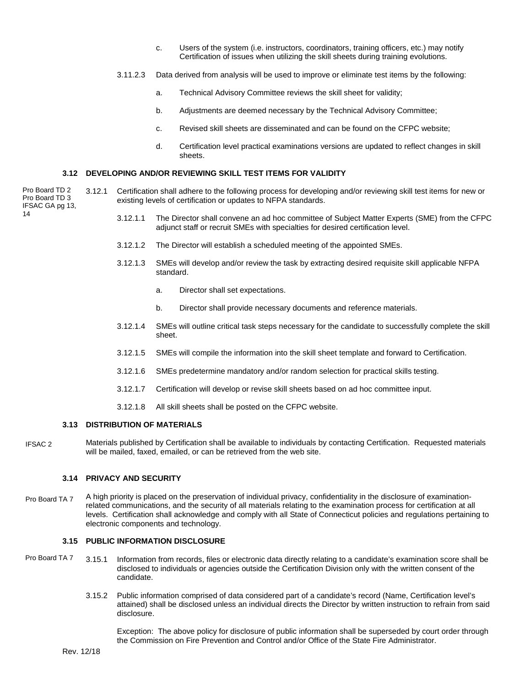- c. Users of the system (i.e. instructors, coordinators, training officers, etc.) may notify Certification of issues when utilizing the skill sheets during training evolutions.
- 3.11.2.3 Data derived from analysis will be used to improve or eliminate test items by the following:
	- a. Technical Advisory Committee reviews the skill sheet for validity;
	- b. Adjustments are deemed necessary by the Technical Advisory Committee;
	- c. Revised skill sheets are disseminated and can be found on the CFPC website;
	- d. Certification level practical examinations versions are updated to reflect changes in skill sheets.

#### **3.12 DEVELOPING AND/OR REVIEWING SKILL TEST ITEMS FOR VALIDITY**

3.12.1 Certification shall adhere to the following process for developing and/or reviewing skill test items for new or existing levels of certification or updates to NFPA standards. Pro Board TD 2 Pro Board TD 3 IFSAC GA pg 13,

- 3.12.1.1 The Director shall convene an ad hoc committee of Subject Matter Experts (SME) from the CFPC adjunct staff or recruit SMEs with specialties for desired certification level.
- 3.12.1.2 The Director will establish a scheduled meeting of the appointed SMEs.
- 3.12.1.3 SMEs will develop and/or review the task by extracting desired requisite skill applicable NFPA standard.
	- a. Director shall set expectations.
	- b. Director shall provide necessary documents and reference materials.
- 3.12.1.4 SMEs will outline critical task steps necessary for the candidate to successfully complete the skill sheet.
- 3.12.1.5 SMEs will compile the information into the skill sheet template and forward to Certification.
- 3.12.1.6 SMEs predetermine mandatory and/or random selection for practical skills testing.
- 3.12.1.7 Certification will develop or revise skill sheets based on ad hoc committee input.
- 3.12.1.8 All skill sheets shall be posted on the CFPC website.

#### **3.13 DISTRIBUTION OF MATERIALS**

Materials published by Certification shall be available to individuals by contacting Certification. Requested materials will be mailed, faxed, emailed, or can be retrieved from the web site. IFSAC 2

#### **3.14 PRIVACY AND SECURITY**

A high priority is placed on the preservation of individual privacy, confidentiality in the disclosure of examinationrelated communications, and the security of all materials relating to the examination process for certification at all levels. Certification shall acknowledge and comply with all State of Connecticut policies and regulations pertaining to electronic components and technology. Pro Board TA 7

#### **3.15 PUBLIC INFORMATION DISCLOSURE**

- 3.15.1 Information from records, files or electronic data directly relating to a candidate's examination score shall be disclosed to individuals or agencies outside the Certification Division only with the written consent of the candidate. Pro Board TA 7
	- 3.15.2 Public information comprised of data considered part of a candidate's record (Name, Certification level's attained) shall be disclosed unless an individual directs the Director by written instruction to refrain from said disclosure.

Exception: The above policy for disclosure of public information shall be superseded by court order through the Commission on Fire Prevention and Control and/or Office of the State Fire Administrator.

14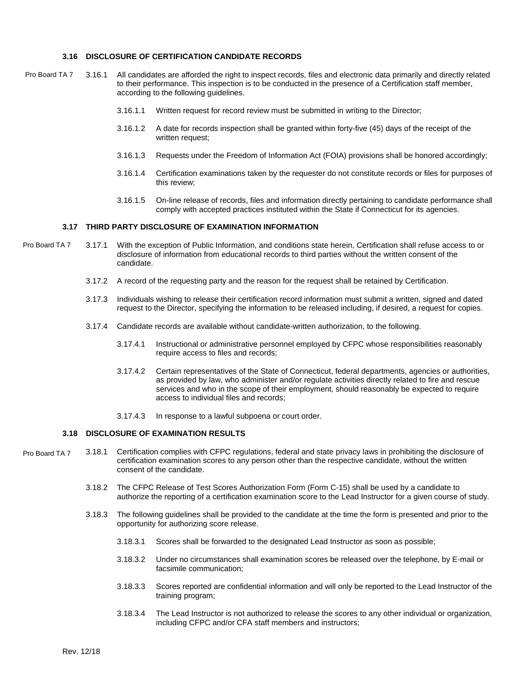#### **3.16 DISCLOSURE OF CERTIFICATION CANDIDATE RECORDS**

- 3.16.1 All candidates are afforded the right to inspect records, files and electronic data primarily and directly related to their performance. This inspection is to be conducted in the presence of a Certification staff member, according to the following guidelines. Pro Board TA 7
	- 3.16.1.1 Written request for record review must be submitted in writing to the Director;
	- 3.16.1.2 A date for records inspection shall be granted within forty-five (45) days of the receipt of the written request;
	- 3.16.1.3 Requests under the Freedom of Information Act (FOIA) provisions shall be honored accordingly;
	- 3.16.1.4 Certification examinations taken by the requester do not constitute records or files for purposes of this review;
	- 3.16.1.5 On-line release of records, files and information directly pertaining to candidate performance shall comply with accepted practices instituted within the State if Connecticut for its agencies.

#### **3.17 THIRD PARTY DISCLOSURE OF EXAMINATION INFORMATION**

- 3.17.1 With the exception of Public Information, and conditions state herein, Certification shall refuse access to or disclosure of information from educational records to third parties without the written consent of the candidate. Pro Board TA 7
	- 3.17.2 A record of the requesting party and the reason for the request shall be retained by Certification.
	- 3.17.3 Individuals wishing to release their certification record information must submit a written, signed and dated request to the Director, specifying the information to be released including, if desired, a request for copies.
	- 3.17.4 Candidate records are available without candidate-written authorization, to the following.
		- 3.17.4.1 Instructional or administrative personnel employed by CFPC whose responsibilities reasonably require access to files and records;
		- 3.17.4.2 Certain representatives of the State of Connecticut, federal departments, agencies or authorities, as provided by law, who administer and/or regulate activities directly related to fire and rescue services and who in the scope of their employment, should reasonably be expected to require access to individual files and records;
		- 3.17.4.3 In response to a lawful subpoena or court order.

#### **3.18 DISCLOSURE OF EXAMINATION RESULTS**

- 3.18.1 Certification complies with CFPC regulations, federal and state privacy laws in prohibiting the disclosure of certification examination scores to any person other than the respective candidate, without the written consent of the candidate. Pro Board TA 7
	- 3.18.2 The CFPC Release of Test Scores Authorization Form (Form C-15) shall be used by a candidate to authorize the reporting of a certification examination score to the Lead Instructor for a given course of study.
	- 3.18.3 The following guidelines shall be provided to the candidate at the time the form is presented and prior to the opportunity for authorizing score release.
		- 3.18.3.1 Scores shall be forwarded to the designated Lead Instructor as soon as possible;
		- 3.18.3.2 Under no circumstances shall examination scores be released over the telephone, by E-mail or facsimile communication;
		- 3.18.3.3 Scores reported are confidential information and will only be reported to the Lead Instructor of the training program;
		- 3.18.3.4 The Lead Instructor is not authorized to release the scores to any other individual or organization, including CFPC and/or CFA staff members and instructors;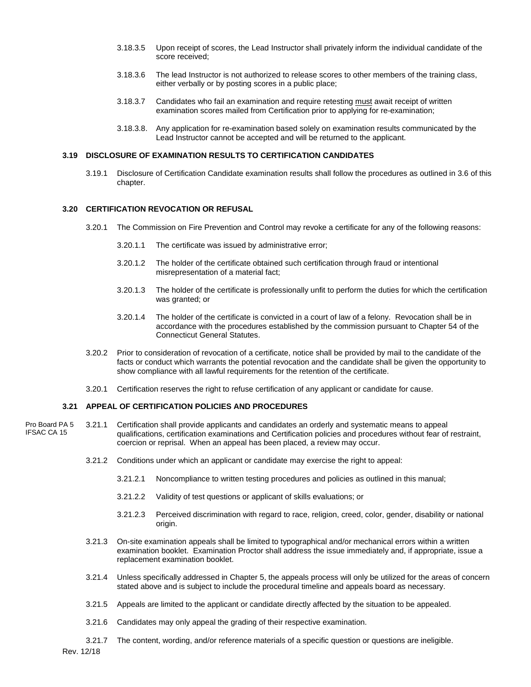- 3.18.3.5 Upon receipt of scores, the Lead Instructor shall privately inform the individual candidate of the score received;
- 3.18.3.6 The lead Instructor is not authorized to release scores to other members of the training class, either verbally or by posting scores in a public place;
- 3.18.3.7 Candidates who fail an examination and require retesting must await receipt of written examination scores mailed from Certification prior to applying for re-examination;
- 3.18.3.8. Any application for re-examination based solely on examination results communicated by the Lead Instructor cannot be accepted and will be returned to the applicant.

#### **3.19 DISCLOSURE OF EXAMINATION RESULTS TO CERTIFICATION CANDIDATES**

3.19.1 Disclosure of Certification Candidate examination results shall follow the procedures as outlined in 3.6 of this chapter.

#### **3.20 CERTIFICATION REVOCATION OR REFUSAL**

- 3.20.1 The Commission on Fire Prevention and Control may revoke a certificate for any of the following reasons:
	- 3.20.1.1 The certificate was issued by administrative error;
	- 3.20.1.2 The holder of the certificate obtained such certification through fraud or intentional misrepresentation of a material fact;
	- 3.20.1.3 The holder of the certificate is professionally unfit to perform the duties for which the certification was granted; or
	- 3.20.1.4 The holder of the certificate is convicted in a court of law of a felony. Revocation shall be in accordance with the procedures established by the commission pursuant to Chapter 54 of the Connecticut General Statutes.
- 3.20.2 Prior to consideration of revocation of a certificate, notice shall be provided by mail to the candidate of the facts or conduct which warrants the potential revocation and the candidate shall be given the opportunity to show compliance with all lawful requirements for the retention of the certificate.
- 3.20.1 Certification reserves the right to refuse certification of any applicant or candidate for cause.

#### **3.21 APPEAL OF CERTIFICATION POLICIES AND PROCEDURES**

- 3.21.1 Certification shall provide applicants and candidates an orderly and systematic means to appeal qualifications, certification examinations and Certification policies and procedures without fear of restraint, coercion or reprisal. When an appeal has been placed, a review may occur. Pro Board PA 5 IFSAC CA 15
	- 3.21.2 Conditions under which an applicant or candidate may exercise the right to appeal:
		- 3.21.2.1 Noncompliance to written testing procedures and policies as outlined in this manual;
		- 3.21.2.2 Validity of test questions or applicant of skills evaluations; or
		- 3.21.2.3 Perceived discrimination with regard to race, religion, creed, color, gender, disability or national origin.
	- 3.21.3 On-site examination appeals shall be limited to typographical and/or mechanical errors within a written examination booklet. Examination Proctor shall address the issue immediately and, if appropriate, issue a replacement examination booklet.
	- 3.21.4 Unless specifically addressed in Chapter 5, the appeals process will only be utilized for the areas of concern stated above and is subject to include the procedural timeline and appeals board as necessary.
	- 3.21.5 Appeals are limited to the applicant or candidate directly affected by the situation to be appealed.
	- 3.21.6 Candidates may only appeal the grading of their respective examination.
	- 3.21.7 The content, wording, and/or reference materials of a specific question or questions are ineligible.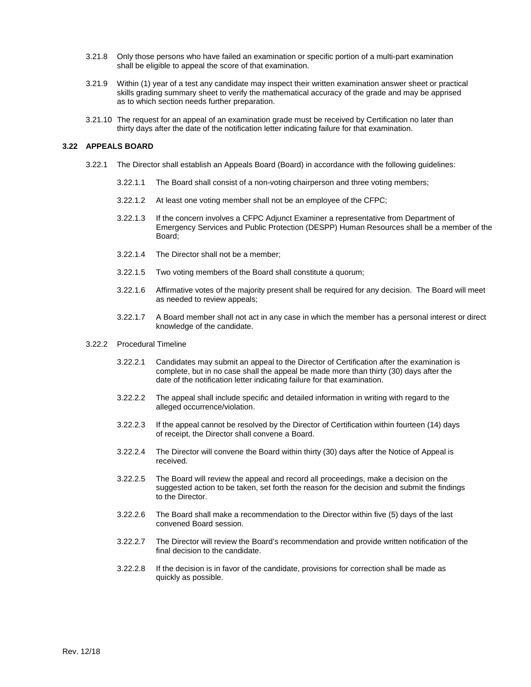- 3.21.8 Only those persons who have failed an examination or specific portion of a multi-part examination shall be eligible to appeal the score of that examination.
- 3.21.9 Within (1) year of a test any candidate may inspect their written examination answer sheet or practical skills grading summary sheet to verify the mathematical accuracy of the grade and may be apprised as to which section needs further preparation.
- 3.21.10 The request for an appeal of an examination grade must be received by Certification no later than thirty days after the date of the notification letter indicating failure for that examination.

#### **3.22 APPEALS BOARD**

- 3.22.1 The Director shall establish an Appeals Board (Board) in accordance with the following guidelines:
	- 3.22.1.1 The Board shall consist of a non-voting chairperson and three voting members;
	- 3.22.1.2 At least one voting member shall not be an employee of the CFPC;
	- 3.22.1.3 If the concern involves a CFPC Adjunct Examiner a representative from Department of Emergency Services and Public Protection (DESPP) Human Resources shall be a member of the Board;
	- 3.22.1.4 The Director shall not be a member;
	- 3.22.1.5 Two voting members of the Board shall constitute a quorum;
	- 3.22.1.6 Affirmative votes of the majority present shall be required for any decision. The Board will meet as needed to review appeals;
	- 3.22.1.7 A Board member shall not act in any case in which the member has a personal interest or direct knowledge of the candidate.
- 3.22.2 Procedural Timeline
	- 3.22.2.1 Candidates may submit an appeal to the Director of Certification after the examination is complete, but in no case shall the appeal be made more than thirty (30) days after the date of the notification letter indicating failure for that examination.
	- 3.22.2.2 The appeal shall include specific and detailed information in writing with regard to the alleged occurrence/violation.
	- 3.22.2.3 If the appeal cannot be resolved by the Director of Certification within fourteen (14) days of receipt, the Director shall convene a Board.
	- 3.22.2.4 The Director will convene the Board within thirty (30) days after the Notice of Appeal is received.
	- 3.22.2.5 The Board will review the appeal and record all proceedings, make a decision on the suggested action to be taken, set forth the reason for the decision and submit the findings to the Director.
	- 3.22.2.6 The Board shall make a recommendation to the Director within five (5) days of the last convened Board session.
	- 3.22.2.7 The Director will review the Board's recommendation and provide written notification of the final decision to the candidate.
	- 3.22.2.8 If the decision is in favor of the candidate, provisions for correction shall be made as quickly as possible.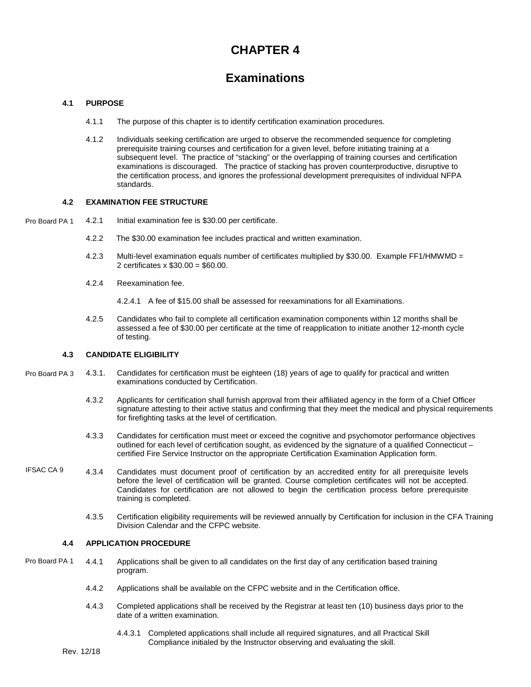## **CHAPTER 4**

## **Examinations**

#### **4.1 PURPOSE**

- 4.1.1 The purpose of this chapter is to identify certification examination procedures.
- 4.1.2 Individuals seeking certification are urged to observe the recommended sequence for completing prerequisite training courses and certification for a given level, before initiating training at a subsequent level. The practice of "stacking" or the overlapping of training courses and certification examinations is discouraged. The practice of stacking has proven counterproductive, disruptive to the certification process, and ignores the professional development prerequisites of individual NFPA standards.

#### **4.2 EXAMINATION FEE STRUCTURE**

4.2.1 Initial examination fee is \$30.00 per certificate. Pro Board PA 1

- 4.2.2 The \$30.00 examination fee includes practical and written examination.
- 4.2.3 Multi-level examination equals number of certificates multiplied by \$30.00. Example FF1/HMWMD = 2 certificates x \$30.00 = \$60.00.
- 4.2.4 Reexamination fee.

4.2.4.1 A fee of \$15.00 shall be assessed for reexaminations for all Examinations.

4.2.5 Candidates who fail to complete all certification examination components within 12 months shall be assessed a fee of \$30.00 per certificate at the time of reapplication to initiate another 12-month cycle of testing.

#### **4.3 CANDIDATE ELIGIBILITY**

- 4.3.1. Candidates for certification must be eighteen (18) years of age to qualify for practical and written examinations conducted by Certification. Pro Board PA 3
	- 4.3.2 Applicants for certification shall furnish approval from their affiliated agency in the form of a Chief Officer signature attesting to their active status and confirming that they meet the medical and physical requirements for firefighting tasks at the level of certification.
	- 4.3.3 Candidates for certification must meet or exceed the cognitive and psychomotor performance objectives outlined for each level of certification sought, as evidenced by the signature of a qualified Connecticut – certified Fire Service Instructor on the appropriate Certification Examination Application form.
- 4.3.4 Candidates must document proof of certification by an accredited entity for all prerequisite levels before the level of certification will be granted. Course completion certificates will not be accepted. Candidates for certification are not allowed to begin the certification process before prerequisite training is completed. IFSAC CA 9
	- 4.3.5 Certification eligibility requirements will be reviewed annually by Certification for inclusion in the CFA Training Division Calendar and the CFPC website.

#### **4.4 APPLICATION PROCEDURE**

- 4.4.1 Applications shall be given to all candidates on the first day of any certification based training program. Pro Board PA 1
	- 4.4.2 Applications shall be available on the CFPC website and in the Certification office.
	- 4.4.3 Completed applications shall be received by the Registrar at least ten (10) business days prior to the date of a written examination.
		- 4.4.3.1 Completed applications shall include all required signatures, and all Practical Skill Compliance initialed by the Instructor observing and evaluating the skill.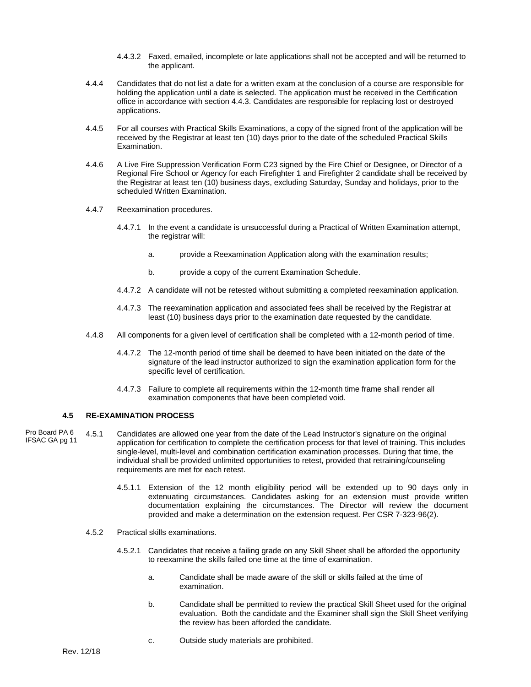- 4.4.3.2 Faxed, emailed, incomplete or late applications shall not be accepted and will be returned to the applicant.
- 4.4.4 Candidates that do not list a date for a written exam at the conclusion of a course are responsible for holding the application until a date is selected. The application must be received in the Certification office in accordance with section 4.4.3. Candidates are responsible for replacing lost or destroyed applications.
- 4.4.5 For all courses with Practical Skills Examinations, a copy of the signed front of the application will be received by the Registrar at least ten (10) days prior to the date of the scheduled Practical Skills Examination.
- 4.4.6 A Live Fire Suppression Verification Form C23 signed by the Fire Chief or Designee, or Director of a Regional Fire School or Agency for each Firefighter 1 and Firefighter 2 candidate shall be received by the Registrar at least ten (10) business days, excluding Saturday, Sunday and holidays, prior to the scheduled Written Examination.
- 4.4.7 Reexamination procedures.
	- 4.4.7.1 In the event a candidate is unsuccessful during a Practical of Written Examination attempt, the registrar will:
		- a. provide a Reexamination Application along with the examination results;
		- b. provide a copy of the current Examination Schedule.
	- 4.4.7.2 A candidate will not be retested without submitting a completed reexamination application.
	- 4.4.7.3 The reexamination application and associated fees shall be received by the Registrar at least (10) business days prior to the examination date requested by the candidate.
- 4.4.8 All components for a given level of certification shall be completed with a 12-month period of time.
	- 4.4.7.2 The 12-month period of time shall be deemed to have been initiated on the date of the signature of the lead instructor authorized to sign the examination application form for the specific level of certification.
	- 4.4.7.3 Failure to complete all requirements within the 12-month time frame shall render all examination components that have been completed void.

#### **4.5 RE-EXAMINATION PROCESS**

- 4.5.1 Candidates are allowed one year from the date of the Lead Instructor's signature on the original application for certification to complete the certification process for that level of training. This includes single-level, multi-level and combination certification examination processes. During that time, the individual shall be provided unlimited opportunities to retest, provided that retraining/counseling requirements are met for each retest. Pro Board PA 6 IFSAC GA pg 11
	- 4.5.1.1 Extension of the 12 month eligibility period will be extended up to 90 days only in extenuating circumstances. Candidates asking for an extension must provide written documentation explaining the circumstances. The Director will review the document provided and make a determination on the extension request. Per CSR 7-323-96(2).
	- 4.5.2 Practical skills examinations.
		- 4.5.2.1 Candidates that receive a failing grade on any Skill Sheet shall be afforded the opportunity to reexamine the skills failed one time at the time of examination.
			- a. Candidate shall be made aware of the skill or skills failed at the time of examination.
			- b. Candidate shall be permitted to review the practical Skill Sheet used for the original evaluation. Both the candidate and the Examiner shall sign the Skill Sheet verifying the review has been afforded the candidate.
			- c. Outside study materials are prohibited.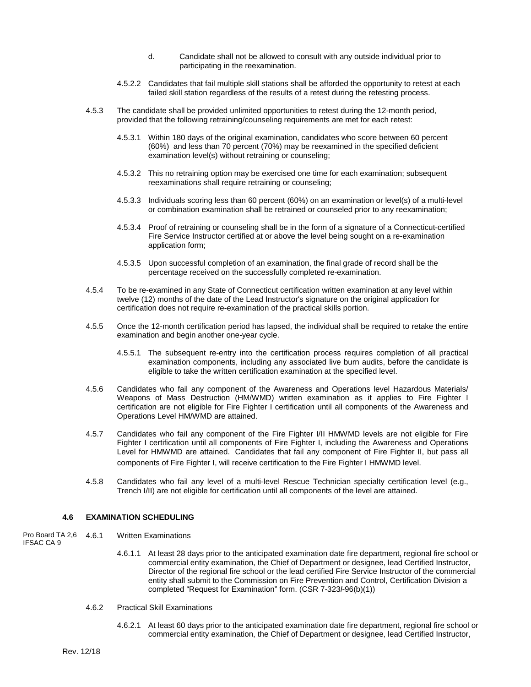- d. Candidate shall not be allowed to consult with any outside individual prior to participating in the reexamination.
- 4.5.2.2 Candidates that fail multiple skill stations shall be afforded the opportunity to retest at each failed skill station regardless of the results of a retest during the retesting process.
- 4.5.3 The candidate shall be provided unlimited opportunities to retest during the 12-month period, provided that the following retraining/counseling requirements are met for each retest:
	- 4.5.3.1 Within 180 days of the original examination, candidates who score between 60 percent (60%) and less than 70 percent (70%) may be reexamined in the specified deficient examination level(s) without retraining or counseling;
	- 4.5.3.2 This no retraining option may be exercised one time for each examination; subsequent reexaminations shall require retraining or counseling;
	- 4.5.3.3 Individuals scoring less than 60 percent (60%) on an examination or level(s) of a multi-level or combination examination shall be retrained or counseled prior to any reexamination;
	- 4.5.3.4 Proof of retraining or counseling shall be in the form of a signature of a Connecticut-certified Fire Service Instructor certified at or above the level being sought on a re-examination application form;
	- 4.5.3.5 Upon successful completion of an examination, the final grade of record shall be the percentage received on the successfully completed re-examination.
- 4.5.4 To be re-examined in any State of Connecticut certification written examination at any level within twelve (12) months of the date of the Lead Instructor's signature on the original application for certification does not require re-examination of the practical skills portion.
- 4.5.5 Once the 12-month certification period has lapsed, the individual shall be required to retake the entire examination and begin another one-year cycle.
	- 4.5.5.1 The subsequent re-entry into the certification process requires completion of all practical examination components, including any associated live burn audits, before the candidate is eligible to take the written certification examination at the specified level.
- 4.5.6 Candidates who fail any component of the Awareness and Operations level Hazardous Materials/ Weapons of Mass Destruction (HM/WMD) written examination as it applies to Fire Fighter I certification are not eligible for Fire Fighter I certification until all components of the Awareness and Operations Level HM/WMD are attained.
- 4.5.7 Candidates who fail any component of the Fire Fighter I/II HMWMD levels are not eligible for Fire Fighter I certification until all components of Fire Fighter I, including the Awareness and Operations Level for HMWMD are attained. Candidates that fail any component of Fire Fighter II, but pass all components of Fire Fighter I, will receive certification to the Fire Fighter I HMWMD level.
- 4.5.8 Candidates who fail any level of a multi-level Rescue Technician specialty certification level (e.g., Trench I/II) are not eligible for certification until all components of the level are attained.

#### **4.6 EXAMINATION SCHEDULING**

- **Written Examinations** Pro Board TA 2,6 4,6.1
- IFSAC CA 9
- 4.6.1.1 At least 28 days prior to the anticipated examination date fire department, regional fire school or commercial entity examination, the Chief of Department or designee, lead Certified Instructor, Director of the regional fire school or the lead certified Fire Service Instructor of the commercial entity shall submit to the Commission on Fire Prevention and Control, Certification Division a completed "Request for Examination" form. (CSR 7-323*l*-96(b)(1))
- 4.6.2 Practical Skill Examinations
	- 4.6.2.1 At least 60 days prior to the anticipated examination date fire department, regional fire school or commercial entity examination, the Chief of Department or designee, lead Certified Instructor,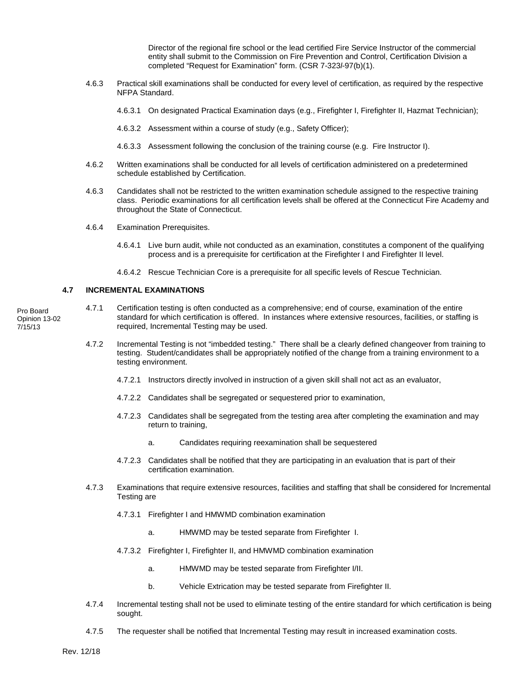Director of the regional fire school or the lead certified Fire Service Instructor of the commercial entity shall submit to the Commission on Fire Prevention and Control, Certification Division a completed "Request for Examination" form. (CSR 7-323*l*-97(b)(1).

- 4.6.3 Practical skill examinations shall be conducted for every level of certification, as required by the respective NFPA Standard.
	- 4.6.3.1 On designated Practical Examination days (e.g., Firefighter I, Firefighter II, Hazmat Technician);
	- 4.6.3.2 Assessment within a course of study (e.g., Safety Officer);
	- 4.6.3.3 Assessment following the conclusion of the training course (e.g. Fire Instructor I).
- 4.6.2 Written examinations shall be conducted for all levels of certification administered on a predetermined schedule established by Certification.
- 4.6.3 Candidates shall not be restricted to the written examination schedule assigned to the respective training class. Periodic examinations for all certification levels shall be offered at the Connecticut Fire Academy and throughout the State of Connecticut.
- 4.6.4 Examination Prerequisites.
	- 4.6.4.1 Live burn audit, while not conducted as an examination, constitutes a component of the qualifying process and is a prerequisite for certification at the Firefighter I and Firefighter II level.
	- 4.6.4.2 Rescue Technician Core is a prerequisite for all specific levels of Rescue Technician.

#### **4.7 INCREMENTAL EXAMINATIONS**

- 4.7.1 Certification testing is often conducted as a comprehensive; end of course, examination of the entire standard for which certification is offered. In instances where extensive resources, facilities, or staffing is required, Incremental Testing may be used.
	- 4.7.2 Incremental Testing is not "imbedded testing." There shall be a clearly defined changeover from training to testing. Student/candidates shall be appropriately notified of the change from a training environment to a testing environment.
		- 4.7.2.1 Instructors directly involved in instruction of a given skill shall not act as an evaluator,
		- 4.7.2.2 Candidates shall be segregated or sequestered prior to examination,
		- 4.7.2.3 Candidates shall be segregated from the testing area after completing the examination and may return to training,
			- a. Candidates requiring reexamination shall be sequestered
		- 4.7.2.3 Candidates shall be notified that they are participating in an evaluation that is part of their certification examination.
	- 4.7.3 Examinations that require extensive resources, facilities and staffing that shall be considered for Incremental Testing are
		- 4.7.3.1 Firefighter I and HMWMD combination examination
			- a. HMWMD may be tested separate from Firefighter I.
		- 4.7.3.2 Firefighter I, Firefighter II, and HMWMD combination examination
			- a. HMWMD may be tested separate from Firefighter I/II.
			- b. Vehicle Extrication may be tested separate from Firefighter II.
	- 4.7.4 Incremental testing shall not be used to eliminate testing of the entire standard for which certification is being sought.
	- 4.7.5 The requester shall be notified that Incremental Testing may result in increased examination costs.

Pro Board Opinion 13-02 7/15/13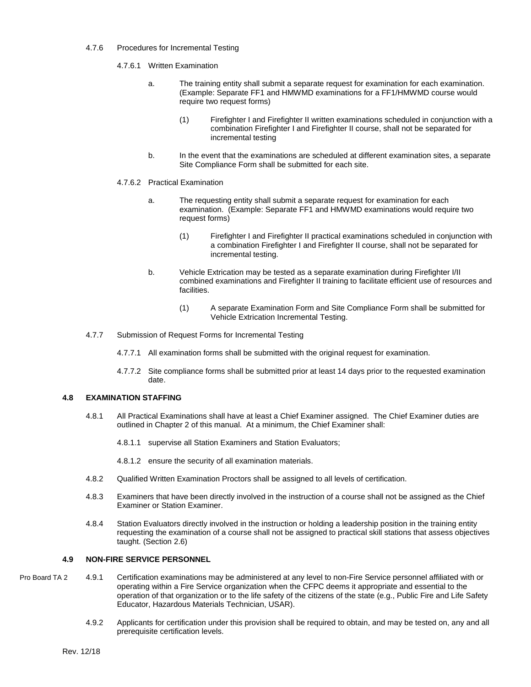#### 4.7.6 Procedures for Incremental Testing

4.7.6.1 Written Examination

- a. The training entity shall submit a separate request for examination for each examination. (Example: Separate FF1 and HMWMD examinations for a FF1/HMWMD course would require two request forms)
	- (1) Firefighter I and Firefighter II written examinations scheduled in conjunction with a combination Firefighter I and Firefighter II course, shall not be separated for incremental testing
- b. In the event that the examinations are scheduled at different examination sites, a separate Site Compliance Form shall be submitted for each site.

#### 4.7.6.2 Practical Examination

- a. The requesting entity shall submit a separate request for examination for each examination. (Example: Separate FF1 and HMWMD examinations would require two request forms)
	- (1) Firefighter I and Firefighter II practical examinations scheduled in conjunction with a combination Firefighter I and Firefighter II course, shall not be separated for incremental testing.
- b. Vehicle Extrication may be tested as a separate examination during Firefighter I/II combined examinations and Firefighter II training to facilitate efficient use of resources and facilities.
	- (1) A separate Examination Form and Site Compliance Form shall be submitted for Vehicle Extrication Incremental Testing.
- 4.7.7 Submission of Request Forms for Incremental Testing
	- 4.7.7.1 All examination forms shall be submitted with the original request for examination.
	- 4.7.7.2 Site compliance forms shall be submitted prior at least 14 days prior to the requested examination date.

#### **4.8 EXAMINATION STAFFING**

- 4.8.1 All Practical Examinations shall have at least a Chief Examiner assigned. The Chief Examiner duties are outlined in Chapter 2 of this manual. At a minimum, the Chief Examiner shall:
	- 4.8.1.1 supervise all Station Examiners and Station Evaluators;
	- 4.8.1.2 ensure the security of all examination materials.
- 4.8.2 Qualified Written Examination Proctors shall be assigned to all levels of certification.
- 4.8.3 Examiners that have been directly involved in the instruction of a course shall not be assigned as the Chief Examiner or Station Examiner.
- 4.8.4 Station Evaluators directly involved in the instruction or holding a leadership position in the training entity requesting the examination of a course shall not be assigned to practical skill stations that assess objectives taught. (Section 2.6)

#### **4.9 NON-FIRE SERVICE PERSONNEL**

- 4.9.1 Certification examinations may be administered at any level to non-Fire Service personnel affiliated with or operating within a Fire Service organization when the CFPC deems it appropriate and essential to the operation of that organization or to the life safety of the citizens of the state (e.g., Public Fire and Life Safety Educator, Hazardous Materials Technician, USAR). Pro Board TA 2
	- 4.9.2 Applicants for certification under this provision shall be required to obtain, and may be tested on, any and all prerequisite certification levels.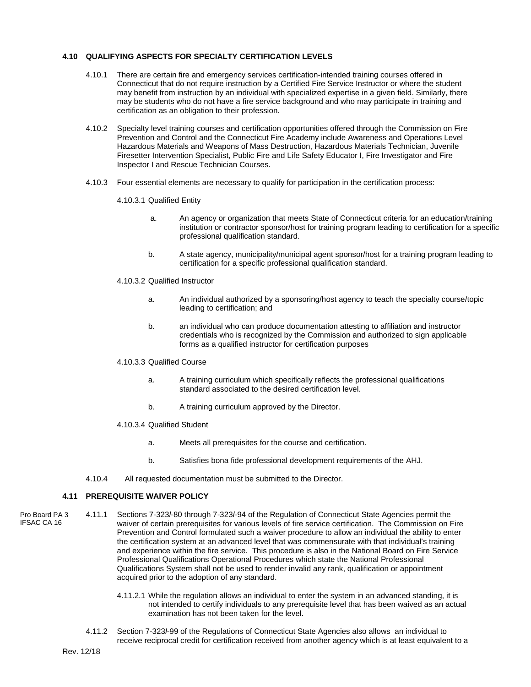#### **4.10 QUALIFYING ASPECTS FOR SPECIALTY CERTIFICATION LEVELS**

- 4.10.1 There are certain fire and emergency services certification-intended training courses offered in Connecticut that do not require instruction by a Certified Fire Service Instructor or where the student may benefit from instruction by an individual with specialized expertise in a given field. Similarly, there may be students who do not have a fire service background and who may participate in training and certification as an obligation to their profession.
- 4.10.2 Specialty level training courses and certification opportunities offered through the Commission on Fire Prevention and Control and the Connecticut Fire Academy include Awareness and Operations Level Hazardous Materials and Weapons of Mass Destruction, Hazardous Materials Technician, Juvenile Firesetter Intervention Specialist, Public Fire and Life Safety Educator I, Fire Investigator and Fire Inspector I and Rescue Technician Courses.
- 4.10.3 Four essential elements are necessary to qualify for participation in the certification process:
	- 4.10.3.1 Qualified Entity
		- a. An agency or organization that meets State of Connecticut criteria for an education/training institution or contractor sponsor/host for training program leading to certification for a specific professional qualification standard.
		- b. A state agency, municipality/municipal agent sponsor/host for a training program leading to certification for a specific professional qualification standard.
	- 4.10.3.2 Qualified Instructor
		- a. An individual authorized by a sponsoring/host agency to teach the specialty course/topic leading to certification; and
		- b. an individual who can produce documentation attesting to affiliation and instructor credentials who is recognized by the Commission and authorized to sign applicable forms as a qualified instructor for certification purposes

#### 4.10.3.3 Qualified Course

- a. A training curriculum which specifically reflects the professional qualifications standard associated to the desired certification level.
- b. A training curriculum approved by the Director.

#### 4.10.3.4 Qualified Student

- a. Meets all prerequisites for the course and certification.
- b. Satisfies bona fide professional development requirements of the AHJ.
- 4.10.4 All requested documentation must be submitted to the Director.

#### **4.11 PREREQUISITE WAIVER POLICY**

- Pro Board PA 3 IFSAC CA 16
- 4.11.1 Sections 7-323*l*-80 through 7-323*l*-94 of the Regulation of Connecticut State Agencies permit the waiver of certain prerequisites for various levels of fire service certification. The Commission on Fire Prevention and Control formulated such a waiver procedure to allow an individual the ability to enter the certification system at an advanced level that was commensurate with that individual's training and experience within the fire service. This procedure is also in the National Board on Fire Service Professional Qualifications Operational Procedures which state the National Professional Qualifications System shall not be used to render invalid any rank, qualification or appointment acquired prior to the adoption of any standard.
	- 4.11.2.1 While the regulation allows an individual to enter the system in an advanced standing, it is not intended to certify individuals to any prerequisite level that has been waived as an actual examination has not been taken for the level.
	- 4.11.2 Section 7-323*l*-99 of the Regulations of Connecticut State Agencies also allows an individual to receive reciprocal credit for certification received from another agency which is at least equivalent to a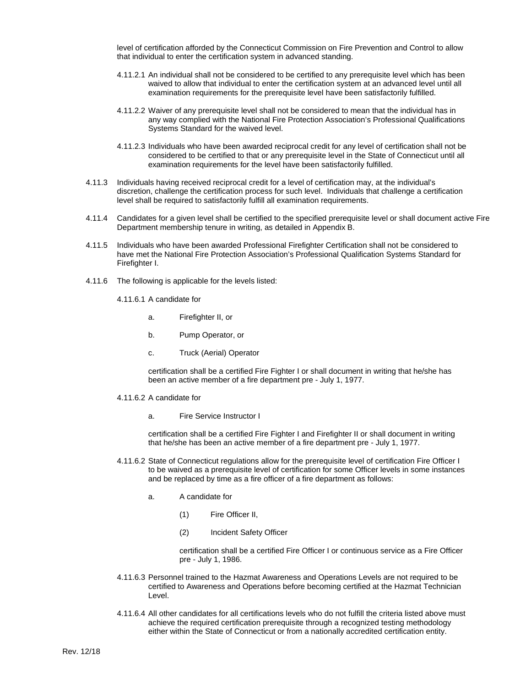level of certification afforded by the Connecticut Commission on Fire Prevention and Control to allow that individual to enter the certification system in advanced standing.

- 4.11.2.1 An individual shall not be considered to be certified to any prerequisite level which has been waived to allow that individual to enter the certification system at an advanced level until all examination requirements for the prerequisite level have been satisfactorily fulfilled.
- 4.11.2.2 Waiver of any prerequisite level shall not be considered to mean that the individual has in any way complied with the National Fire Protection Association's Professional Qualifications Systems Standard for the waived level.
- 4.11.2.3 Individuals who have been awarded reciprocal credit for any level of certification shall not be considered to be certified to that or any prerequisite level in the State of Connecticut until all examination requirements for the level have been satisfactorily fulfilled.
- 4.11.3 Individuals having received reciprocal credit for a level of certification may, at the individual's discretion, challenge the certification process for such level. Individuals that challenge a certification level shall be required to satisfactorily fulfill all examination requirements.
- 4.11.4 Candidates for a given level shall be certified to the specified prerequisite level or shall document active Fire Department membership tenure in writing, as detailed in Appendix B.
- 4.11.5 Individuals who have been awarded Professional Firefighter Certification shall not be considered to have met the National Fire Protection Association's Professional Qualification Systems Standard for Firefighter I.
- 4.11.6 The following is applicable for the levels listed:
	- 4.11.6.1 A candidate for
		- a. Firefighter II, or
		- b. Pump Operator, or
		- c. Truck (Aerial) Operator

certification shall be a certified Fire Fighter I or shall document in writing that he/she has been an active member of a fire department pre - July 1, 1977.

- 4.11.6.2 A candidate for
	- a. Fire Service Instructor I

certification shall be a certified Fire Fighter I and Firefighter II or shall document in writing that he/she has been an active member of a fire department pre - July 1, 1977.

- 4.11.6.2 State of Connecticut regulations allow for the prerequisite level of certification Fire Officer I to be waived as a prerequisite level of certification for some Officer levels in some instances and be replaced by time as a fire officer of a fire department as follows:
	- a. A candidate for
		- (1) Fire Officer II,
		- (2) Incident Safety Officer

certification shall be a certified Fire Officer I or continuous service as a Fire Officer pre - July 1, 1986.

- 4.11.6.3 Personnel trained to the Hazmat Awareness and Operations Levels are not required to be certified to Awareness and Operations before becoming certified at the Hazmat Technician Level.
- 4.11.6.4 All other candidates for all certifications levels who do not fulfill the criteria listed above must achieve the required certification prerequisite through a recognized testing methodology either within the State of Connecticut or from a nationally accredited certification entity.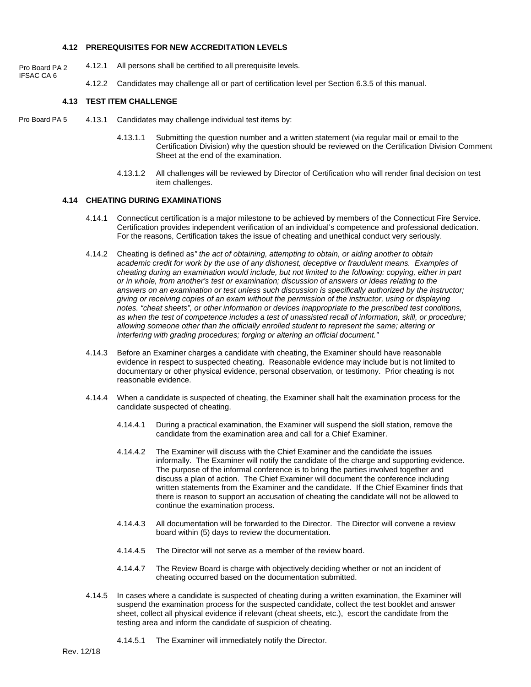# **4.12 PREREQUISITES FOR NEW ACCREDITATION LEVELS**

- 4.12.1 All persons shall be certified to all prerequisite levels. Pro Board PA 2
	- 4.12.2 Candidates may challenge all or part of certification level per Section 6.3.5 of this manual.

# **4.13 TEST ITEM CHALLENGE**

IFSAC CA 6

- 4.13.1 Candidates may challenge individual test items by: Pro Board PA 5
	- 4.13.1.1 Submitting the question number and a written statement (via regular mail or email to the Certification Division) why the question should be reviewed on the Certification Division Comment Sheet at the end of the examination.
	- 4.13.1.2 All challenges will be reviewed by Director of Certification who will render final decision on test item challenges.

#### **4.14 CHEATING DURING EXAMINATIONS**

- 4.14.1 Connecticut certification is a major milestone to be achieved by members of the Connecticut Fire Service. Certification provides independent verification of an individual's competence and professional dedication. For the reasons, Certification takes the issue of cheating and unethical conduct very seriously.
- 4.14.2 Cheating is defined as*" the act of obtaining, attempting to obtain, or aiding another to obtain academic credit for work by the use of any dishonest, deceptive or fraudulent means. Examples of cheating during an examination would include, but not limited to the following: copying, either in part or in whole, from another's test or examination; discussion of answers or ideas relating to the answers on an examination or test unless such discussion is specifically authorized by the instructor; giving or receiving copies of an exam without the permission of the instructor, using or displaying notes. "cheat sheets", or other information or devices inappropriate to the prescribed test conditions, as when the test of competence includes a test of unassisted recall of information, skill, or procedure; allowing someone other than the officially enrolled student to represent the same; altering or interfering with grading procedures; forging or altering an official document."*
- 4.14.3 Before an Examiner charges a candidate with cheating, the Examiner should have reasonable evidence in respect to suspected cheating. Reasonable evidence may include but is not limited to documentary or other physical evidence, personal observation, or testimony. Prior cheating is not reasonable evidence.
- 4.14.4 When a candidate is suspected of cheating, the Examiner shall halt the examination process for the candidate suspected of cheating.
	- 4.14.4.1 During a practical examination, the Examiner will suspend the skill station, remove the candidate from the examination area and call for a Chief Examiner.
	- 4.14.4.2 The Examiner will discuss with the Chief Examiner and the candidate the issues informally. The Examiner will notify the candidate of the charge and supporting evidence. The purpose of the informal conference is to bring the parties involved together and discuss a plan of action. The Chief Examiner will document the conference including written statements from the Examiner and the candidate. If the Chief Examiner finds that there is reason to support an accusation of cheating the candidate will not be allowed to continue the examination process.
	- 4.14.4.3 All documentation will be forwarded to the Director. The Director will convene a review board within (5) days to review the documentation.
	- 4.14.4.5 The Director will not serve as a member of the review board.
	- 4.14.4.7 The Review Board is charge with objectively deciding whether or not an incident of cheating occurred based on the documentation submitted.
- 4.14.5 In cases where a candidate is suspected of cheating during a written examination, the Examiner will suspend the examination process for the suspected candidate, collect the test booklet and answer sheet, collect all physical evidence if relevant (cheat sheets, etc.), escort the candidate from the testing area and inform the candidate of suspicion of cheating.
	- 4.14.5.1 The Examiner will immediately notify the Director.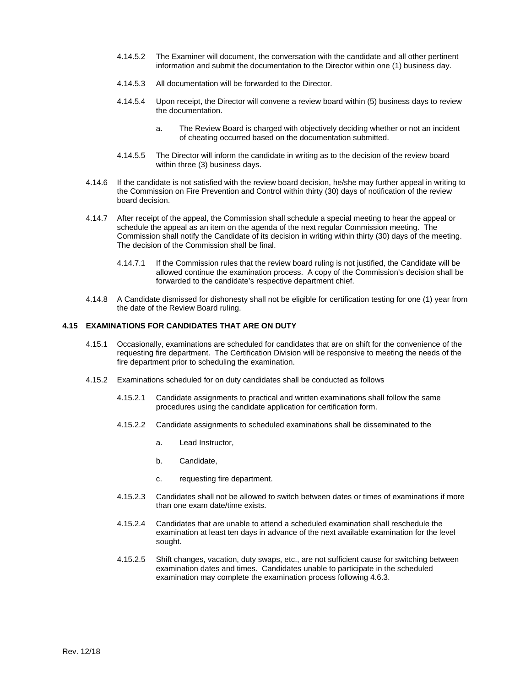- 4.14.5.2 The Examiner will document, the conversation with the candidate and all other pertinent information and submit the documentation to the Director within one (1) business day.
- 4.14.5.3 All documentation will be forwarded to the Director.
- 4.14.5.4 Upon receipt, the Director will convene a review board within (5) business days to review the documentation.
	- a. The Review Board is charged with objectively deciding whether or not an incident of cheating occurred based on the documentation submitted.
- 4.14.5.5 The Director will inform the candidate in writing as to the decision of the review board within three (3) business days.
- 4.14.6 If the candidate is not satisfied with the review board decision, he/she may further appeal in writing to the Commission on Fire Prevention and Control within thirty (30) days of notification of the review board decision.
- 4.14.7 After receipt of the appeal, the Commission shall schedule a special meeting to hear the appeal or schedule the appeal as an item on the agenda of the next regular Commission meeting. The Commission shall notify the Candidate of its decision in writing within thirty (30) days of the meeting. The decision of the Commission shall be final.
	- 4.14.7.1 If the Commission rules that the review board ruling is not justified, the Candidate will be allowed continue the examination process. A copy of the Commission's decision shall be forwarded to the candidate's respective department chief.
- 4.14.8 A Candidate dismissed for dishonesty shall not be eligible for certification testing for one (1) year from the date of the Review Board ruling.

### **4.15 EXAMINATIONS FOR CANDIDATES THAT ARE ON DUTY**

- 4.15.1 Occasionally, examinations are scheduled for candidates that are on shift for the convenience of the requesting fire department. The Certification Division will be responsive to meeting the needs of the fire department prior to scheduling the examination.
- 4.15.2 Examinations scheduled for on duty candidates shall be conducted as follows
	- 4.15.2.1 Candidate assignments to practical and written examinations shall follow the same procedures using the candidate application for certification form.
	- 4.15.2.2 Candidate assignments to scheduled examinations shall be disseminated to the
		- a. Lead Instructor,
		- b. Candidate,
		- c. requesting fire department.
	- 4.15.2.3 Candidates shall not be allowed to switch between dates or times of examinations if more than one exam date/time exists.
	- 4.15.2.4 Candidates that are unable to attend a scheduled examination shall reschedule the examination at least ten days in advance of the next available examination for the level sought.
	- 4.15.2.5 Shift changes, vacation, duty swaps, etc., are not sufficient cause for switching between examination dates and times. Candidates unable to participate in the scheduled examination may complete the examination process following 4.6.3.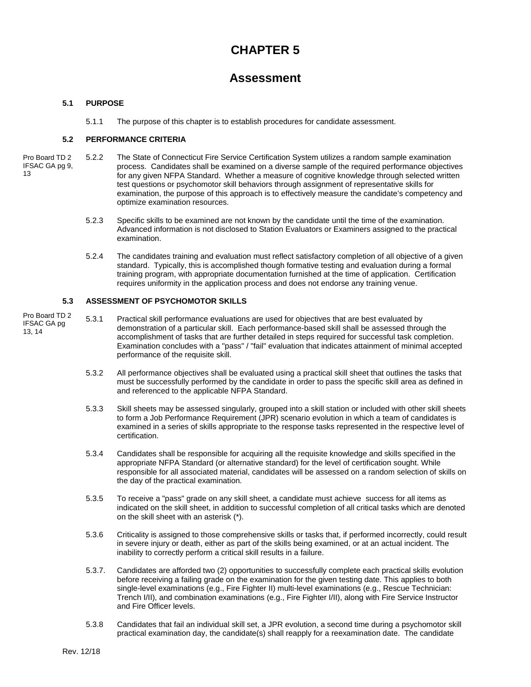# **CHAPTER 5**

# **Assessment**

# **5.1 PURPOSE**

5.1.1 The purpose of this chapter is to establish procedures for candidate assessment.

# **5.2 PERFORMANCE CRITERIA**

- 5.2.2 The State of Connecticut Fire Service Certification System utilizes a random sample examination process. Candidates shall be examined on a diverse sample of the required performance objectives for any given NFPA Standard. Whether a measure of cognitive knowledge through selected written test questions or psychomotor skill behaviors through assignment of representative skills for examination, the purpose of this approach is to effectively measure the candidate's competency and optimize examination resources. Pro Board TD 2 IFSAC GA pg 9, 13
	- 5.2.3 Specific skills to be examined are not known by the candidate until the time of the examination. Advanced information is not disclosed to Station Evaluators or Examiners assigned to the practical examination.
	- 5.2.4 The candidates training and evaluation must reflect satisfactory completion of all objective of a given standard. Typically, this is accomplished though formative testing and evaluation during a formal training program, with appropriate documentation furnished at the time of application. Certification requires uniformity in the application process and does not endorse any training venue.

# **5.3 ASSESSMENT OF PSYCHOMOTOR SKILLS**

- 5.3.1 Practical skill performance evaluations are used for objectives that are best evaluated by demonstration of a particular skill. Each performance-based skill shall be assessed through the accomplishment of tasks that are further detailed in steps required for successful task completion. Examination concludes with a "pass" / "fail" evaluation that indicates attainment of minimal accepted performance of the requisite skill. Pro Board TD 2 IFSAC GA pg 13, 14
	- 5.3.2 All performance objectives shall be evaluated using a practical skill sheet that outlines the tasks that must be successfully performed by the candidate in order to pass the specific skill area as defined in and referenced to the applicable NFPA Standard.
	- 5.3.3 Skill sheets may be assessed singularly, grouped into a skill station or included with other skill sheets to form a Job Performance Requirement (JPR) scenario evolution in which a team of candidates is examined in a series of skills appropriate to the response tasks represented in the respective level of certification.
	- 5.3.4 Candidates shall be responsible for acquiring all the requisite knowledge and skills specified in the appropriate NFPA Standard (or alternative standard) for the level of certification sought. While responsible for all associated material, candidates will be assessed on a random selection of skills on the day of the practical examination.
	- 5.3.5 To receive a "pass" grade on any skill sheet, a candidate must achieve success for all items as indicated on the skill sheet, in addition to successful completion of all critical tasks which are denoted on the skill sheet with an asterisk (\*).
	- 5.3.6 Criticality is assigned to those comprehensive skills or tasks that, if performed incorrectly, could result in severe injury or death, either as part of the skills being examined, or at an actual incident. The inability to correctly perform a critical skill results in a failure.
	- 5.3.7. Candidates are afforded two (2) opportunities to successfully complete each practical skills evolution before receiving a failing grade on the examination for the given testing date. This applies to both single-level examinations (e.g., Fire Fighter II) multi-level examinations (e.g., Rescue Technician: Trench I/II), and combination examinations (e.g., Fire Fighter I/II), along with Fire Service Instructor and Fire Officer levels.
	- 5.3.8 Candidates that fail an individual skill set, a JPR evolution, a second time during a psychomotor skill practical examination day, the candidate(s) shall reapply for a reexamination date. The candidate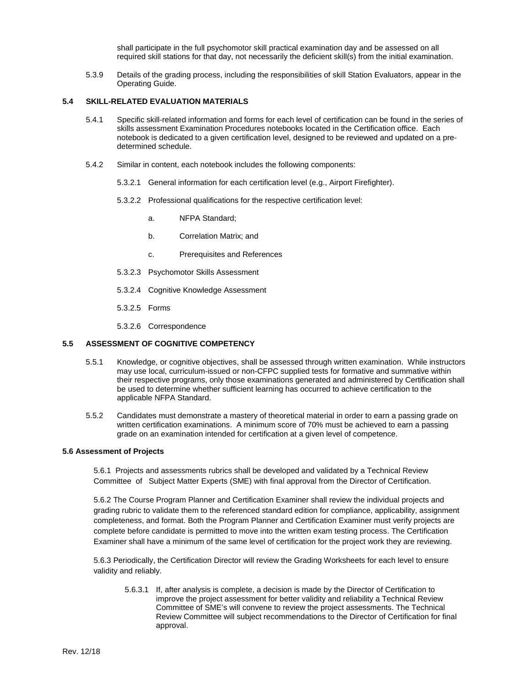shall participate in the full psychomotor skill practical examination day and be assessed on all required skill stations for that day, not necessarily the deficient skill(s) from the initial examination.

5.3.9 Details of the grading process, including the responsibilities of skill Station Evaluators, appear in the Operating Guide.

#### **5.4 SKILL-RELATED EVALUATION MATERIALS**

- 5.4.1 Specific skill-related information and forms for each level of certification can be found in the series of skills assessment Examination Procedures notebooks located in the Certification office. Each notebook is dedicated to a given certification level, designed to be reviewed and updated on a predetermined schedule.
- 5.4.2 Similar in content, each notebook includes the following components:
	- 5.3.2.1 General information for each certification level (e.g., Airport Firefighter).
	- 5.3.2.2 Professional qualifications for the respective certification level:
		- a. NFPA Standard;
		- b. Correlation Matrix; and
		- c. Prerequisites and References
	- 5.3.2.3 Psychomotor Skills Assessment
	- 5.3.2.4 Cognitive Knowledge Assessment
	- 5.3.2.5 Forms
	- 5.3.2.6 Correspondence

#### **5.5 ASSESSMENT OF COGNITIVE COMPETENCY**

- 5.5.1 Knowledge, or cognitive objectives, shall be assessed through written examination. While instructors may use local, curriculum-issued or non-CFPC supplied tests for formative and summative within their respective programs, only those examinations generated and administered by Certification shall be used to determine whether sufficient learning has occurred to achieve certification to the applicable NFPA Standard.
- 5.5.2 Candidates must demonstrate a mastery of theoretical material in order to earn a passing grade on written certification examinations. A minimum score of 70% must be achieved to earn a passing grade on an examination intended for certification at a given level of competence.

#### **5.6 Assessment of Projects**

5.6.1 Projects and assessments rubrics shall be developed and validated by a Technical Review Committee of Subject Matter Experts (SME) with final approval from the Director of Certification.

5.6.2 The Course Program Planner and Certification Examiner shall review the individual projects and grading rubric to validate them to the referenced standard edition for compliance, applicability, assignment completeness, and format. Both the Program Planner and Certification Examiner must verify projects are complete before candidate is permitted to move into the written exam testing process. The Certification Examiner shall have a minimum of the same level of certification for the project work they are reviewing.

5.6.3 Periodically, the Certification Director will review the Grading Worksheets for each level to ensure validity and reliably.

5.6.3.1 If, after analysis is complete, a decision is made by the Director of Certification to improve the project assessment for better validity and reliability a Technical Review Committee of SME's will convene to review the project assessments. The Technical Review Committee will subject recommendations to the Director of Certification for final approval.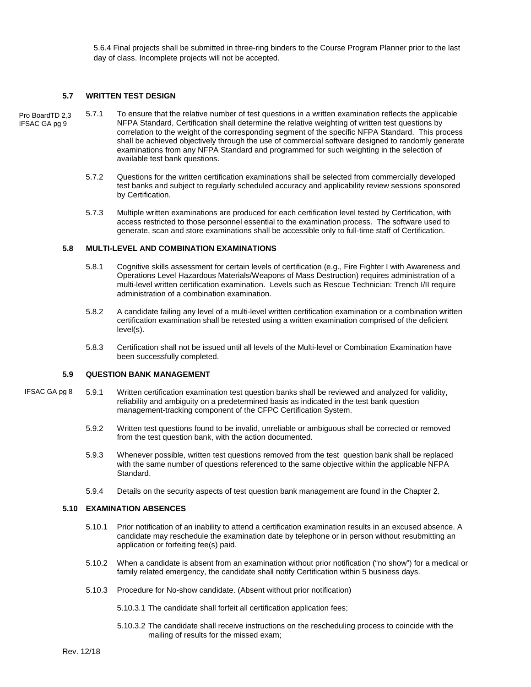5.6.4 Final projects shall be submitted in three-ring binders to the Course Program Planner prior to the last day of class. Incomplete projects will not be accepted.

#### **5.7 WRITTEN TEST DESIGN**

- 5.7.1 To ensure that the relative number of test questions in a written examination reflects the applicable NFPA Standard, Certification shall determine the relative weighting of written test questions by correlation to the weight of the corresponding segment of the specific NFPA Standard. This process shall be achieved objectively through the use of commercial software designed to randomly generate examinations from any NFPA Standard and programmed for such weighting in the selection of available test bank questions. Pro BoardTD 2,3 IFSAC GA pg 9
	- 5.7.2 Questions for the written certification examinations shall be selected from commercially developed test banks and subject to regularly scheduled accuracy and applicability review sessions sponsored by Certification.
	- 5.7.3 Multiple written examinations are produced for each certification level tested by Certification, with access restricted to those personnel essential to the examination process. The software used to generate, scan and store examinations shall be accessible only to full-time staff of Certification.

#### **5.8 MULTI-LEVEL AND COMBINATION EXAMINATIONS**

- 5.8.1 Cognitive skills assessment for certain levels of certification (e.g., Fire Fighter I with Awareness and Operations Level Hazardous Materials/Weapons of Mass Destruction) requires administration of a multi-level written certification examination. Levels such as Rescue Technician: Trench I/II require administration of a combination examination.
- 5.8.2 A candidate failing any level of a multi-level written certification examination or a combination written certification examination shall be retested using a written examination comprised of the deficient level(s).
- 5.8.3 Certification shall not be issued until all levels of the Multi-level or Combination Examination have been successfully completed.

#### **5.9 QUESTION BANK MANAGEMENT**

- 5.9.1 Written certification examination test question banks shall be reviewed and analyzed for validity, reliability and ambiguity on a predetermined basis as indicated in the test bank question management-tracking component of the CFPC Certification System. IFSAC GA pg 8
	- 5.9.2 Written test questions found to be invalid, unreliable or ambiguous shall be corrected or removed from the test question bank, with the action documented.
	- 5.9.3 Whenever possible, written test questions removed from the test question bank shall be replaced with the same number of questions referenced to the same objective within the applicable NFPA Standard.
	- 5.9.4 Details on the security aspects of test question bank management are found in the Chapter 2.

#### **5.10 EXAMINATION ABSENCES**

- 5.10.1 Prior notification of an inability to attend a certification examination results in an excused absence. A candidate may reschedule the examination date by telephone or in person without resubmitting an application or forfeiting fee(s) paid.
- 5.10.2 When a candidate is absent from an examination without prior notification ("no show") for a medical or family related emergency, the candidate shall notify Certification within 5 business days.
- 5.10.3 Procedure for No-show candidate. (Absent without prior notification)
	- 5.10.3.1 The candidate shall forfeit all certification application fees;
	- 5.10.3.2 The candidate shall receive instructions on the rescheduling process to coincide with the mailing of results for the missed exam;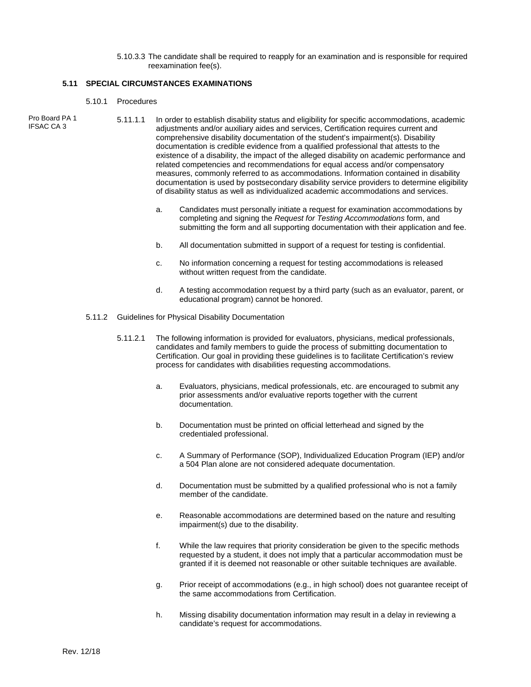5.10.3.3 The candidate shall be required to reapply for an examination and is responsible for required reexamination fee(s).

#### **5.11 SPECIAL CIRCUMSTANCES EXAMINATIONS**

- 5.10.1 Procedures
- Pro Board PA 1
- 5.11.1.1 In order to establish disability status and eligibility for specific accommodations, academic adjustments and/or auxiliary aides and services, Certification requires current and comprehensive disability documentation of the student's impairment(s). Disability documentation is credible evidence from a qualified professional that attests to the existence of a disability, the impact of the alleged disability on academic performance and related competencies and recommendations for equal access and/or compensatory measures, commonly referred to as accommodations. Information contained in disability documentation is used by postsecondary disability service providers to determine eligibility of disability status as well as individualized academic accommodations and services. IFSAC CA 3
	- a. Candidates must personally initiate a request for examination accommodations by completing and signing the *Request for Testing Accommodations* form, and submitting the form and all supporting documentation with their application and fee.
	- b. All documentation submitted in support of a request for testing is confidential.
	- c. No information concerning a request for testing accommodations is released without written request from the candidate.
	- d. A testing accommodation request by a third party (such as an evaluator, parent, or educational program) cannot be honored.
	- 5.11.2 Guidelines for Physical Disability Documentation
		- 5.11.2.1 The following information is provided for evaluators, physicians, medical professionals, candidates and family members to guide the process of submitting documentation to Certification. Our goal in providing these guidelines is to facilitate Certification's review process for candidates with disabilities requesting accommodations.
			- a. Evaluators, physicians, medical professionals, etc. are encouraged to submit any prior assessments and/or evaluative reports together with the current documentation.
			- b. Documentation must be printed on official letterhead and signed by the credentialed professional.
			- c. A Summary of Performance (SOP), Individualized Education Program (IEP) and/or a 504 Plan alone are not considered adequate documentation.
			- d. Documentation must be submitted by a qualified professional who is not a family member of the candidate.
			- e. Reasonable accommodations are determined based on the nature and resulting impairment(s) due to the disability.
			- f. While the law requires that priority consideration be given to the specific methods requested by a student, it does not imply that a particular accommodation must be granted if it is deemed not reasonable or other suitable techniques are available.
			- g. Prior receipt of accommodations (e.g., in high school) does not guarantee receipt of the same accommodations from Certification.
			- h. Missing disability documentation information may result in a delay in reviewing a candidate's request for accommodations.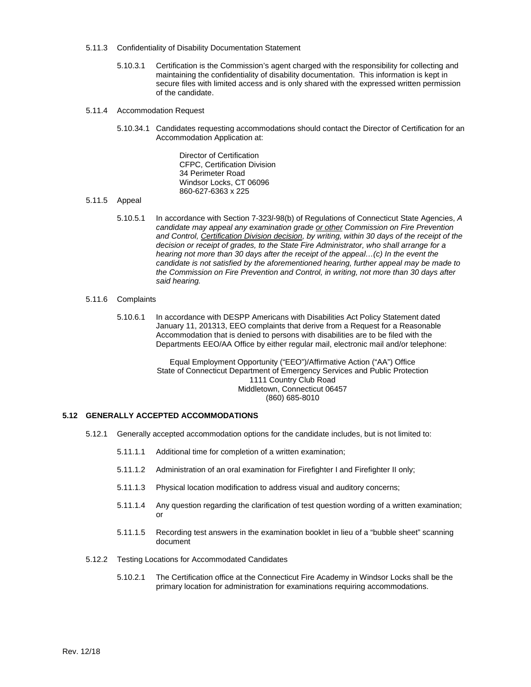- 5.11.3 Confidentiality of Disability Documentation Statement
	- 5.10.3.1 Certification is the Commission's agent charged with the responsibility for collecting and maintaining the confidentiality of disability documentation. This information is kept in secure files with limited access and is only shared with the expressed written permission of the candidate.
- 5.11.4 Accommodation Request
	- 5.10.34.1 Candidates requesting accommodations should contact the Director of Certification for an Accommodation Application at:

Director of Certification CFPC, Certification Division 34 Perimeter Road Windsor Locks, CT 06096 860-627-6363 x 225

#### 5.11.5 Appeal

- 5.10.5.1 In accordance with Section 7-323*l*-98(b) of Regulations of Connecticut State Agencies, *A candidate may appeal any examination grade or other Commission on Fire Prevention and Control, Certification Division decision, by writing, within 30 days of the receipt of the decision or receipt of grades, to the State Fire Administrator, who shall arrange for a hearing not more than 30 days after the receipt of the appeal...(c) In the event the candidate is not satisfied by the aforementioned hearing, further appeal may be made to the Commission on Fire Prevention and Control, in writing, not more than 30 days after said hearing.*
- 5.11.6 Complaints
	- 5.10.6.1 In accordance with DESPP Americans with Disabilities Act Policy Statement dated January 11, 201313, EEO complaints that derive from a Request for a Reasonable Accommodation that is denied to persons with disabilities are to be filed with the Departments EEO/AA Office by either regular mail, electronic mail and/or telephone:

Equal Employment Opportunity ("EEO")/Affirmative Action ("AA") Office State of Connecticut Department of Emergency Services and Public Protection 1111 Country Club Road Middletown, Connecticut 06457 (860) 685-8010

# **5.12 GENERALLY ACCEPTED ACCOMMODATIONS**

- 5.12.1 Generally accepted accommodation options for the candidate includes, but is not limited to:
	- 5.11.1.1 Additional time for completion of a written examination;
	- 5.11.1.2 Administration of an oral examination for Firefighter I and Firefighter II only;
	- 5.11.1.3 Physical location modification to address visual and auditory concerns;
	- 5.11.1.4 Any question regarding the clarification of test question wording of a written examination; or
	- 5.11.1.5 Recording test answers in the examination booklet in lieu of a "bubble sheet" scanning document
- 5.12.2 Testing Locations for Accommodated Candidates
	- 5.10.2.1 The Certification office at the Connecticut Fire Academy in Windsor Locks shall be the primary location for administration for examinations requiring accommodations.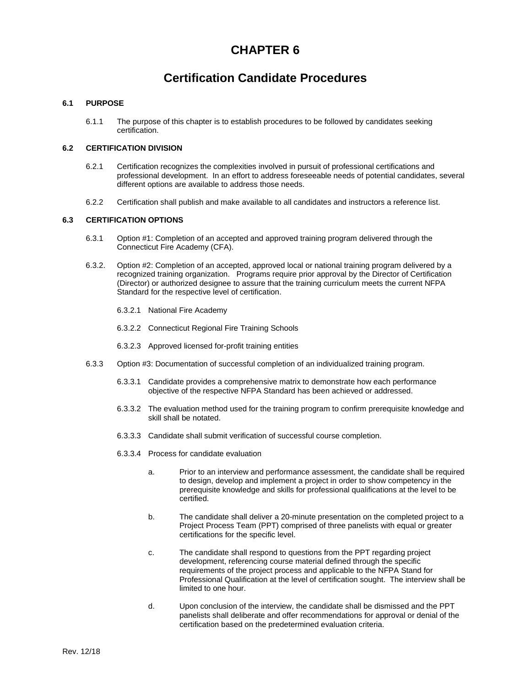# **CHAPTER 6**

# **Certification Candidate Procedures**

### **6.1 PURPOSE**

6.1.1 The purpose of this chapter is to establish procedures to be followed by candidates seeking certification.

# **6.2 CERTIFICATION DIVISION**

- 6.2.1 Certification recognizes the complexities involved in pursuit of professional certifications and professional development. In an effort to address foreseeable needs of potential candidates, several different options are available to address those needs.
- 6.2.2 Certification shall publish and make available to all candidates and instructors a reference list.

# **6.3 CERTIFICATION OPTIONS**

- 6.3.1 Option #1: Completion of an accepted and approved training program delivered through the Connecticut Fire Academy (CFA).
- 6.3.2. Option #2: Completion of an accepted, approved local or national training program delivered by a recognized training organization. Programs require prior approval by the Director of Certification (Director) or authorized designee to assure that the training curriculum meets the current NFPA Standard for the respective level of certification.
	- 6.3.2.1 National Fire Academy
	- 6.3.2.2 Connecticut Regional Fire Training Schools
	- 6.3.2.3 Approved licensed for-profit training entities
- 6.3.3 Option #3: Documentation of successful completion of an individualized training program.
	- 6.3.3.1 Candidate provides a comprehensive matrix to demonstrate how each performance objective of the respective NFPA Standard has been achieved or addressed.
	- 6.3.3.2 The evaluation method used for the training program to confirm prerequisite knowledge and skill shall be notated.
	- 6.3.3.3 Candidate shall submit verification of successful course completion.
	- 6.3.3.4 Process for candidate evaluation
		- a. Prior to an interview and performance assessment, the candidate shall be required to design, develop and implement a project in order to show competency in the prerequisite knowledge and skills for professional qualifications at the level to be certified.
		- b. The candidate shall deliver a 20-minute presentation on the completed project to a Project Process Team (PPT) comprised of three panelists with equal or greater certifications for the specific level.
		- c. The candidate shall respond to questions from the PPT regarding project development, referencing course material defined through the specific requirements of the project process and applicable to the NFPA Stand for Professional Qualification at the level of certification sought. The interview shall be limited to one hour.
		- d. Upon conclusion of the interview, the candidate shall be dismissed and the PPT panelists shall deliberate and offer recommendations for approval or denial of the certification based on the predetermined evaluation criteria.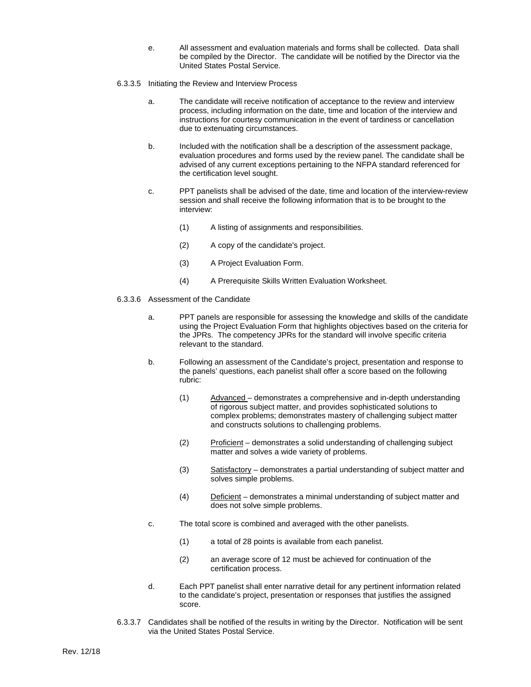- e. All assessment and evaluation materials and forms shall be collected. Data shall be compiled by the Director. The candidate will be notified by the Director via the United States Postal Service.
- 6.3.3.5 Initiating the Review and Interview Process
	- a. The candidate will receive notification of acceptance to the review and interview process, including information on the date, time and location of the interview and instructions for courtesy communication in the event of tardiness or cancellation due to extenuating circumstances.
	- b. Included with the notification shall be a description of the assessment package, evaluation procedures and forms used by the review panel. The candidate shall be advised of any current exceptions pertaining to the NFPA standard referenced for the certification level sought.
	- c. PPT panelists shall be advised of the date, time and location of the interview-review session and shall receive the following information that is to be brought to the interview:
		- (1) A listing of assignments and responsibilities.
		- (2) A copy of the candidate's project.
		- (3) A Project Evaluation Form.
		- (4) A Prerequisite Skills Written Evaluation Worksheet.
- 6.3.3.6 Assessment of the Candidate
	- a. PPT panels are responsible for assessing the knowledge and skills of the candidate using the Project Evaluation Form that highlights objectives based on the criteria for the JPRs. The competency JPRs for the standard will involve specific criteria relevant to the standard.
	- b. Following an assessment of the Candidate's project, presentation and response to the panels' questions, each panelist shall offer a score based on the following rubric:
		- (1) Advanced demonstrates a comprehensive and in-depth understanding of rigorous subject matter, and provides sophisticated solutions to complex problems; demonstrates mastery of challenging subject matter and constructs solutions to challenging problems.
		- (2) Proficient demonstrates a solid understanding of challenging subject matter and solves a wide variety of problems.
		- (3) Satisfactory demonstrates a partial understanding of subject matter and solves simple problems.
		- (4) Deficient demonstrates a minimal understanding of subject matter and does not solve simple problems.
	- c. The total score is combined and averaged with the other panelists.
		- (1) a total of 28 points is available from each panelist.
		- (2) an average score of 12 must be achieved for continuation of the certification process.
	- d. Each PPT panelist shall enter narrative detail for any pertinent information related to the candidate's project, presentation or responses that justifies the assigned score.
- 6.3.3.7 Candidates shall be notified of the results in writing by the Director. Notification will be sent via the United States Postal Service.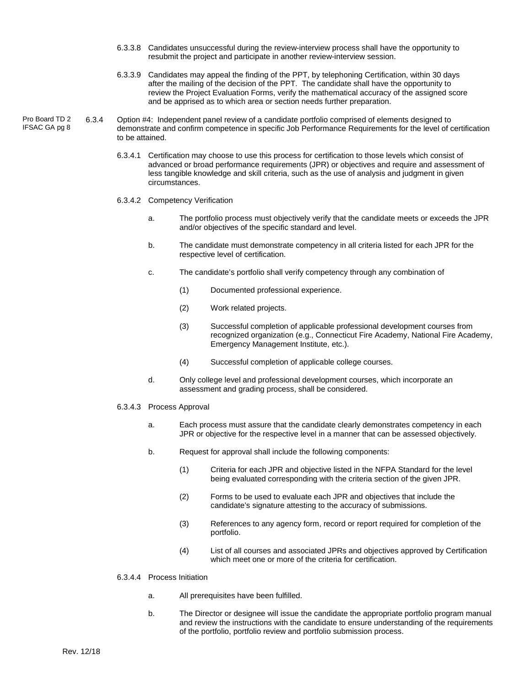- 6.3.3.8 Candidates unsuccessful during the review-interview process shall have the opportunity to resubmit the project and participate in another review-interview session.
- 6.3.3.9 Candidates may appeal the finding of the PPT, by telephoning Certification, within 30 days after the mailing of the decision of the PPT. The candidate shall have the opportunity to review the Project Evaluation Forms, verify the mathematical accuracy of the assigned score and be apprised as to which area or section needs further preparation.
- 6.3.4 Option #4: Independent panel review of a candidate portfolio comprised of elements designed to demonstrate and confirm competence in specific Job Performance Requirements for the level of certification to be attained. Pro Board TD 2 IFSAC GA pg 8
	- 6.3.4.1 Certification may choose to use this process for certification to those levels which consist of advanced or broad performance requirements (JPR) or objectives and require and assessment of less tangible knowledge and skill criteria, such as the use of analysis and judgment in given circumstances.

#### 6.3.4.2 Competency Verification

- a. The portfolio process must objectively verify that the candidate meets or exceeds the JPR and/or objectives of the specific standard and level.
- b. The candidate must demonstrate competency in all criteria listed for each JPR for the respective level of certification.
- c. The candidate's portfolio shall verify competency through any combination of
	- (1) Documented professional experience.
	- (2) Work related projects.
	- (3) Successful completion of applicable professional development courses from recognized organization (e.g., Connecticut Fire Academy, National Fire Academy, Emergency Management Institute, etc.).
	- (4) Successful completion of applicable college courses.
- d. Only college level and professional development courses, which incorporate an assessment and grading process, shall be considered.
- 6.3.4.3 Process Approval
	- a. Each process must assure that the candidate clearly demonstrates competency in each JPR or objective for the respective level in a manner that can be assessed objectively.
	- b. Request for approval shall include the following components:
		- (1) Criteria for each JPR and objective listed in the NFPA Standard for the level being evaluated corresponding with the criteria section of the given JPR.
		- (2) Forms to be used to evaluate each JPR and objectives that include the candidate's signature attesting to the accuracy of submissions.
		- (3) References to any agency form, record or report required for completion of the portfolio.
		- (4) List of all courses and associated JPRs and objectives approved by Certification which meet one or more of the criteria for certification.

#### 6.3.4.4 Process Initiation

- a. All prerequisites have been fulfilled.
- b. The Director or designee will issue the candidate the appropriate portfolio program manual and review the instructions with the candidate to ensure understanding of the requirements of the portfolio, portfolio review and portfolio submission process.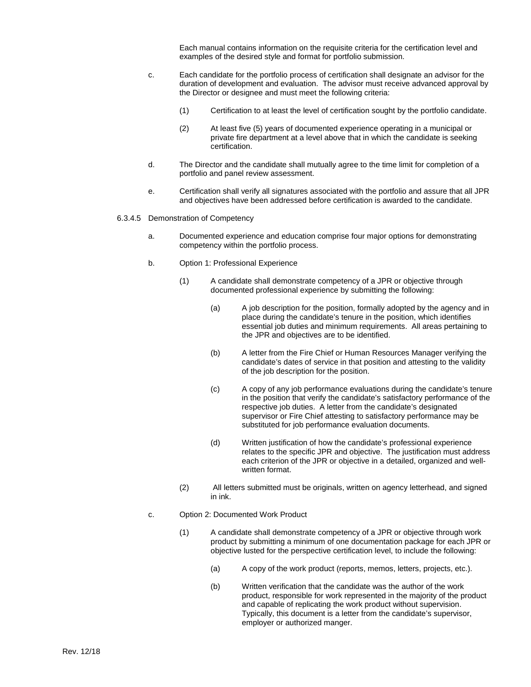Each manual contains information on the requisite criteria for the certification level and examples of the desired style and format for portfolio submission.

- c. Each candidate for the portfolio process of certification shall designate an advisor for the duration of development and evaluation. The advisor must receive advanced approval by the Director or designee and must meet the following criteria:
	- (1) Certification to at least the level of certification sought by the portfolio candidate.
	- (2) At least five (5) years of documented experience operating in a municipal or private fire department at a level above that in which the candidate is seeking certification.
- d. The Director and the candidate shall mutually agree to the time limit for completion of a portfolio and panel review assessment.
- e. Certification shall verify all signatures associated with the portfolio and assure that all JPR and objectives have been addressed before certification is awarded to the candidate.
- 6.3.4.5 Demonstration of Competency
	- a. Documented experience and education comprise four major options for demonstrating competency within the portfolio process.
	- b. Option 1: Professional Experience
		- (1) A candidate shall demonstrate competency of a JPR or objective through documented professional experience by submitting the following:
			- (a) A job description for the position, formally adopted by the agency and in place during the candidate's tenure in the position, which identifies essential job duties and minimum requirements. All areas pertaining to the JPR and objectives are to be identified.
			- (b) A letter from the Fire Chief or Human Resources Manager verifying the candidate's dates of service in that position and attesting to the validity of the job description for the position.
			- (c) A copy of any job performance evaluations during the candidate's tenure in the position that verify the candidate's satisfactory performance of the respective job duties. A letter from the candidate's designated supervisor or Fire Chief attesting to satisfactory performance may be substituted for job performance evaluation documents.
			- (d) Written justification of how the candidate's professional experience relates to the specific JPR and objective. The justification must address each criterion of the JPR or objective in a detailed, organized and wellwritten format.
		- (2) All letters submitted must be originals, written on agency letterhead, and signed in ink.
	- c. Option 2: Documented Work Product
		- (1) A candidate shall demonstrate competency of a JPR or objective through work product by submitting a minimum of one documentation package for each JPR or objective lusted for the perspective certification level, to include the following:
			- (a) A copy of the work product (reports, memos, letters, projects, etc.).
			- (b) Written verification that the candidate was the author of the work product, responsible for work represented in the majority of the product and capable of replicating the work product without supervision. Typically, this document is a letter from the candidate's supervisor, employer or authorized manger.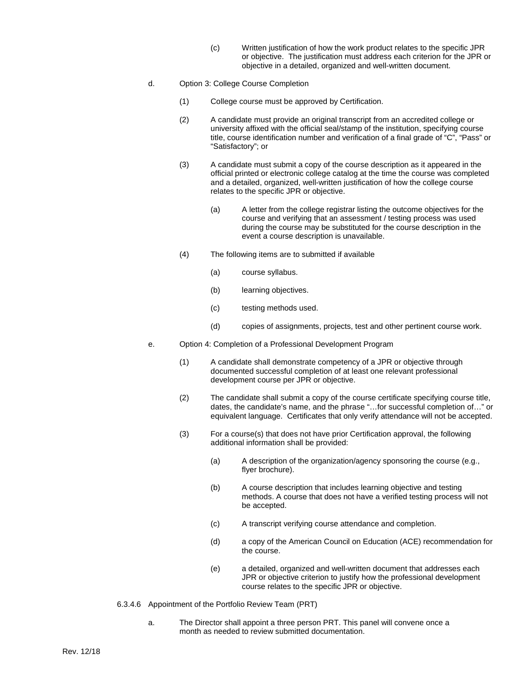- (c) Written justification of how the work product relates to the specific JPR or objective. The justification must address each criterion for the JPR or objective in a detailed, organized and well-written document.
- d. Option 3: College Course Completion
	- (1) College course must be approved by Certification.
	- (2) A candidate must provide an original transcript from an accredited college or university affixed with the official seal/stamp of the institution, specifying course title, course identification number and verification of a final grade of "C", "Pass" or "Satisfactory"; or
	- (3) A candidate must submit a copy of the course description as it appeared in the official printed or electronic college catalog at the time the course was completed and a detailed, organized, well-written justification of how the college course relates to the specific JPR or objective.
		- (a) A letter from the college registrar listing the outcome objectives for the course and verifying that an assessment / testing process was used during the course may be substituted for the course description in the event a course description is unavailable.
	- (4) The following items are to submitted if available
		- (a) course syllabus.
		- (b) learning objectives.
		- (c) testing methods used.
		- (d) copies of assignments, projects, test and other pertinent course work.
- e. Option 4: Completion of a Professional Development Program
	- (1) A candidate shall demonstrate competency of a JPR or objective through documented successful completion of at least one relevant professional development course per JPR or objective.
	- (2) The candidate shall submit a copy of the course certificate specifying course title, dates, the candidate's name, and the phrase "…for successful completion of…" or equivalent language. Certificates that only verify attendance will not be accepted.
	- (3) For a course(s) that does not have prior Certification approval, the following additional information shall be provided:
		- (a) A description of the organization/agency sponsoring the course (e.g., flyer brochure).
		- (b) A course description that includes learning objective and testing methods. A course that does not have a verified testing process will not be accepted.
		- (c) A transcript verifying course attendance and completion.
		- (d) a copy of the American Council on Education (ACE) recommendation for the course.
		- (e) a detailed, organized and well-written document that addresses each JPR or objective criterion to justify how the professional development course relates to the specific JPR or objective.
- 6.3.4.6 Appointment of the Portfolio Review Team (PRT)
	- a. The Director shall appoint a three person PRT. This panel will convene once a month as needed to review submitted documentation.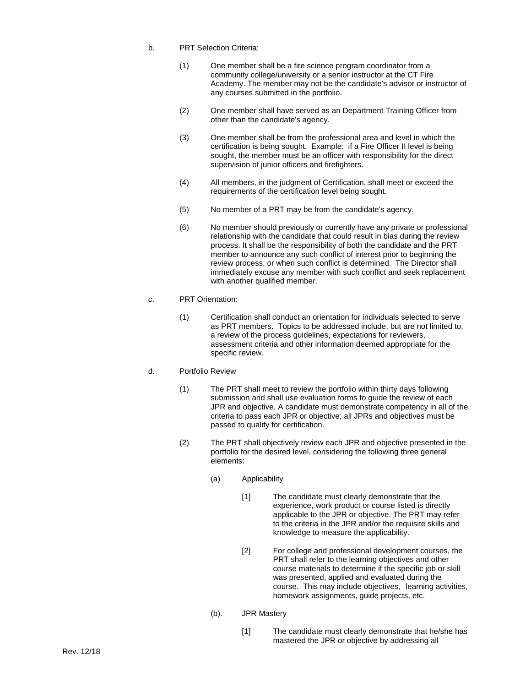- b. PRT Selection Criteria:
	- (1) One member shall be a fire science program coordinator from a community college/university or a senior instructor at the CT Fire Academy. The member may not be the candidate's advisor or instructor of any courses submitted in the portfolio.
	- (2) One member shall have served as an Department Training Officer from other than the candidate's agency.
	- (3) One member shall be from the professional area and level in which the certification is being sought. Example: if a Fire Officer II level is being sought, the member must be an officer with responsibility for the direct supervision of junior officers and firefighters.
	- (4) All members, in the judgment of Certification, shall meet or exceed the requirements of the certification level being sought.
	- (5) No member of a PRT may be from the candidate's agency.
	- (6) No member should previously or currently have any private or professional relationship with the candidate that could result in bias during the review process. It shall be the responsibility of both the candidate and the PRT member to announce any such conflict of interest prior to beginning the review process, or when such conflict is determined. The Director shall immediately excuse any member with such conflict and seek replacement with another qualified member.
- c. PRT Orientation:
	- (1) Certification shall conduct an orientation for individuals selected to serve as PRT members. Topics to be addressed include, but are not limited to, a review of the process guidelines, expectations for reviewers, assessment criteria and other information deemed appropriate for the specific review.
- d. Portfolio Review
	- (1) The PRT shall meet to review the portfolio within thirty days following submission and shall use evaluation forms to guide the review of each JPR and objective. A candidate must demonstrate competency in all of the criteria to pass each JPR or objective; all JPRs and objectives must be passed to qualify for certification.
	- (2) The PRT shall objectively review each JPR and objective presented in the portfolio for the desired level, considering the following three general elements:
		- (a) Applicability
			- [1] The candidate must clearly demonstrate that the experience, work product or course listed is directly applicable to the JPR or objective. The PRT may refer to the criteria in the JPR and/or the requisite skills and knowledge to measure the applicability.
			- [2] For college and professional development courses, the PRT shall refer to the learning objectives and other course materials to determine if the specific job or skill was presented, applied and evaluated during the course. This may include objectives, learning activities, homework assignments, guide projects, etc.
		- (b). JPR Mastery
			- [1] The candidate must clearly demonstrate that he/she has mastered the JPR or objective by addressing all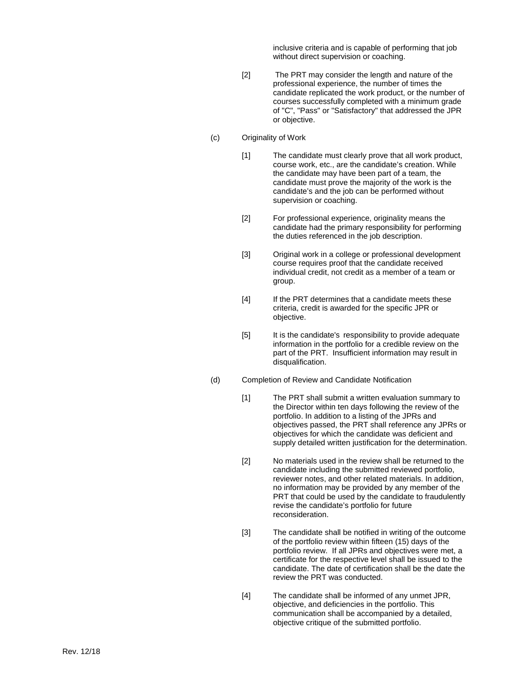inclusive criteria and is capable of performing that job without direct supervision or coaching.

- [2] The PRT may consider the length and nature of the professional experience, the number of times the candidate replicated the work product, or the number of courses successfully completed with a minimum grade of "C", "Pass" or "Satisfactory" that addressed the JPR or objective.
- (c) Originality of Work
	- [1] The candidate must clearly prove that all work product, course work, etc., are the candidate's creation. While the candidate may have been part of a team, the candidate must prove the majority of the work is the candidate's and the job can be performed without supervision or coaching.
	- [2] For professional experience, originality means the candidate had the primary responsibility for performing the duties referenced in the job description.
	- [3] Original work in a college or professional development course requires proof that the candidate received individual credit, not credit as a member of a team or group.
	- [4] If the PRT determines that a candidate meets these criteria, credit is awarded for the specific JPR or objective.
	- [5] It is the candidate's responsibility to provide adequate information in the portfolio for a credible review on the part of the PRT. Insufficient information may result in disqualification.
- (d) Completion of Review and Candidate Notification
	- [1] The PRT shall submit a written evaluation summary to the Director within ten days following the review of the portfolio. In addition to a listing of the JPRs and objectives passed, the PRT shall reference any JPRs or objectives for which the candidate was deficient and supply detailed written justification for the determination.
	- [2] No materials used in the review shall be returned to the candidate including the submitted reviewed portfolio, reviewer notes, and other related materials. In addition, no information may be provided by any member of the PRT that could be used by the candidate to fraudulently revise the candidate's portfolio for future reconsideration.
	- [3] The candidate shall be notified in writing of the outcome of the portfolio review within fifteen (15) days of the portfolio review. If all JPRs and objectives were met, a certificate for the respective level shall be issued to the candidate. The date of certification shall be the date the review the PRT was conducted.
	- [4] The candidate shall be informed of any unmet JPR, objective, and deficiencies in the portfolio. This communication shall be accompanied by a detailed, objective critique of the submitted portfolio.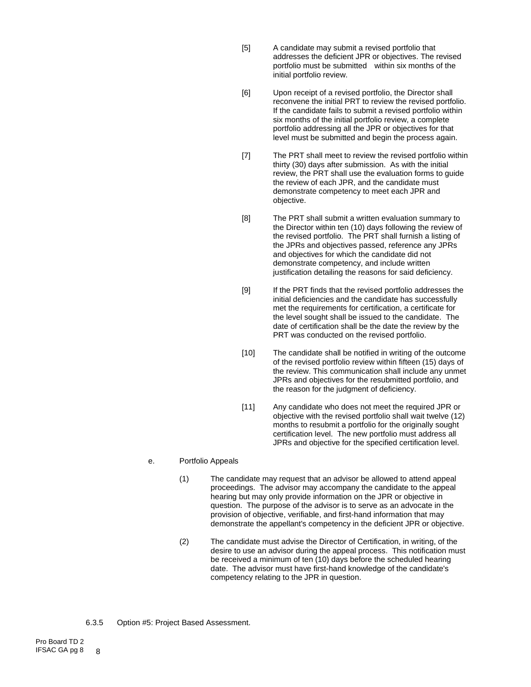- [5] A candidate may submit a revised portfolio that addresses the deficient JPR or objectives. The revised portfolio must be submitted within six months of the initial portfolio review.
- [6] Upon receipt of a revised portfolio, the Director shall reconvene the initial PRT to review the revised portfolio. If the candidate fails to submit a revised portfolio within six months of the initial portfolio review, a complete portfolio addressing all the JPR or objectives for that level must be submitted and begin the process again.
- [7] The PRT shall meet to review the revised portfolio within thirty (30) days after submission. As with the initial review, the PRT shall use the evaluation forms to guide the review of each JPR, and the candidate must demonstrate competency to meet each JPR and objective.
- [8] The PRT shall submit a written evaluation summary to the Director within ten (10) days following the review of the revised portfolio. The PRT shall furnish a listing of the JPRs and objectives passed, reference any JPRs and objectives for which the candidate did not demonstrate competency, and include written justification detailing the reasons for said deficiency.
- [9] If the PRT finds that the revised portfolio addresses the initial deficiencies and the candidate has successfully met the requirements for certification, a certificate for the level sought shall be issued to the candidate. The date of certification shall be the date the review by the PRT was conducted on the revised portfolio.
- [10] The candidate shall be notified in writing of the outcome of the revised portfolio review within fifteen (15) days of the review. This communication shall include any unmet JPRs and objectives for the resubmitted portfolio, and the reason for the judgment of deficiency.
- [11] Any candidate who does not meet the required JPR or objective with the revised portfolio shall wait twelve (12) months to resubmit a portfolio for the originally sought certification level. The new portfolio must address all JPRs and objective for the specified certification level.

#### e. Portfolio Appeals

- (1) The candidate may request that an advisor be allowed to attend appeal proceedings. The advisor may accompany the candidate to the appeal hearing but may only provide information on the JPR or objective in question. The purpose of the advisor is to serve as an advocate in the provision of objective, verifiable, and first-hand information that may demonstrate the appellant's competency in the deficient JPR or objective.
- (2) The candidate must advise the Director of Certification, in writing, of the desire to use an advisor during the appeal process. This notification must be received a minimum of ten (10) days before the scheduled hearing date. The advisor must have first-hand knowledge of the candidate's competency relating to the JPR in question.
- 6.3.5 Option #5: Project Based Assessment.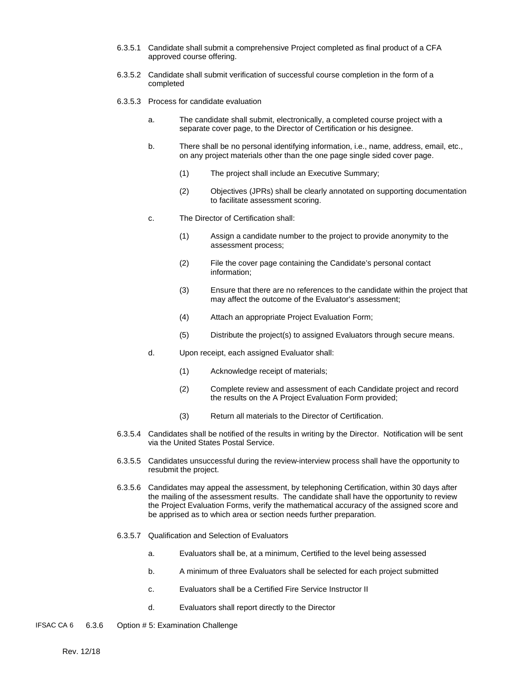- 6.3.5.1 Candidate shall submit a comprehensive Project completed as final product of a CFA approved course offering.
- 6.3.5.2 Candidate shall submit verification of successful course completion in the form of a completed
- 6.3.5.3 Process for candidate evaluation
	- a. The candidate shall submit, electronically, a completed course project with a separate cover page, to the Director of Certification or his designee.
	- b. There shall be no personal identifying information, i.e., name, address, email, etc., on any project materials other than the one page single sided cover page.
		- (1) The project shall include an Executive Summary;
		- (2) Objectives (JPRs) shall be clearly annotated on supporting documentation to facilitate assessment scoring.
	- c. The Director of Certification shall:
		- (1) Assign a candidate number to the project to provide anonymity to the assessment process;
		- (2) File the cover page containing the Candidate's personal contact information;
		- (3) Ensure that there are no references to the candidate within the project that may affect the outcome of the Evaluator's assessment;
		- (4) Attach an appropriate Project Evaluation Form;
		- (5) Distribute the project(s) to assigned Evaluators through secure means.
	- d. Upon receipt, each assigned Evaluator shall:
		- (1) Acknowledge receipt of materials;
		- (2) Complete review and assessment of each Candidate project and record the results on the A Project Evaluation Form provided;
		- (3) Return all materials to the Director of Certification.
- 6.3.5.4 Candidates shall be notified of the results in writing by the Director. Notification will be sent via the United States Postal Service.
- 6.3.5.5 Candidates unsuccessful during the review-interview process shall have the opportunity to resubmit the project.
- 6.3.5.6 Candidates may appeal the assessment, by telephoning Certification, within 30 days after the mailing of the assessment results. The candidate shall have the opportunity to review the Project Evaluation Forms, verify the mathematical accuracy of the assigned score and be apprised as to which area or section needs further preparation.
- 6.3.5.7 Qualification and Selection of Evaluators
	- a. Evaluators shall be, at a minimum, Certified to the level being assessed
	- b. A minimum of three Evaluators shall be selected for each project submitted
	- c. Evaluators shall be a Certified Fire Service Instructor II
	- d. Evaluators shall report directly to the Director
- IFSAC CA 6 6.3.6 Option # 5: Examination Challenge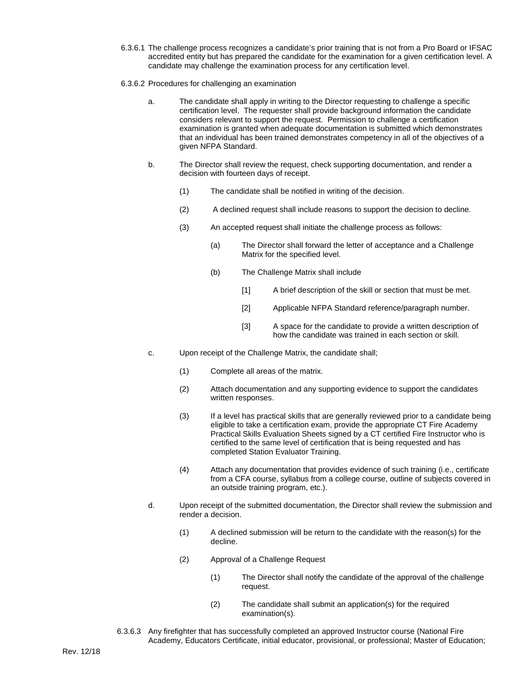- 6.3.6.1 The challenge process recognizes a candidate's prior training that is not from a Pro Board or IFSAC accredited entity but has prepared the candidate for the examination for a given certification level. A candidate may challenge the examination process for any certification level.
- 6.3.6.2 Procedures for challenging an examination
	- a. The candidate shall apply in writing to the Director requesting to challenge a specific certification level. The requester shall provide background information the candidate considers relevant to support the request. Permission to challenge a certification examination is granted when adequate documentation is submitted which demonstrates that an individual has been trained demonstrates competency in all of the objectives of a given NFPA Standard.
	- b. The Director shall review the request, check supporting documentation, and render a decision with fourteen days of receipt.
		- (1) The candidate shall be notified in writing of the decision.
		- (2) A declined request shall include reasons to support the decision to decline.
		- (3) An accepted request shall initiate the challenge process as follows:
			- (a) The Director shall forward the letter of acceptance and a Challenge Matrix for the specified level.
			- (b) The Challenge Matrix shall include
				- [1] A brief description of the skill or section that must be met.
				- [2] Applicable NFPA Standard reference/paragraph number.
				- [3] A space for the candidate to provide a written description of how the candidate was trained in each section or skill.
	- c. Upon receipt of the Challenge Matrix, the candidate shall;
		- (1) Complete all areas of the matrix.
		- (2) Attach documentation and any supporting evidence to support the candidates written responses.
		- (3) If a level has practical skills that are generally reviewed prior to a candidate being eligible to take a certification exam, provide the appropriate CT Fire Academy Practical Skills Evaluation Sheets signed by a CT certified Fire Instructor who is certified to the same level of certification that is being requested and has completed Station Evaluator Training.
		- (4) Attach any documentation that provides evidence of such training (i.e., certificate from a CFA course, syllabus from a college course, outline of subjects covered in an outside training program, etc.).
	- d. Upon receipt of the submitted documentation, the Director shall review the submission and render a decision.
		- (1) A declined submission will be return to the candidate with the reason(s) for the decline.
		- (2) Approval of a Challenge Request
			- (1) The Director shall notify the candidate of the approval of the challenge request.
			- (2) The candidate shall submit an application(s) for the required examination(s).
- 6.3.6.3 Any firefighter that has successfully completed an approved Instructor course (National Fire Academy, Educators Certificate, initial educator, provisional, or professional; Master of Education;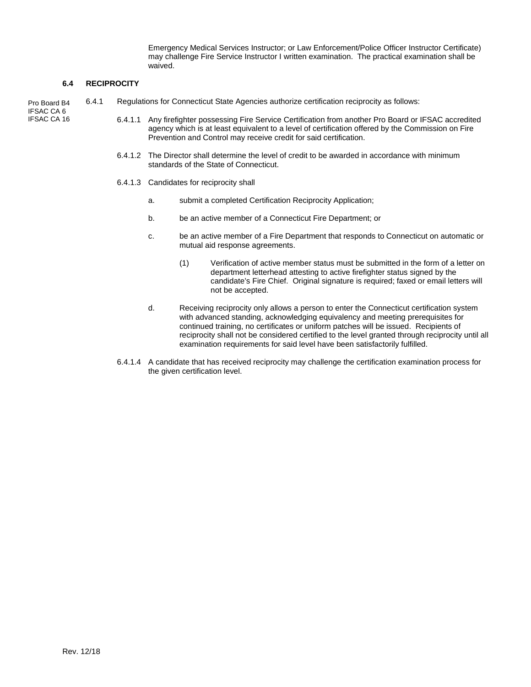Emergency Medical Services Instructor; or Law Enforcement/Police Officer Instructor Certificate) may challenge Fire Service Instructor I written examination. The practical examination shall be waived.

#### **6.4 RECIPROCITY**

Pro Board B4 IFSAC CA 6 IFSAC CA 16

- 6.4.1 Regulations for Connecticut State Agencies authorize certification reciprocity as follows:
	- 6.4.1.1 Any firefighter possessing Fire Service Certification from another Pro Board or IFSAC accredited agency which is at least equivalent to a level of certification offered by the Commission on Fire Prevention and Control may receive credit for said certification.
	- 6.4.1.2 The Director shall determine the level of credit to be awarded in accordance with minimum standards of the State of Connecticut.
	- 6.4.1.3 Candidates for reciprocity shall
		- a. submit a completed Certification Reciprocity Application;
		- b. be an active member of a Connecticut Fire Department; or
		- c. be an active member of a Fire Department that responds to Connecticut on automatic or mutual aid response agreements.
			- (1) Verification of active member status must be submitted in the form of a letter on department letterhead attesting to active firefighter status signed by the candidate's Fire Chief. Original signature is required; faxed or email letters will not be accepted.
		- d. Receiving reciprocity only allows a person to enter the Connecticut certification system with advanced standing, acknowledging equivalency and meeting prerequisites for continued training, no certificates or uniform patches will be issued. Recipients of reciprocity shall not be considered certified to the level granted through reciprocity until all examination requirements for said level have been satisfactorily fulfilled.
	- 6.4.1.4 A candidate that has received reciprocity may challenge the certification examination process for the given certification level.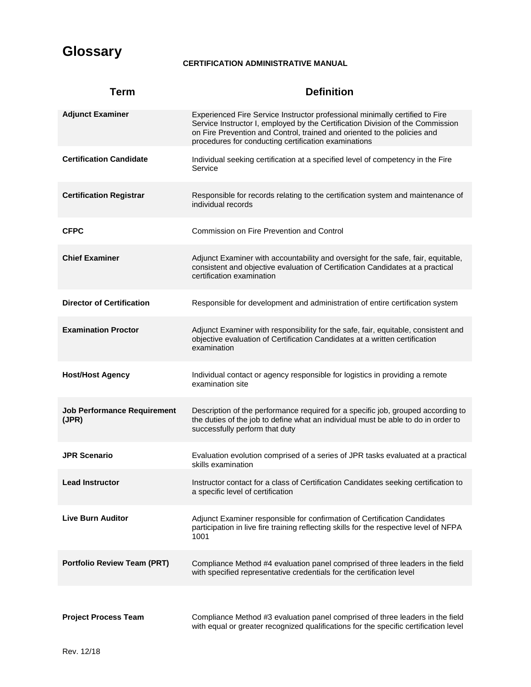# **Glossary**

# **CERTIFICATION ADMINISTRATIVE MANUAL**

| <b>Term</b>                                 | <b>Definition</b>                                                                                                                                                                                                                                                                                  |
|---------------------------------------------|----------------------------------------------------------------------------------------------------------------------------------------------------------------------------------------------------------------------------------------------------------------------------------------------------|
| <b>Adjunct Examiner</b>                     | Experienced Fire Service Instructor professional minimally certified to Fire<br>Service Instructor I, employed by the Certification Division of the Commission<br>on Fire Prevention and Control, trained and oriented to the policies and<br>procedures for conducting certification examinations |
| <b>Certification Candidate</b>              | Individual seeking certification at a specified level of competency in the Fire<br>Service                                                                                                                                                                                                         |
| <b>Certification Registrar</b>              | Responsible for records relating to the certification system and maintenance of<br>individual records                                                                                                                                                                                              |
| <b>CFPC</b>                                 | Commission on Fire Prevention and Control                                                                                                                                                                                                                                                          |
| <b>Chief Examiner</b>                       | Adjunct Examiner with accountability and oversight for the safe, fair, equitable,<br>consistent and objective evaluation of Certification Candidates at a practical<br>certification examination                                                                                                   |
| <b>Director of Certification</b>            | Responsible for development and administration of entire certification system                                                                                                                                                                                                                      |
| <b>Examination Proctor</b>                  | Adjunct Examiner with responsibility for the safe, fair, equitable, consistent and<br>objective evaluation of Certification Candidates at a written certification<br>examination                                                                                                                   |
| <b>Host/Host Agency</b>                     | Individual contact or agency responsible for logistics in providing a remote<br>examination site                                                                                                                                                                                                   |
| <b>Job Performance Requirement</b><br>(JPR) | Description of the performance required for a specific job, grouped according to<br>the duties of the job to define what an individual must be able to do in order to<br>successfully perform that duty                                                                                            |
| <b>JPR Scenario</b>                         | Evaluation evolution comprised of a series of JPR tasks evaluated at a practical<br>skills examination                                                                                                                                                                                             |
| <b>Lead Instructor</b>                      | Instructor contact for a class of Certification Candidates seeking certification to<br>a specific level of certification                                                                                                                                                                           |
| <b>Live Burn Auditor</b>                    | Adjunct Examiner responsible for confirmation of Certification Candidates<br>participation in live fire training reflecting skills for the respective level of NFPA<br>1001                                                                                                                        |
| <b>Portfolio Review Team (PRT)</b>          | Compliance Method #4 evaluation panel comprised of three leaders in the field<br>with specified representative credentials for the certification level                                                                                                                                             |
|                                             |                                                                                                                                                                                                                                                                                                    |
| <b>Project Process Team</b>                 | Compliance Method #3 evaluation panel comprised of three leaders in the field<br>with equal or greater recognized qualifications for the specific certification level                                                                                                                              |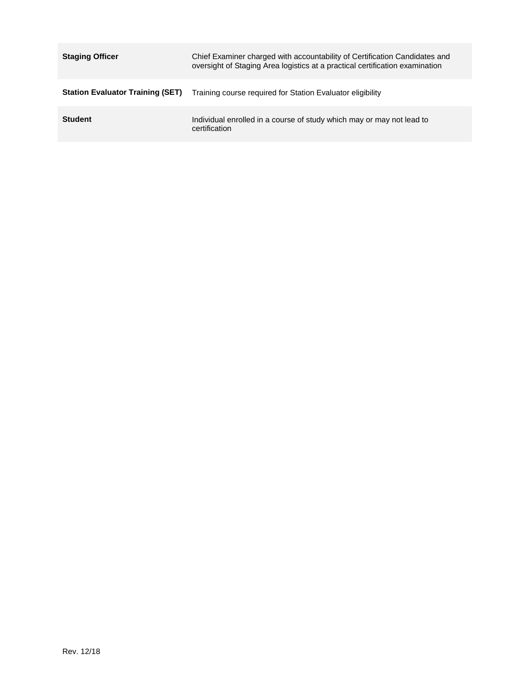| <b>Staging Officer</b>                  | Chief Examiner charged with accountability of Certification Candidates and<br>oversight of Staging Area logistics at a practical certification examination |
|-----------------------------------------|------------------------------------------------------------------------------------------------------------------------------------------------------------|
| <b>Station Evaluator Training (SET)</b> | Training course required for Station Evaluator eligibility                                                                                                 |
| <b>Student</b>                          | Individual enrolled in a course of study which may or may not lead to<br>certification                                                                     |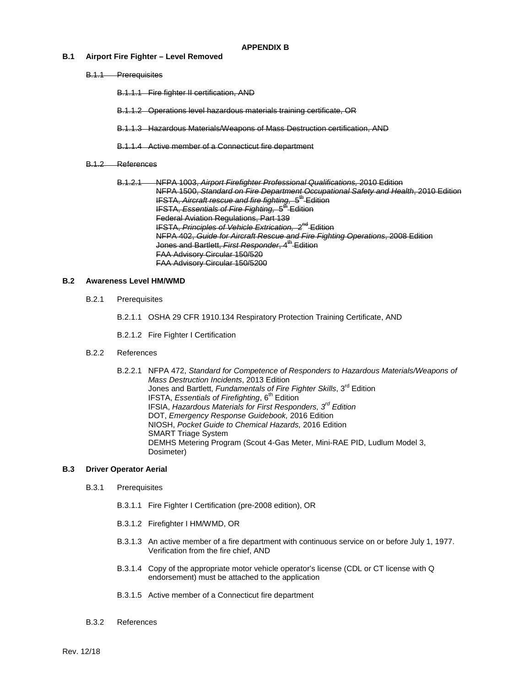#### **B.1 Airport Fire Fighter – Level Removed**

B.1.1 Prerequisites

B.1.1.1 Fire fighter II certification, AND

B.1.1.2 Operations level hazardous materials training certificate, OR

B.1.1.3 Hazardous Materials/Weapons of Mass Destruction certification, AND

B.1.1.4 Active member of a Connecticut fire department

#### B.1.2 References

B.1.2.1 NFPA 1003, *Airport Firefighter Professional Qualifications,* 2010 Edition NFPA 1500, *Standard on Fire Department Occupational Safety and Health*, 2010 Edition IFSTA, *Aircraft rescue and fire fighting*, 5<sup>th</sup> Edition IFSTA, *Essentials of Fire Fighting,* 5th Edition Federal Aviation Regulations, Part 139 IFSTA, *Principles of Vehicle Extrication,* 2nd Edition NFPA 402, *Guide for Aircraft Rescue and Fire Fighting Operations*, 2008 Edition Jones and Bartlett. *First Responder*, 4<sup>th</sup> Edition FAA Advisory Circular 150/520 FAA Advisory Circular 150/5200

#### **B.2 Awareness Level HM/WMD**

B.2.1 Prerequisites

B.2.1.1 OSHA 29 CFR 1910.134 Respiratory Protection Training Certificate, AND

B.2.1.2 Fire Fighter I Certification

#### B.2.2 References

B.2.2.1 NFPA 472, *Standard for Competence of Responders to Hazardous Materials/Weapons of Mass Destruction Incidents*, 2013 Edition Jones and Bartlett, *Fundamentals of Fire Fighter Skills*, 3rd Edition IFSTA, *Essentials of Firefighting*, 6<sup>th</sup> Edition IFSIA, *Hazardous Materials for First Responders, 3rd Edition* DOT, *Emergency Response Guidebook,* 2016 Edition NIOSH, *Pocket Guide to Chemical Hazards,* 2016 Edition SMART Triage System DEMHS Metering Program (Scout 4-Gas Meter, Mini-RAE PID, Ludlum Model 3, Dosimeter)

#### **B.3 Driver Operator Aerial**

- B.3.1 Prerequisites
	- B.3.1.1 Fire Fighter I Certification (pre-2008 edition), OR
	- B.3.1.2 Firefighter I HM/WMD, OR
	- B.3.1.3 An active member of a fire department with continuous service on or before July 1, 1977. Verification from the fire chief, AND
	- B.3.1.4 Copy of the appropriate motor vehicle operator's license (CDL or CT license with Q endorsement) must be attached to the application
	- B.3.1.5 Active member of a Connecticut fire department
- B.3.2 References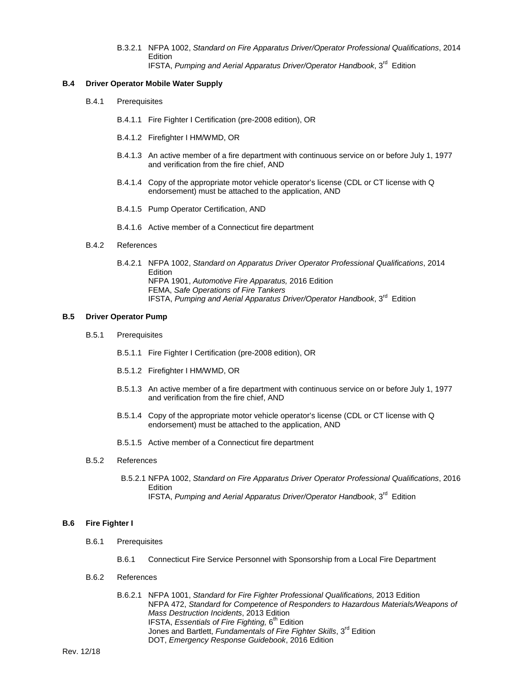B.3.2.1 NFPA 1002, *Standard on Fire Apparatus Driver/Operator Professional Qualifications*, 2014 **Edition** IFSTA, *Pumping and Aerial Apparatus Driver/Operator Handbook*, 3rd Edition

#### **B.4 Driver Operator Mobile Water Supply**

- B.4.1 Prerequisites
	- B.4.1.1 Fire Fighter I Certification (pre-2008 edition), OR
	- B.4.1.2 Firefighter I HM/WMD, OR
	- B.4.1.3 An active member of a fire department with continuous service on or before July 1, 1977 and verification from the fire chief, AND
	- B.4.1.4 Copy of the appropriate motor vehicle operator's license (CDL or CT license with Q endorsement) must be attached to the application, AND
	- B.4.1.5 Pump Operator Certification, AND
	- B.4.1.6 Active member of a Connecticut fire department
- B.4.2 References
	- B.4.2.1 NFPA 1002, *Standard on Apparatus Driver Operator Professional Qualifications*, 2014 **Edition** NFPA 1901, *Automotive Fire Apparatus,* 2016 Edition FEMA, *Safe Operations of Fire Tankers* IFSTA, *Pumping and Aerial Apparatus Driver/Operator Handbook*, 3rd Edition

#### **B.5 Driver Operator Pump**

- B.5.1 Prerequisites
	- B.5.1.1 Fire Fighter I Certification (pre-2008 edition), OR
	- B.5.1.2 Firefighter I HM/WMD, OR
	- B.5.1.3 An active member of a fire department with continuous service on or before July 1, 1977 and verification from the fire chief, AND
	- B.5.1.4 Copy of the appropriate motor vehicle operator's license (CDL or CT license with Q endorsement) must be attached to the application, AND
	- B.5.1.5 Active member of a Connecticut fire department
- B.5.2 References
	- B.5.2.1 NFPA 1002, *Standard on Fire Apparatus Driver Operator Professional Qualifications*, 2016 Edition IFSTA, *Pumping and Aerial Apparatus Driver/Operator Handbook*, 3rd Edition

#### **B.6 Fire Fighter I**

- B.6.1 Prerequisites
	- B.6.1 Connecticut Fire Service Personnel with Sponsorship from a Local Fire Department

### B.6.2 References

B.6.2.1 NFPA 1001, *Standard for Fire Fighter Professional Qualifications,* 2013 Edition NFPA 472, *Standard for Competence of Responders to Hazardous Materials/Weapons of Mass Destruction Incidents*, 2013 Edition IFSTA, *Essentials of Fire Fighting,* 6<sup>th</sup> Edition Jones and Bartlett, *Fundamentals of Fire Fighter Skills*, 3rd Edition DOT, *Emergency Response Guidebook*, 2016 Edition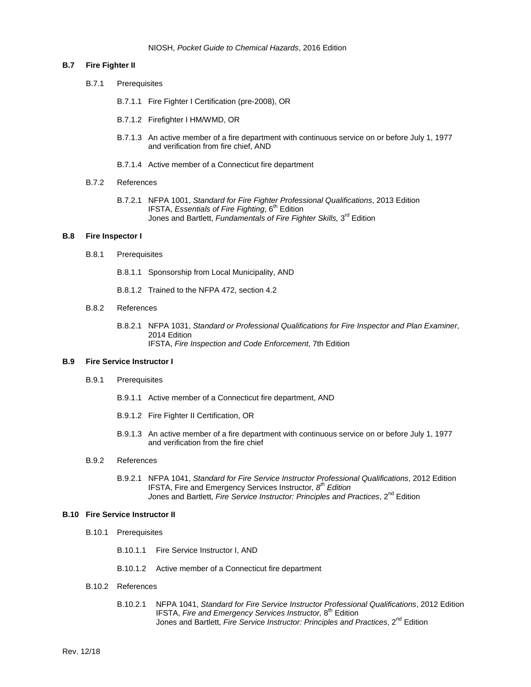#### **B.7 Fire Fighter II**

- B.7.1 Prerequisites
	- B.7.1.1 Fire Fighter I Certification (pre-2008), OR
	- B.7.1.2 Firefighter I HM/WMD, OR
	- B.7.1.3 An active member of a fire department with continuous service on or before July 1, 1977 and verification from fire chief, AND
	- B.7.1.4 Active member of a Connecticut fire department
- B.7.2 References
	- B.7.2.1 NFPA 1001, *Standard for Fire Fighter Professional Qualifications*, 2013 Edition IFSTA, *Essentials of Fire Fighting*, 6<sup>th</sup> Edition Jones and Bartlett, *Fundamentals of Fire Fighter Skills,* 3rd Edition

#### **B.8 Fire Inspector I**

- B.8.1 Prerequisites
	- B.8.1.1 Sponsorship from Local Municipality, AND
	- B.8.1.2 Trained to the NFPA 472, section 4.2
- B.8.2 References
	- B.8.2.1 NFPA 1031, *Standard or Professional Qualifications for Fire Inspector and Plan Examiner*, 2014 Edition IFSTA, *Fire Inspection and Code Enforcement*, 7th Edition

#### **B.9 Fire Service Instructor I**

- B.9.1 Prerequisites
	- B.9.1.1 Active member of a Connecticut fire department, AND
	- B.9.1.2 Fire Fighter II Certification, OR
	- B.9.1.3 An active member of a fire department with continuous service on or before July 1, 1977 and verification from the fire chief
- B.9.2 References
	- B.9.2.1 NFPA 1041, *Standard for Fire Service Instructor Professional Qualifications*, 2012 Edition IFSTA, Fire and Emergency Services Instructor*, 8th Edition* Jones and Bartlett, *Fire Service Instructor: Principles and Practices*, 2<sup>nd</sup> Edition

#### **B.10 Fire Service Instructor II**

- B.10.1 Prerequisites
	- B.10.1.1 Fire Service Instructor I, AND
	- B.10.1.2 Active member of a Connecticut fire department
- B.10.2 References
	- B.10.2.1 NFPA 1041, *Standard for Fire Service Instructor Professional Qualifications*, 2012 Edition IFSTA, Fire and Emergency Services Instructor, 8<sup>th</sup> Edition Jones and Bartlett, *Fire Service Instructor: Principles and Practices*, 2<sup>nd</sup> Edition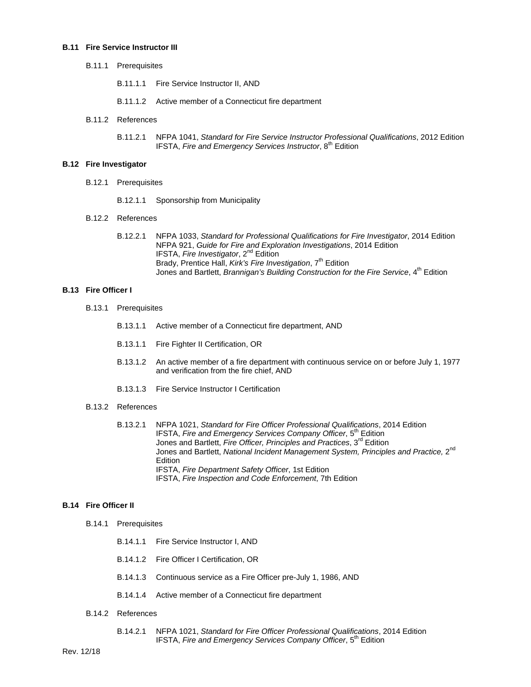#### **B.11 Fire Service Instructor III**

- B.11.1 Prerequisites
	- B.11.1.1 Fire Service Instructor II, AND
	- B.11.1.2 Active member of a Connecticut fire department
- B.11.2 References
	- B.11.2.1 NFPA 1041, *Standard for Fire Service Instructor Professional Qualifications*, 2012 Edition IFSTA, *Fire and Emergency Services Instructor*, 8th Edition

#### **B.12 Fire Investigator**

- B.12.1 Prerequisites
	- B.12.1.1 Sponsorship from Municipality

#### B.12.2 References

B.12.2.1 NFPA 1033, *Standard for Professional Qualifications for Fire Investigator*, 2014 Edition NFPA 921, *Guide for Fire and Exploration Investigations*, 2014 Edition IFSTA, *Fire Investigator*, 2nd Edition Brady, Prentice Hall, *Kirk's Fire Investigation*, 7<sup>th</sup> Edition Jones and Bartlett, *Brannigan's Building Construction for the Fire Service*, 4<sup>th</sup> Edition

#### **B.13 Fire Officer I**

- B.13.1 Prerequisites
	- B.13.1.1 Active member of a Connecticut fire department, AND
	- B.13.1.1 Fire Fighter II Certification, OR
	- B.13.1.2 An active member of a fire department with continuous service on or before July 1, 1977 and verification from the fire chief, AND
	- B.13.1.3 Fire Service Instructor I Certification

# B.13.2 References

B.13.2.1 NFPA 1021, *Standard for Fire Officer Professional Qualifications*, 2014 Edition IFSTA, *Fire and Emergency Services Company Officer*, 5<sup>th</sup> Edition Jones and Bartlett, *Fire Officer, Principles and Practices*, 3rd Edition Jones and Bartlett, *National Incident Management System, Principles and Practice,* 2nd Edition IFSTA, *Fire Department Safety Officer*, 1st Edition IFSTA, *Fire Inspection and Code Enforcement*, 7th Edition

### **B.14 Fire Officer II**

- B.14.1 Prerequisites
	- B.14.1.1 Fire Service Instructor I, AND
	- B.14.1.2 Fire Officer I Certification, OR
	- B.14.1.3 Continuous service as a Fire Officer pre-July 1, 1986, AND
	- B.14.1.4 Active member of a Connecticut fire department
- B.14.2 References
	- B.14.2.1 NFPA 1021, *Standard for Fire Officer Professional Qualifications*, 2014 Edition IFSTA, *Fire and Emergency Services Company Officer*, 5<sup>th</sup> Edition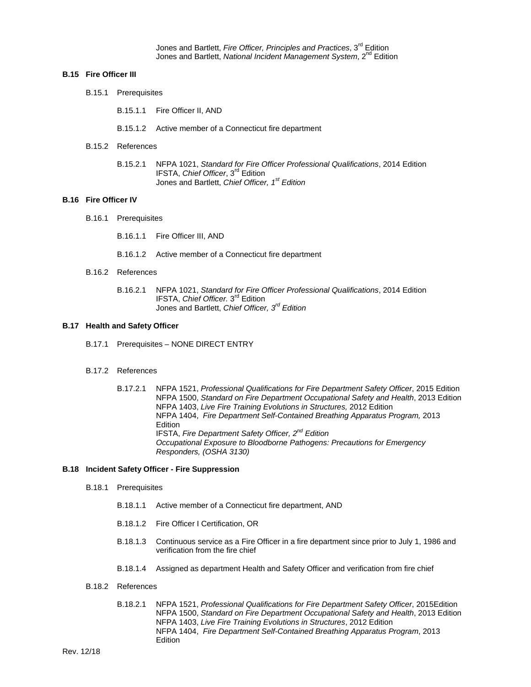Jones and Bartlett, *Fire Officer, Principles and Practices*, 3rd Edition Jones and Bartlett, *National Incident Management System*, 2<sup>nd</sup> Edition

#### **B.15 Fire Officer III**

B.15.1 Prerequisites

B.15.1.1 Fire Officer II, AND

- B.15.1.2 Active member of a Connecticut fire department
- B.15.2 References
	- B.15.2.1 NFPA 1021, *Standard for Fire Officer Professional Qualifications*, 2014 Edition IFSTA, *Chief Officer*, 3rd Edition Jones and Bartlett, *Chief Officer, 1st Edition*

#### **B.16 Fire Officer IV**

- B.16.1 Prerequisites
	- B.16.1.1 Fire Officer III, AND
	- B.16.1.2 Active member of a Connecticut fire department
- B.16.2 References
	- B.16.2.1 NFPA 1021, *Standard for Fire Officer Professional Qualifications*, 2014 Edition IFSTA, *Chief Officer.* 3rd Edition Jones and Bartlett, *Chief Officer, 3rd Edition*

#### **B.17 Health and Safety Officer**

- B.17.1 Prerequisites NONE DIRECT ENTRY
- B.17.2 References
	- B.17.2.1 NFPA 1521, *Professional Qualifications for Fire Department Safety Officer*, 2015 Edition NFPA 1500, *Standard on Fire Department Occupational Safety and Health*, 2013 Edition NFPA 1403, *Live Fire Training Evolutions in Structures,* 2012 Edition NFPA 1404, *Fire Department Self-Contained Breathing Apparatus Program,* 2013 Edition IFSTA, *Fire Department Safety Officer, 2nd Edition Occupational Exposure to Bloodborne Pathogens: Precautions for Emergency Responders, (OSHA 3130)*

#### **B.18 Incident Safety Officer - Fire Suppression**

- B.18.1 Prerequisites
	- B.18.1.1 Active member of a Connecticut fire department, AND
	- B.18.1.2 Fire Officer I Certification, OR
	- B.18.1.3 Continuous service as a Fire Officer in a fire department since prior to July 1, 1986 and verification from the fire chief
	- B.18.1.4 Assigned as department Health and Safety Officer and verification from fire chief
- B.18.2 References
	- B.18.2.1 NFPA 1521, *Professional Qualifications for Fire Department Safety Officer*, 2015Edition NFPA 1500, *Standard on Fire Department Occupational Safety and Health*, 2013 Edition NFPA 1403, *Live Fire Training Evolutions in Structures*, 2012 Edition NFPA 1404, *Fire Department Self-Contained Breathing Apparatus Program*, 2013 **Edition**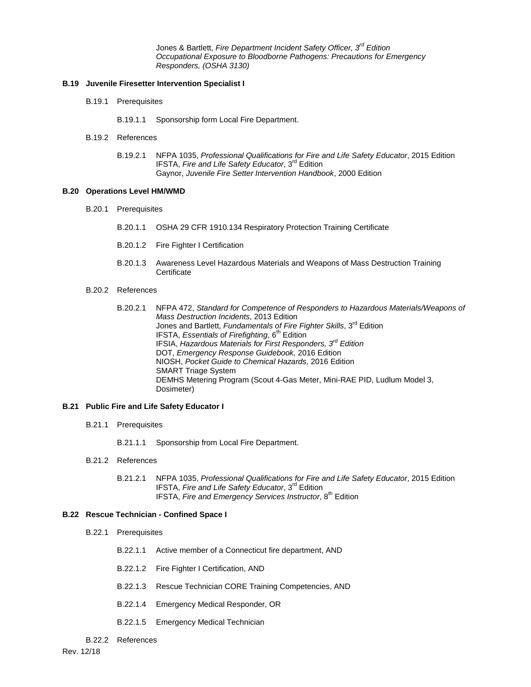Jones & Bartlett, *Fire Department Incident Safety Officer, 3rd Edition Occupational Exposure to Bloodborne Pathogens: Precautions for Emergency Responders, (OSHA 3130)*

### **B.19 Juvenile Firesetter Intervention Specialist I**

- B.19.1 Prerequisites
	- B.19.1.1 Sponsorship form Local Fire Department.
- B.19.2 References
	- B.19.2.1 NFPA 1035, *Professional Qualifications for Fire and Life Safety Educator*, 2015 Edition IFSTA, *Fire and Life Safety Educator*, 3rd Edition Gaynor, *Juvenile Fire Setter Intervention Handbook*, 2000 Edition

### **B.20 Operations Level HM/WMD**

- B.20.1 Prerequisites
	- B.20.1.1 OSHA 29 CFR 1910.134 Respiratory Protection Training Certificate
	- B.20.1.2 Fire Fighter I Certification
	- B.20.1.3 Awareness Level Hazardous Materials and Weapons of Mass Destruction Training **Certificate**
- B.20.2 References
	- B.20.2.1 NFPA 472, *Standard for Competence of Responders to Hazardous Materials/Weapons of Mass Destruction Incidents*, 2013 Edition Jones and Bartlett, *Fundamentals of Fire Fighter Skills*, 3rd Edition IFSTA, *Essentials of Firefighting*, 6<sup>th</sup> Edition IFSIA, *Hazardous Materials for First Responders, 3rd Edition* DOT, *Emergency Response Guidebook,* 2016 Edition NIOSH, *Pocket Guide to Chemical Hazards,* 2016 Edition SMART Triage System DEMHS Metering Program (Scout 4-Gas Meter, Mini-RAE PID, Ludlum Model 3, Dosimeter)

#### **B.21 Public Fire and Life Safety Educator I**

- B.21.1 Prerequisites
	- B.21.1.1 Sponsorship from Local Fire Department.
- B.21.2 References
	- B.21.2.1 NFPA 1035, *Professional Qualifications for Fire and Life Safety Educator*, 2015 Edition IFSTA, *Fire and Life Safety Educator*, 3rd Edition IFSTA, *Fire and Emergency Services Instructor*, 8th Edition

### **B.22 Rescue Technician - Confined Space I**

- B.22.1 Prerequisites
	- B.22.1.1 Active member of a Connecticut fire department, AND
	- B.22.1.2 Fire Fighter I Certification, AND
	- B.22.1.3 Rescue Technician CORE Training Competencies, AND
	- B.22.1.4 Emergency Medical Responder, OR
	- B.22.1.5 Emergency Medical Technician
- B.22.2 References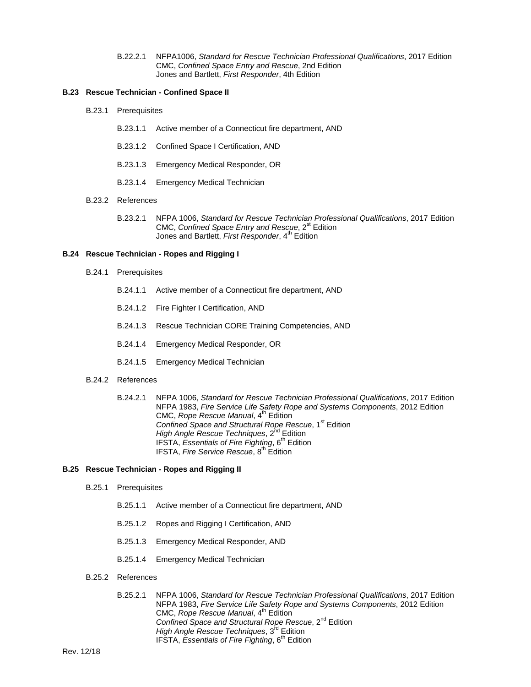B.22.2.1 NFPA1006, *Standard for Rescue Technician Professional Qualifications*, 2017 Edition CMC, *Confined Space Entry and Rescue*, 2nd Edition Jones and Bartlett, *First Responder*, 4th Edition

#### **B.23 Rescue Technician - Confined Space II**

- B.23.1 Prerequisites
	- B.23.1.1 Active member of a Connecticut fire department, AND
	- B.23.1.2 Confined Space I Certification, AND
	- B.23.1.3 Emergency Medical Responder, OR
	- B.23.1.4 Emergency Medical Technician
- B.23.2 References
	- B.23.2.1 NFPA 1006, *Standard for Rescue Technician Professional Qualifications*, 2017 Edition CMC, *Confined Space Entry and Rescue*, 2<sup>st</sup> Edition Jones and Bartlett, *First Responder*, 4<sup>th</sup> Edition

#### **B.24 Rescue Technician - Ropes and Rigging I**

- B.24.1 Prerequisites
	- B.24.1.1 Active member of a Connecticut fire department, AND
	- B.24.1.2 Fire Fighter I Certification, AND
	- B.24.1.3 Rescue Technician CORE Training Competencies, AND
	- B.24.1.4 Emergency Medical Responder, OR
	- B.24.1.5 Emergency Medical Technician
- B.24.2 References
	- B.24.2.1 NFPA 1006, *Standard for Rescue Technician Professional Qualifications*, 2017 Edition NFPA 1983, *Fire Service Life Safety Rope and Systems Components*, 2012 Edition CMC, Rope Rescue Manual, 4<sup>th</sup> Edition Confined Space and Structural Rope Rescue, 1<sup>st</sup> Edition *High Angle Rescue Techniques*, 2<sup>nd</sup> Edition IFSTA, *Essentials of Fire Fighting*, 6<sup>th</sup> Edition IFSTA, *Fire Service Rescue*, 8<sup>th</sup> Edition

#### **B.25 Rescue Technician - Ropes and Rigging II**

- B.25.1 Prerequisites
	- B.25.1.1 Active member of a Connecticut fire department, AND
	- B.25.1.2 Ropes and Rigging I Certification, AND
	- B.25.1.3 Emergency Medical Responder, AND
	- B.25.1.4 Emergency Medical Technician
- B.25.2 References
	- B.25.2.1 NFPA 1006, *Standard for Rescue Technician Professional Qualifications*, 2017 Edition NFPA 1983, *Fire Service Life Safety Rope and Systems Components*, 2012 Edition CMC, *Rope Rescue Manual*, 4<sup>th</sup> Edition Confined Space and Structural Rope Rescue, 2<sup>nd</sup> Edition *High Angle Rescue Techniques*, 3<sup>rd</sup> Edition IFSTA, *Essentials of Fire Fighting*, 6<sup>th</sup> Edition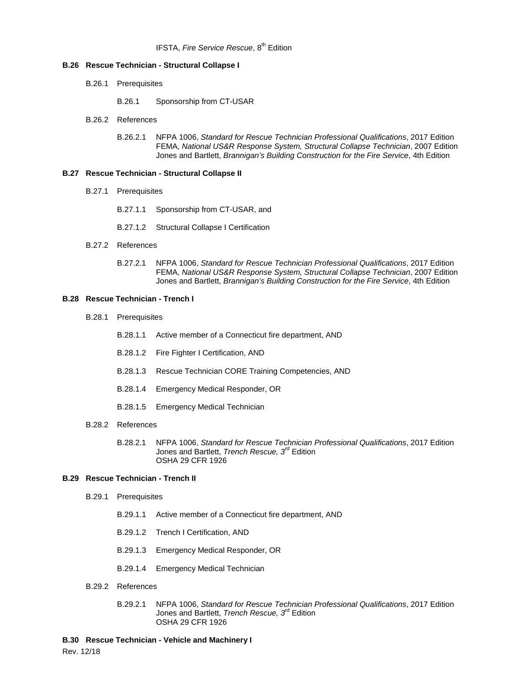#### **B.26 Rescue Technician - Structural Collapse I**

- B.26.1 Prerequisites
	- B.26.1 Sponsorship from CT-USAR
- B.26.2 References
	- B.26.2.1 NFPA 1006, *Standard for Rescue Technician Professional Qualifications*, 2017 Edition FEMA, *National US&R Response System, Structural Collapse Technician*, 2007 Edition Jones and Bartlett, *Brannigan's Building Construction for the Fire Service*, 4th Edition

#### **B.27 Rescue Technician - Structural Collapse II**

- B.27.1 Prerequisites
	- B.27.1.1 Sponsorship from CT-USAR, and
	- B.27.1.2 Structural Collapse I Certification
- B.27.2 References
	- B.27.2.1 NFPA 1006, *Standard for Rescue Technician Professional Qualifications*, 2017 Edition FEMA, *National US&R Response System, Structural Collapse Technician*, 2007 Edition Jones and Bartlett, *Brannigan's Building Construction for the Fire Service*, 4th Edition

#### **B.28 Rescue Technician - Trench I**

- B.28.1 Prerequisites
	- B.28.1.1 Active member of a Connecticut fire department, AND
	- B.28.1.2 Fire Fighter I Certification, AND
	- B.28.1.3 Rescue Technician CORE Training Competencies, AND
	- B.28.1.4 Emergency Medical Responder, OR
	- B.28.1.5 Emergency Medical Technician
- B.28.2 References
	- B.28.2.1 NFPA 1006, *Standard for Rescue Technician Professional Qualifications*, 2017 Edition Jones and Bartlett, *Trench Rescue, 3rd* Edition OSHA 29 CFR 1926

#### **B.29 Rescue Technician - Trench II**

- B.29.1 Prerequisites
	- B.29.1.1 Active member of a Connecticut fire department, AND
	- B.29.1.2 Trench I Certification, AND
	- B.29.1.3 Emergency Medical Responder, OR
	- B.29.1.4 Emergency Medical Technician
- B.29.2 References
	- B.29.2.1 NFPA 1006, *Standard for Rescue Technician Professional Qualifications*, 2017 Edition Jones and Bartlett, *Trench Rescue, 3rd* Edition OSHA 29 CFR 1926

#### **B.30 Rescue Technician - Vehicle and Machinery I**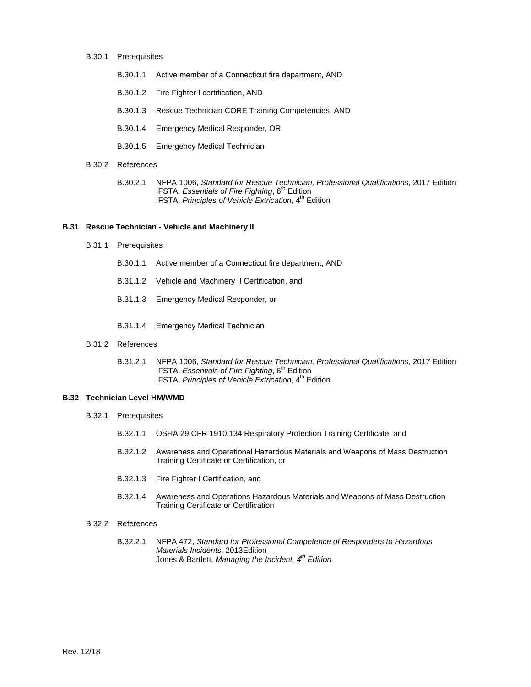- B.30.1 Prerequisites
	- B.30.1.1 Active member of a Connecticut fire department, AND
	- B.30.1.2 Fire Fighter I certification, AND
	- B.30.1.3 Rescue Technician CORE Training Competencies, AND
	- B.30.1.4 Emergency Medical Responder, OR
	- B.30.1.5 Emergency Medical Technician
- B.30.2 References
	- B.30.2.1 NFPA 1006, *Standard for Rescue Technician, Professional Qualifications*, 2017 Edition IFSTA, *Essentials of Fire Fighting*, 6<sup>th</sup> Edition IFSTA, *Principles of Vehicle Extrication*, 4th Edition

#### **B.31 Rescue Technician - Vehicle and Machinery II**

- B.31.1 Prerequisites
	- B.30.1.1 Active member of a Connecticut fire department, AND
	- B.31.1.2 Vehicle and Machinery I Certification, and
	- B.31.1.3 Emergency Medical Responder, or
	- B.31.1.4 Emergency Medical Technician
- B.31.2 References
	- B.31.2.1 NFPA 1006, *Standard for Rescue Technician, Professional Qualifications*, 2017 Edition IFSTA, *Essentials of Fire Fighting*, 6<sup>th</sup> Edition IFSTA, *Principles of Vehicle Extrication*, 4<sup>th</sup> Edition

#### **B.32 Technician Level HM/WMD**

- B.32.1 Prerequisites
	- B.32.1.1 OSHA 29 CFR 1910.134 Respiratory Protection Training Certificate, and
	- B.32.1.2 Awareness and Operational Hazardous Materials and Weapons of Mass Destruction Training Certificate or Certification, or
	- B.32.1.3 Fire Fighter I Certification, and
	- B.32.1.4 Awareness and Operations Hazardous Materials and Weapons of Mass Destruction Training Certificate or Certification
- B.32.2 References
	- B.32.2.1 NFPA 472, *Standard for Professional Competence of Responders to Hazardous Materials Incidents*, 2013Edition Jones & Bartlett, *Managing the Incident, 4th Edition*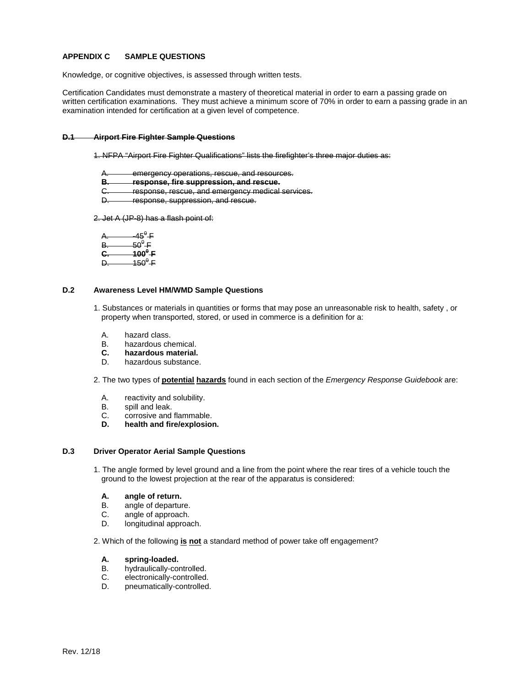# **APPENDIX C SAMPLE QUESTIONS**

Knowledge, or cognitive objectives, is assessed through written tests.

Certification Candidates must demonstrate a mastery of theoretical material in order to earn a passing grade on written certification examinations. They must achieve a minimum score of 70% in order to earn a passing grade in an examination intended for certification at a given level of competence.

#### **D.1 Airport Fire Fighter Sample Questions**

- 1. NFPA "Airport Fire Fighter Qualifications" lists the firefighter's three major duties as:
	- A. emergency operations, rescue, and resources.<br>B. sesponse fire suppression, and rescue.
	- **B. response, fire suppression, and rescue.**
	- C. response, rescue, and emergency medical services.<br>D. response, suppression, and rescue.
	- response, suppression, and rescue.

2. Jet A (JP-8) has a flash point of:

- $A.$   $-45^\theta$  F
- $B.$  50<sup>0</sup> F
- **C. 100<sup>0</sup> F**
- $D.$  150<sup>0</sup> F

# **D.2 Awareness Level HM/WMD Sample Questions**

- 1. Substances or materials in quantities or forms that may pose an unreasonable risk to health, safety , or property when transported, stored, or used in commerce is a definition for a:
	- A. hazard class.<br>B. hazardous ch
	- B. hazardous chemical.<br>C. hazardous material.
	- **C. hazardous material.**
	- hazardous substance.

2. The two types of **potential hazards** found in each section of the *Emergency Response Guidebook* are:

- A. reactivity and solubility.
- B. spill and leak.<br>C. corrosive and
- C. corrosive and flammable.<br>D. health and fire/explosio
- **D. health and fire/explosion.**

#### **D.3 Driver Operator Aerial Sample Questions**

1. The angle formed by level ground and a line from the point where the rear tires of a vehicle touch the ground to the lowest projection at the rear of the apparatus is considered:

# **A. angle of return.**

- B. angle of departure.<br>C. angle of approach.
- C. angle of approach.<br>D. longitudinal approa
- longitudinal approach.

2. Which of the following **is not** a standard method of power take off engagement?

# **A. spring-loaded.**

- hydraulically-controlled.
- C. electronically-controlled.<br>D. pneumatically-controlled
- pneumatically-controlled.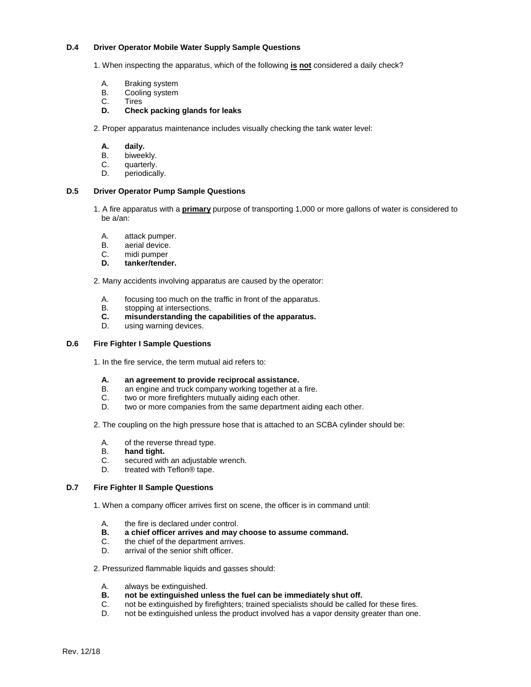#### **D.4 Driver Operator Mobile Water Supply Sample Questions**

1. When inspecting the apparatus, which of the following **is not** considered a daily check?

- A. Braking system
- B. Cooling system<br>C. Tires
- C. Tires<br>**D. Chec**
- **D. Check packing glands for leaks**
- 2. Proper apparatus maintenance includes visually checking the tank water level:
	- **A. daily.**
	- B. biweekly.<br>C. quarterly.
	- quarterly.
	- D. periodically.

### **D.5 Driver Operator Pump Sample Questions**

- 1. A fire apparatus with a **primary** purpose of transporting 1,000 or more gallons of water is considered to be a/an:
	- A. attack pumper.<br>B. aerial device.
	- B. aerial device.<br>C. midi pumper
	- C. midi pumper<br>D. tanker/tende
	- **D. tanker/tender.**

2. Many accidents involving apparatus are caused by the operator:

- A. focusing too much on the traffic in front of the apparatus.<br>B. stopping at intersections.
- B. stopping at intersections.<br>**C.** misunderstanding the c
- **C. misunderstanding the capabilities of the apparatus.**
- using warning devices.

### **D.6 Fire Fighter I Sample Questions**

1. In the fire service, the term mutual aid refers to:

- **A. an agreement to provide reciprocal assistance.**
- an engine and truck company working together at a fire.
- C. two or more firefighters mutually aiding each other.
- D. two or more companies from the same department aiding each other.
- 2. The coupling on the high pressure hose that is attached to an SCBA cylinder should be:
	- A. of the reverse thread type.<br>B. **hand tight**.
	- B. **hand tight.**
	- C. secured with an adjustable wrench.<br>D. treated with Teflon® tape.
	- treated with Teflon<sup>®</sup> tape.

#### **D.7 Fire Fighter II Sample Questions**

- 1. When a company officer arrives first on scene, the officer is in command until:
	- A. the fire is declared under control.<br>B. a chief officer arrives and may
	- **B. a chief officer arrives and may choose to assume command.**
	- C. the chief of the department arrives.<br>D. arrival of the senior shift officer
	- arrival of the senior shift officer.

### 2. Pressurized flammable liquids and gasses should:

- A. always be extinguished.<br>**B.** not be extinguished un
- **B. not be extinguished unless the fuel can be immediately shut off.**
- C. not be extinguished by firefighters; trained specialists should be called for these fires.
- D. not be extinguished unless the product involved has a vapor density greater than one.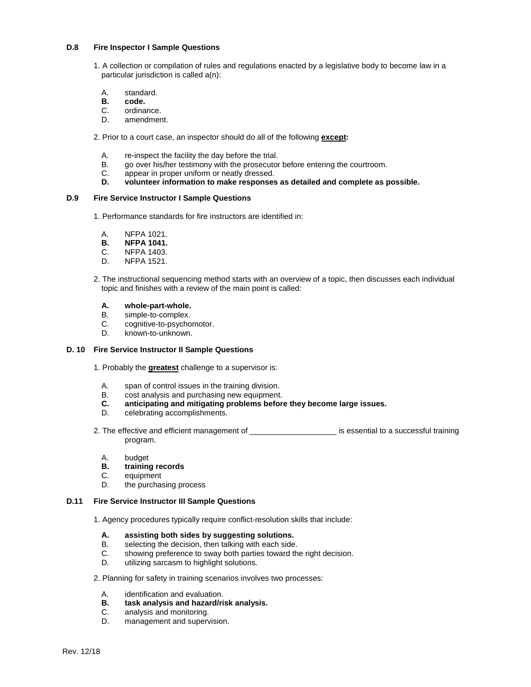### **D.8 Fire Inspector I Sample Questions**

- 1. A collection or compilation of rules and regulations enacted by a legislative body to become law in a particular jurisdiction is called a(n):
	- A. standard.<br>**B. code.**
	- **B. code.**
	- C. ordinance.<br>D. amendmer
	- amendment.

2. Prior to a court case, an inspector should do all of the following **except:**

- A. re-inspect the facility the day before the trial.
- B. go over his/her testimony with the prosecutor before entering the courtroom.
- C. appear in proper uniform or neatly dressed.<br>D. volunteer information to make responses
- **D. volunteer information to make responses as detailed and complete as possible.**

#### **D.9 Fire Service Instructor I Sample Questions**

- 1. Performance standards for fire instructors are identified in:
	- A. NFPA 1021.<br>**B. NFPA 1041.**
	- **B. NFPA 1041. C. NFPA 1403.**
	- **NFPA 1403.**
	- D. NFPA 1521.
- 2. The instructional sequencing method starts with an overview of a topic, then discusses each individual topic and finishes with a review of the main point is called:

# **A. whole-part-whole.**

- B. simple-to-complex.<br>C. cognitive-to-psycho
- C. cognitive-to-psychomotor.<br>D. known-to-unknown.
- known-to-unknown.

#### **D. 10 Fire Service Instructor II Sample Questions**

- 1. Probably the **greatest** challenge to a supervisor is:
	- A. span of control issues in the training division.<br>B. cost analysis and purchasing new equipment.
	- B. cost analysis and purchasing new equipment.<br>C. anticipating and mitigating problems before
	- **C. anticipating and mitigating problems before they become large issues.**
	- D. celebrating accomplishments.
- 2. The effective and efficient management of \_\_\_\_\_\_\_\_\_\_\_\_\_\_\_\_\_\_\_\_\_\_\_\_\_ is essential to a successful training program.
	- A. budget<br>**B. training**
	- **B. training records**
	- C. equipment<br>D. the purchas
	- the purchasing process

#### **D.11 Fire Service Instructor III Sample Questions**

- 1. Agency procedures typically require conflict-resolution skills that include:
	- **A. assisting both sides by suggesting solutions.**
	- B. selecting the decision, then talking with each side.<br>C. showing preference to sway both parties toward the
	- showing preference to sway both parties toward the right decision.
	- D. utilizing sarcasm to highlight solutions.

#### 2. Planning for safety in training scenarios involves two processes:

- A. identification and evaluation.<br>**B.** task analysis and hazard/rist
- **B. task analysis and hazard/risk analysis.**
- C. analysis and monitoring.<br>D. management and superv
- management and supervision.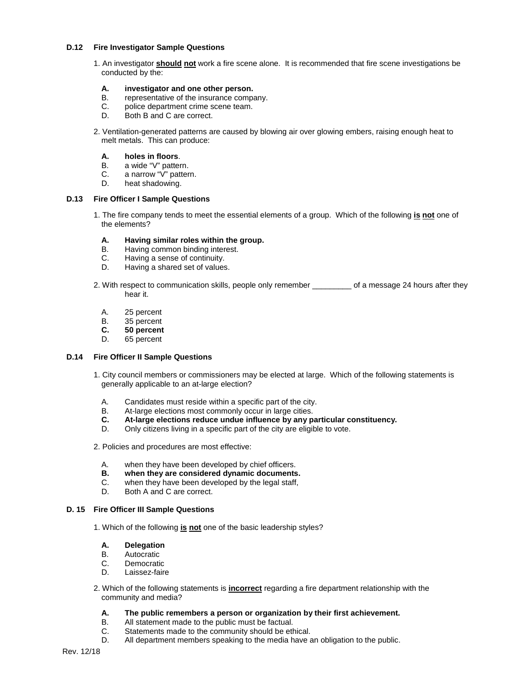#### **D.12 Fire Investigator Sample Questions**

1. An investigator **should not** work a fire scene alone. It is recommended that fire scene investigations be conducted by the:

# **A. investigator and one other person.**

- B. representative of the insurance company.<br>C. police department crime scene team.
- C. police department crime scene team.<br>D. Both B and C are correct.
- Both B and C are correct.
- 2. Ventilation-generated patterns are caused by blowing air over glowing embers, raising enough heat to melt metals. This can produce:

#### **A. holes in floors**.

- B. a wide "V" pattern.
- C. a narrow "V" pattern.
- D. heat shadowing.

#### **D.13 Fire Officer I Sample Questions**

1. The fire company tends to meet the essential elements of a group. Which of the following **is not** one of the elements?

# **A. Having similar roles within the group.**

- B. Having common binding interest.<br>C. Having a sense of continuity.
- C. Having a sense of continuity.<br>D. Having a shared set of values
- Having a shared set of values.
- 2. With respect to communication skills, people only remember \_\_\_\_\_\_\_\_\_ of a message 24 hours after they hear it.
	- A. 25 percent
	- B. 35 percent<br>**C.** 50 percent
	- **C. 50 percent**
	- 65 percent

#### **D.14 Fire Officer II Sample Questions**

- 1. City council members or commissioners may be elected at large. Which of the following statements is generally applicable to an at-large election?
	- A. Candidates must reside within a specific part of the city.
	- B. At-large elections most commonly occur in large cities.<br> **C.** At-large elections reduce undue influence by any p.
	- **C. At-large elections reduce undue influence by any particular constituency.**
	- Only citizens living in a specific part of the city are eligible to vote.

2. Policies and procedures are most effective:

- A. when they have been developed by chief officers.
- **B.** when they are considered dynamic documents.<br>C. when they have been developed by the legal staff,
- C. when they have been developed by the legal staff,<br>D. Both A and C are correct
- Both A and C are correct.

# **D. 15 Fire Officer III Sample Questions**

1. Which of the following **is not** one of the basic leadership styles?

# **A. Delegation**

- B. Autocratic<br>C. Democratic
- C. Democratic<br>D. Laissez-faire
- Laissez-faire
- 2. Which of the following statements is **incorrect** regarding a fire department relationship with the community and media?

# **A. The public remembers a person or organization by their first achievement.**

- B. All statement made to the public must be factual.
- C. Statements made to the community should be ethical.<br>D. All department members speaking to the media bave
- All department members speaking to the media have an obligation to the public.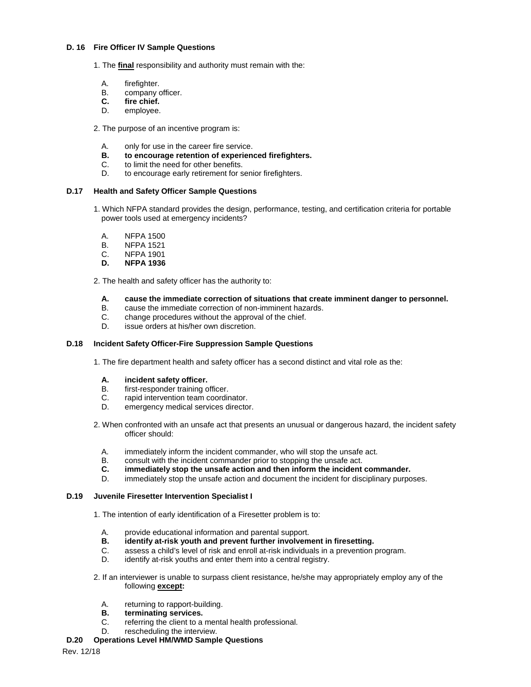#### **D. 16 Fire Officer IV Sample Questions**

- 1. The **final** responsibility and authority must remain with the:
	- A. firefighter.
	- B. company officer.<br>**C.** fire chief.
	- **C. fire chief.**
	- employee.
- 2. The purpose of an incentive program is:
	- A. only for use in the career fire service.
	- **B. to encourage retention of experienced firefighters.**
	- C. to limit the need for other benefits.
	- D. to encourage early retirement for senior firefighters.

# **D.17 Health and Safety Officer Sample Questions**

- 1. Which NFPA standard provides the design, performance, testing, and certification criteria for portable power tools used at emergency incidents?
	- A. NFPA 1500<br>B. NFPA 1521
	- B. NFPA 1521<br>C. NFPA 1901
	- C. NFPA 1901<br>D. NFPA 1936
	- **D. NFPA 1936**

2. The health and safety officer has the authority to:

- **A. cause the immediate correction of situations that create imminent danger to personnel.**
- B. cause the immediate correction of non-imminent hazards.<br>C. change procedures without the approval of the chief.
- C. change procedures without the approval of the chief.<br>D. issue orders at his/her own discretion
- issue orders at his/her own discretion.

### **D.18 Incident Safety Officer-Fire Suppression Sample Questions**

1. The fire department health and safety officer has a second distinct and vital role as the:

- **A. incident safety officer.**
- first-responder training officer.
- C. rapid intervention team coordinator.
- D. emergency medical services director.
- 2. When confronted with an unsafe act that presents an unusual or dangerous hazard, the incident safety officer should:
	- A. immediately inform the incident commander, who will stop the unsafe act.<br>B. consult with the incident commander prior to stopping the unsafe act
	- B. consult with the incident commander prior to stopping the unsafe act.<br>C. immediately stop the unsafe action and then inform the incident
	- **C. immediately stop the unsafe action and then inform the incident commander.**
	- immediately stop the unsafe action and document the incident for disciplinary purposes.

# **D.19 Juvenile Firesetter Intervention Specialist I**

- 1. The intention of early identification of a Firesetter problem is to:
	- A. provide educational information and parental support.<br>**B. identify at-risk youth and prevent further involvem**
	- **B. identify at-risk youth and prevent further involvement in firesetting.**
	- C. assess a child's level of risk and enroll at-risk individuals in a prevention program.
	- identify at-risk youths and enter them into a central registry.
- 2. If an interviewer is unable to surpass client resistance, he/she may appropriately employ any of the following **except:**
	- A. returning to rapport-building.
	- **B. terminating services.**
	- C. referring the client to a mental health professional.
	- D. rescheduling the interview.

# **D.20 Operations Level HM/WMD Sample Questions**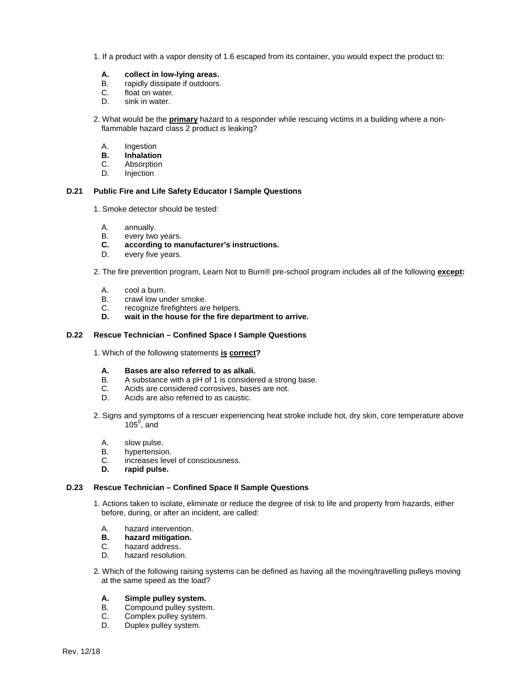- 1. If a product with a vapor density of 1.6 escaped from its container, you would expect the product to:
	- **A. collect in low-lying areas.**
	- rapidly dissipate if outdoors.
	- C. float on water.<br>D. sink in water.
	- sink in water.
- 2. What would be the **primary** hazard to a responder while rescuing victims in a building where a nonflammable hazard class 2 product is leaking?
	- A. Ingestion
	- **B. Inhalation**
	- C. Absorption
	- D. Injection

### **D.21 Public Fire and Life Safety Educator I Sample Questions**

- 1. Smoke detector should be tested:
	- A. annually.<br>B. every two
	- B. every two years.<br>**C.** according to ma
	- **C. according to manufacturer's instructions.**
- every five years.
- 2. The fire prevention program, Learn Not to Burn® pre-school program includes all of the following **except:**
	- A. cool a burn.<br>B. crawl low un
	- crawl low under smoke.
	- C. recognize firefighters are helpers.<br>**D.** wait in the house for the fire de
	- **D. wait in the house for the fire department to arrive.**

# **D.22 Rescue Technician – Confined Space I Sample Questions**

- 1. Which of the following statements **is correct?**
	- **A. Bases are also referred to as alkali.**
	- B. A substance with a pH of 1 is considered a strong base.
	- C. Acids are considered corrosives, bases are not.
	- D. Acids are also referred to as caustic.
- 2. Signs and symptoms of a rescuer experiencing heat stroke include hot, dry skin, core temperature above  $105^{\circ}$ , and
	- A. slow pulse.
	- B. hypertension.<br>C. increases leve
	- C. increases level of consciousness.<br>**D.** rapid pulse.
	- **D. rapid pulse.**

#### **D.23 Rescue Technician – Confined Space II Sample Questions**

- 1. Actions taken to isolate, eliminate or reduce the degree of risk to life and property from hazards, either before, during, or after an incident, are called:
	- A. hazard intervention.<br>**B.** hazard mitigation.
	- **B. hazard mitigation.**
	- C. hazard address.<br>D. hazard resolution
	- hazard resolution.
- 2. Which of the following raising systems can be defined as having all the moving/travelling pulleys moving at the same speed as the load?

### **A. Simple pulley system.**

- B. Compound pulley system.
- C. Complex pulley system.<br>D. Duplex pulley system.
- Duplex pulley system.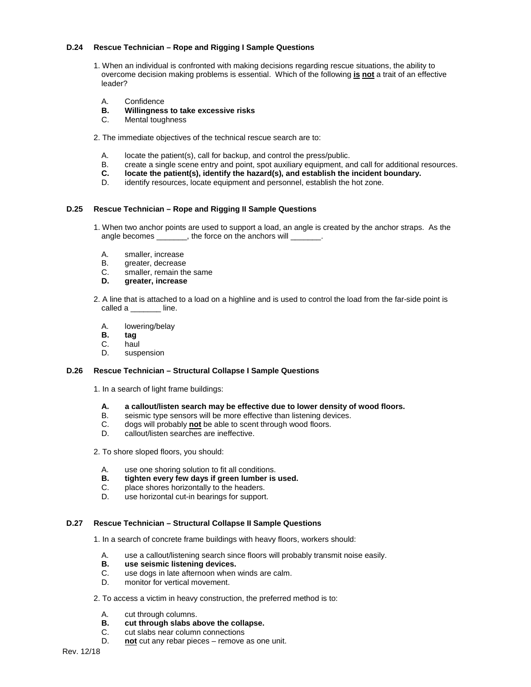## **D.24 Rescue Technician – Rope and Rigging I Sample Questions**

- 1. When an individual is confronted with making decisions regarding rescue situations, the ability to overcome decision making problems is essential. Which of the following **is not** a trait of an effective leader?
	- A. Confidence<br>**B. Willinaness**
	- **B. Willingness to take excessive risks**
	- Mental toughness
- 2. The immediate objectives of the technical rescue search are to:
	- A. locate the patient(s), call for backup, and control the press/public.
	- B. create a single scene entry and point, spot auxiliary equipment, and call for additional resources.<br>C. **locate the patient(s), identify the hazard(s), and establish the incident boundary.**
	- **C. locate the patient(s), identify the hazard(s), and establish the incident boundary.**
	- D. identify resources, locate equipment and personnel, establish the hot zone.

## **D.25 Rescue Technician – Rope and Rigging II Sample Questions**

- 1. When two anchor points are used to support a load, an angle is created by the anchor straps. As the angle becomes \_\_\_\_\_\_\_, the force on the anchors will
	- A. smaller, increase
	- B. greater, decrease
	- C. smaller, remain the same<br>D. greater increase
	- **D. greater, increase**
- 2. A line that is attached to a load on a highline and is used to control the load from the far-side point is called a line.
	- A. lowering/belay<br>**B. tag**
	- **B. tag**
	- haul
	- D. suspension

#### **D.26 Rescue Technician – Structural Collapse I Sample Questions**

- 1. In a search of light frame buildings:
	- **A. a callout/listen search may be effective due to lower density of wood floors.**
	- B. seismic type sensors will be more effective than listening devices.<br>C. dogs will probably not be able to scent through wood floors.
	- C. dogs will probably **not** be able to scent through wood floors.<br>D. callout/listen searches are ineffective.
	- callout/listen searches are ineffective.
- 2. To shore sloped floors, you should:
	- A. use one shoring solution to fit all conditions.<br>**B.** tighten every few days if green lumber is
	- **B. tighten every few days if green lumber is used.**
	- C. place shores horizontally to the headers.
	- D. use horizontal cut-in bearings for support.

#### **D.27 Rescue Technician – Structural Collapse II Sample Questions**

1. In a search of concrete frame buildings with heavy floors, workers should:

- A. use a callout/listening search since floors will probably transmit noise easily.
- **B. use seismic listening devices.**<br>**C. use dogs in late afternoon when**
- C. use dogs in late afternoon when winds are calm.<br>D. monitor for vertical movement
- monitor for vertical movement.

### 2. To access a victim in heavy construction, the preferred method is to:

- A. cut through columns.
- **B. cut through slabs above the collapse.**
- cut slabs near column connections
- D. **not** cut any rebar pieces remove as one unit.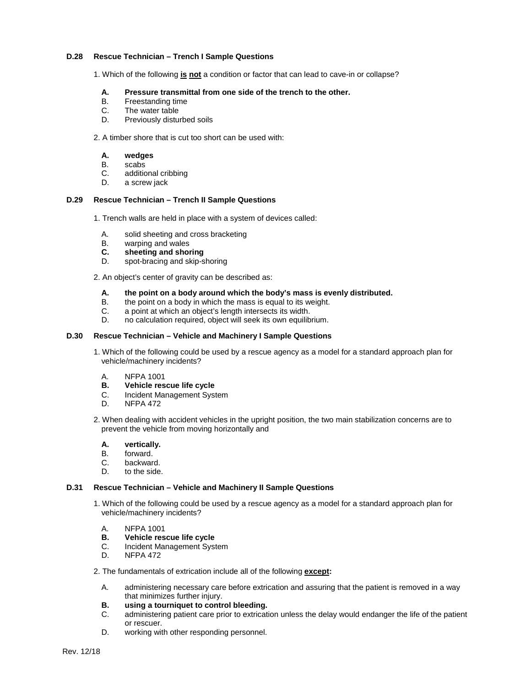### **D.28 Rescue Technician – Trench I Sample Questions**

1. Which of the following **is not** a condition or factor that can lead to cave-in or collapse?

# **A. Pressure transmittal from one side of the trench to the other.**

- B. Freestanding time<br>C. The water table
- C. The water table<br>D. Previously distu
- Previously disturbed soils

## 2. A timber shore that is cut too short can be used with:

- **A. wedges**
- B. scabs
- C. additional cribbing
- D. a screw jack

## **D.29 Rescue Technician – Trench II Sample Questions**

1. Trench walls are held in place with a system of devices called:

- A. solid sheeting and cross bracketing<br>B. warping and wales
- B. warping and wales<br>**C.** sheeting and shore
- **C. sheeting and shoring**
- D. spot-bracing and skip-shoring

2. An object's center of gravity can be described as:

## **A. the point on a body around which the body's mass is evenly distributed.**

- B. the point on a body in which the mass is equal to its weight.
- C. a point at which an object's length intersects its width.
- no calculation required, object will seek its own equilibrium.

#### **D.30 Rescue Technician – Vehicle and Machinery I Sample Questions**

- 1. Which of the following could be used by a rescue agency as a model for a standard approach plan for vehicle/machinery incidents?
	- A. NFPA 1001<br>**B.** Vehicle res
	- **B. Vehicle rescue life cycle**<br>**C. Incident Management System**
	- C. Incident Management System<br>D. NFPA 472
	- **NFPA 472**
- 2. When dealing with accident vehicles in the upright position, the two main stabilization concerns are to prevent the vehicle from moving horizontally and
	- **A. vertically.**
	- B. forward.<br>C. backwar
	- C. backward.<br>D. to the side
	- to the side.

#### **D.31 Rescue Technician – Vehicle and Machinery II Sample Questions**

- 1. Which of the following could be used by a rescue agency as a model for a standard approach plan for vehicle/machinery incidents?
	- A. NFPA 1001
	- **B. Vehicle rescue life cycle**<br>**C. Incident Management System**
	- C. Incident Management System<br>D. NFPA 472
	- **NFPA 472**
- 2. The fundamentals of extrication include all of the following **except:**
	- A. administering necessary care before extrication and assuring that the patient is removed in a way that minimizes further injury.
	- **B. using a tourniquet to control bleeding.**
	- administering patient care prior to extrication unless the delay would endanger the life of the patient or rescuer.
	- D. working with other responding personnel.